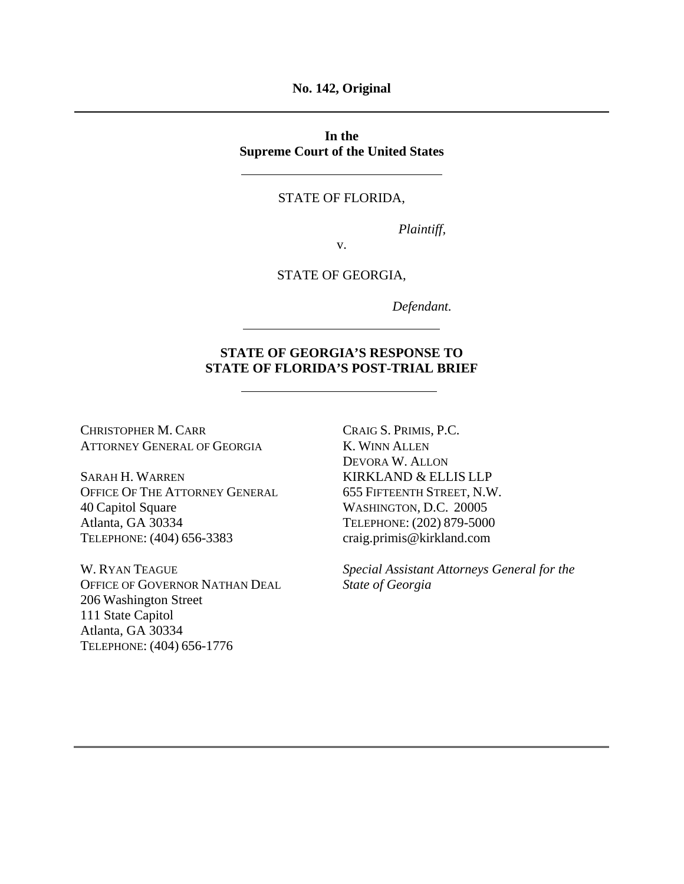**No. 142, Original** 

**In the Supreme Court of the United States** 

#### STATE OF FLORIDA,

*Plaintiff,* 

v.

#### STATE OF GEORGIA,

*Defendant.* 

## **STATE OF GEORGIA'S RESPONSE TO STATE OF FLORIDA'S POST-TRIAL BRIEF**

CHRISTOPHER M. CARR ATTORNEY GENERAL OF GEORGIA

SARAH H. WARREN OFFICE OF THE ATTORNEY GENERAL 40 Capitol Square Atlanta, GA 30334 TELEPHONE: (404) 656-3383

W. RYAN TEAGUE OFFICE OF GOVERNOR NATHAN DEAL 206 Washington Street 111 State Capitol Atlanta, GA 30334 TELEPHONE: (404) 656-1776

CRAIG S. PRIMIS, P.C. K. WINN ALLEN DEVORA W. ALLON KIRKLAND & ELLIS LLP 655 FIFTEENTH STREET, N.W. WASHINGTON, D.C. 20005 TELEPHONE: (202) 879-5000 craig.primis@kirkland.com

*Special Assistant Attorneys General for the State of Georgia*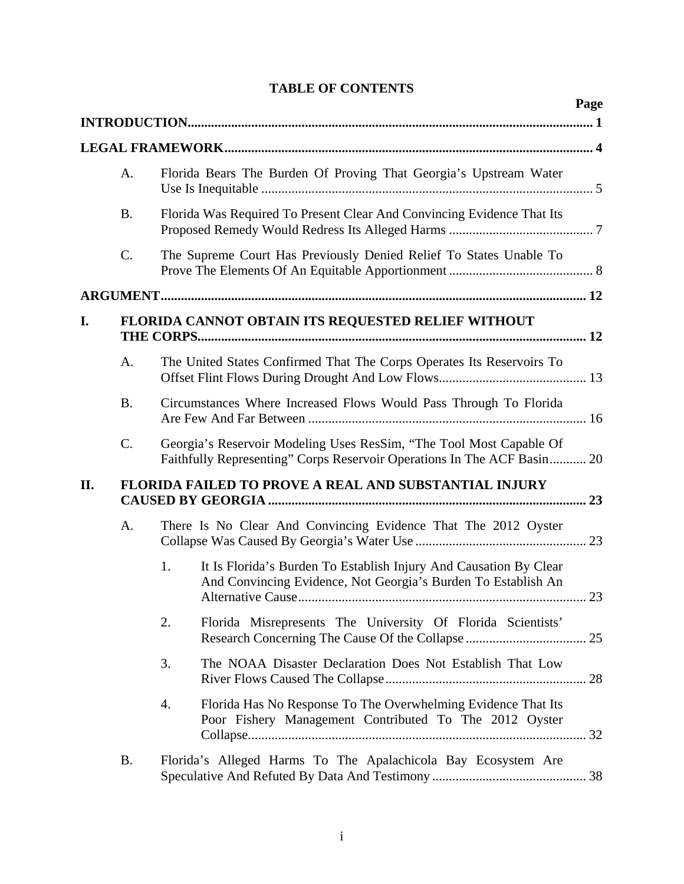|  | <b>TABLE OF CONTENTS</b> |
|--|--------------------------|
|--|--------------------------|

|     |           | Page                                                                                                                                           |
|-----|-----------|------------------------------------------------------------------------------------------------------------------------------------------------|
|     |           |                                                                                                                                                |
|     |           |                                                                                                                                                |
|     | A.        | Florida Bears The Burden Of Proving That Georgia's Upstream Water                                                                              |
|     | <b>B.</b> | Florida Was Required To Present Clear And Convincing Evidence That Its                                                                         |
|     | C.        | The Supreme Court Has Previously Denied Relief To States Unable To                                                                             |
|     |           |                                                                                                                                                |
| I.  |           | FLORIDA CANNOT OBTAIN ITS REQUESTED RELIEF WITHOUT                                                                                             |
|     |           |                                                                                                                                                |
|     | A.        | The United States Confirmed That The Corps Operates Its Reservoirs To                                                                          |
|     | <b>B.</b> | Circumstances Where Increased Flows Would Pass Through To Florida                                                                              |
|     | C.        | Georgia's Reservoir Modeling Uses ResSim, "The Tool Most Capable Of<br>Faithfully Representing" Corps Reservoir Operations In The ACF Basin 20 |
| II. |           | <b>FLORIDA FAILED TO PROVE A REAL AND SUBSTANTIAL INJURY</b>                                                                                   |
|     | A.        | There Is No Clear And Convincing Evidence That The 2012 Oyster                                                                                 |
|     |           | It Is Florida's Burden To Establish Injury And Causation By Clear<br>1.<br>And Convincing Evidence, Not Georgia's Burden To Establish An<br>23 |
|     |           | 2.<br>Florida Misrepresents The University Of Florida Scientists'                                                                              |
|     |           | 3.<br>The NOAA Disaster Declaration Does Not Establish That Low                                                                                |
|     |           | 4.<br>Florida Has No Response To The Overwhelming Evidence That Its<br>Poor Fishery Management Contributed To The 2012 Oyster                  |
|     | <b>B.</b> | Florida's Alleged Harms To The Apalachicola Bay Ecosystem Are                                                                                  |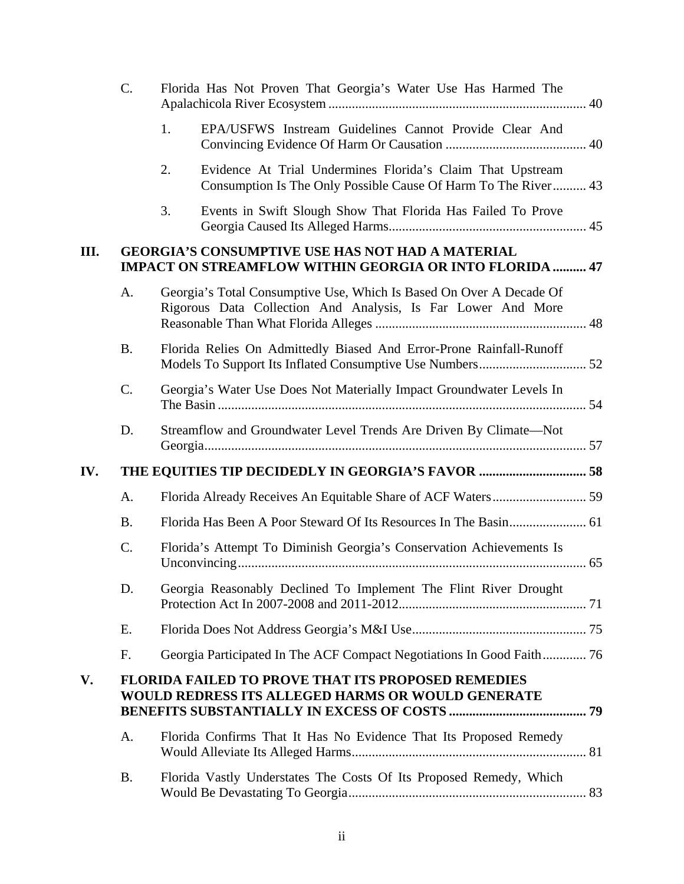|     | C.        |    | Florida Has Not Proven That Georgia's Water Use Has Harmed The                                                                      |  |
|-----|-----------|----|-------------------------------------------------------------------------------------------------------------------------------------|--|
|     |           | 1. | EPA/USFWS Instream Guidelines Cannot Provide Clear And                                                                              |  |
|     |           | 2. | Evidence At Trial Undermines Florida's Claim That Upstream<br>Consumption Is The Only Possible Cause Of Harm To The River 43        |  |
|     |           | 3. | Events in Swift Slough Show That Florida Has Failed To Prove                                                                        |  |
| Ш.  |           |    | <b>GEORGIA'S CONSUMPTIVE USE HAS NOT HAD A MATERIAL</b><br><b>IMPACT ON STREAMFLOW WITHIN GEORGIA OR INTO FLORIDA  47</b>           |  |
|     | A.        |    | Georgia's Total Consumptive Use, Which Is Based On Over A Decade Of<br>Rigorous Data Collection And Analysis, Is Far Lower And More |  |
|     | <b>B.</b> |    | Florida Relies On Admittedly Biased And Error-Prone Rainfall-Runoff                                                                 |  |
|     | C.        |    | Georgia's Water Use Does Not Materially Impact Groundwater Levels In                                                                |  |
|     | D.        |    | Streamflow and Groundwater Level Trends Are Driven By Climate-Not                                                                   |  |
| IV. |           |    | THE EQUITIES TIP DECIDEDLY IN GEORGIA'S FAVOR  58                                                                                   |  |
|     | Α.        |    |                                                                                                                                     |  |
|     | <b>B.</b> |    |                                                                                                                                     |  |
|     | C.        |    | Florida's Attempt To Diminish Georgia's Conservation Achievements Is                                                                |  |
|     | D.        |    | Georgia Reasonably Declined To Implement The Flint River Drought                                                                    |  |
|     | Ε.        |    |                                                                                                                                     |  |
|     | F.        |    | Georgia Participated In The ACF Compact Negotiations In Good Faith 76                                                               |  |
| V.  |           |    | <b>FLORIDA FAILED TO PROVE THAT ITS PROPOSED REMEDIES</b><br><b>WOULD REDRESS ITS ALLEGED HARMS OR WOULD GENERATE</b>               |  |
|     | A.        |    | Florida Confirms That It Has No Evidence That Its Proposed Remedy                                                                   |  |
|     | <b>B.</b> |    | Florida Vastly Understates The Costs Of Its Proposed Remedy, Which                                                                  |  |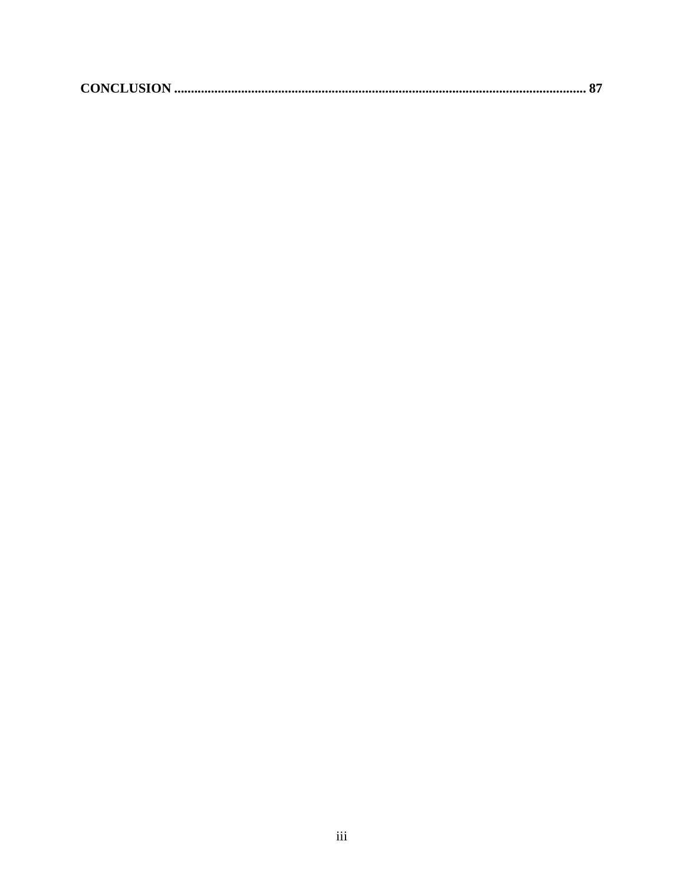|--|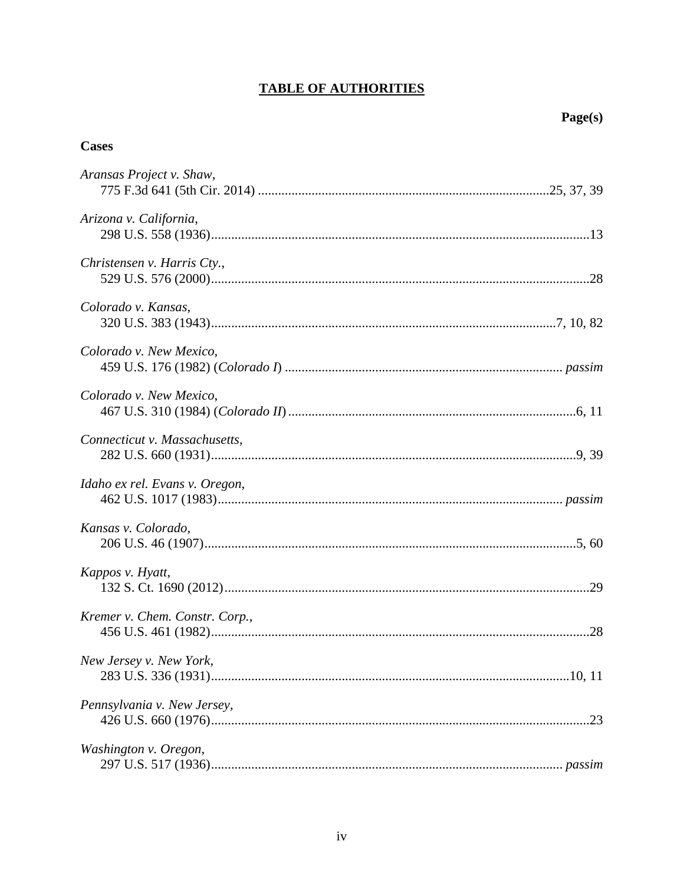# **TABLE OF AUTHORITIES**

# **Cases**

| Aransas Project v. Shaw,       |  |
|--------------------------------|--|
| Arizona v. California,         |  |
| Christensen v. Harris Cty.,    |  |
| Colorado v. Kansas,            |  |
| Colorado v. New Mexico,        |  |
| Colorado v. New Mexico,        |  |
| Connecticut v. Massachusetts,  |  |
| Idaho ex rel. Evans v. Oregon, |  |
| Kansas v. Colorado,            |  |
| Kappos v. Hyatt,               |  |
| Kremer v. Chem. Constr. Corp., |  |
| New Jersey v. New York,        |  |
| Pennsylvania v. New Jersey,    |  |
| Washington v. Oregon,          |  |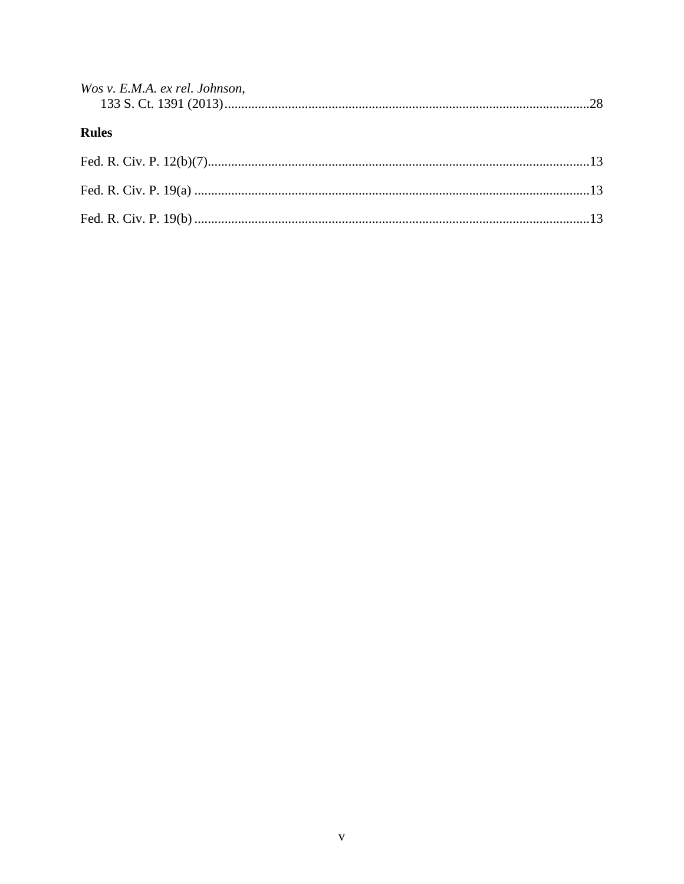| Wos v. E.M.A. ex rel. Johnson, |  |
|--------------------------------|--|
|                                |  |
|                                |  |
| <b>Rules</b>                   |  |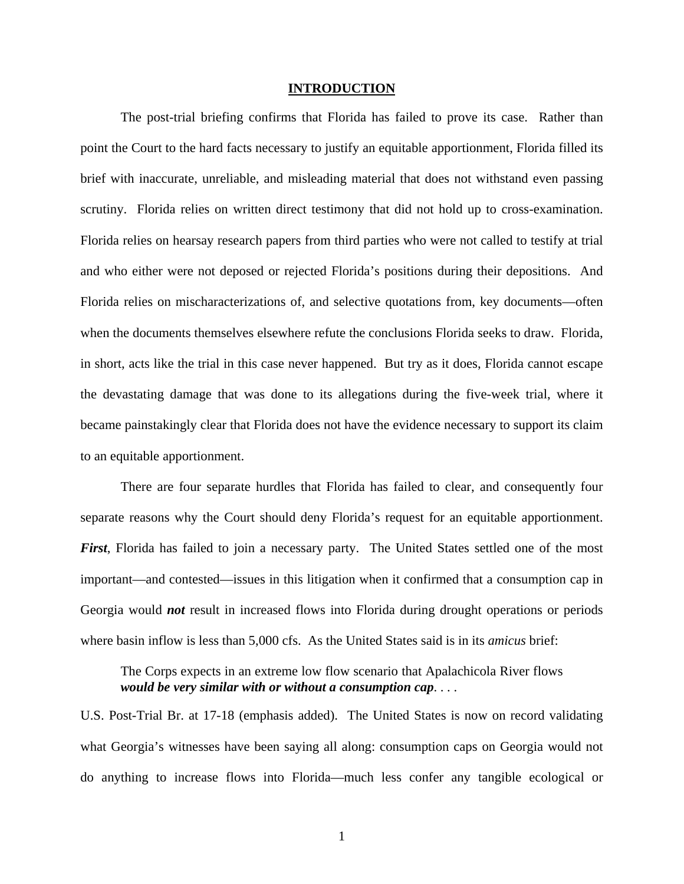#### **INTRODUCTION**

The post-trial briefing confirms that Florida has failed to prove its case. Rather than point the Court to the hard facts necessary to justify an equitable apportionment, Florida filled its brief with inaccurate, unreliable, and misleading material that does not withstand even passing scrutiny. Florida relies on written direct testimony that did not hold up to cross-examination. Florida relies on hearsay research papers from third parties who were not called to testify at trial and who either were not deposed or rejected Florida's positions during their depositions. And Florida relies on mischaracterizations of, and selective quotations from, key documents—often when the documents themselves elsewhere refute the conclusions Florida seeks to draw. Florida, in short, acts like the trial in this case never happened. But try as it does, Florida cannot escape the devastating damage that was done to its allegations during the five-week trial, where it became painstakingly clear that Florida does not have the evidence necessary to support its claim to an equitable apportionment.

There are four separate hurdles that Florida has failed to clear, and consequently four separate reasons why the Court should deny Florida's request for an equitable apportionment. *First*, Florida has failed to join a necessary party. The United States settled one of the most important—and contested—issues in this litigation when it confirmed that a consumption cap in Georgia would *not* result in increased flows into Florida during drought operations or periods where basin inflow is less than 5,000 cfs. As the United States said is in its *amicus* brief:

The Corps expects in an extreme low flow scenario that Apalachicola River flows *would be very similar with or without a consumption cap*. . . .

U.S. Post-Trial Br. at 17-18 (emphasis added). The United States is now on record validating what Georgia's witnesses have been saying all along: consumption caps on Georgia would not do anything to increase flows into Florida—much less confer any tangible ecological or

1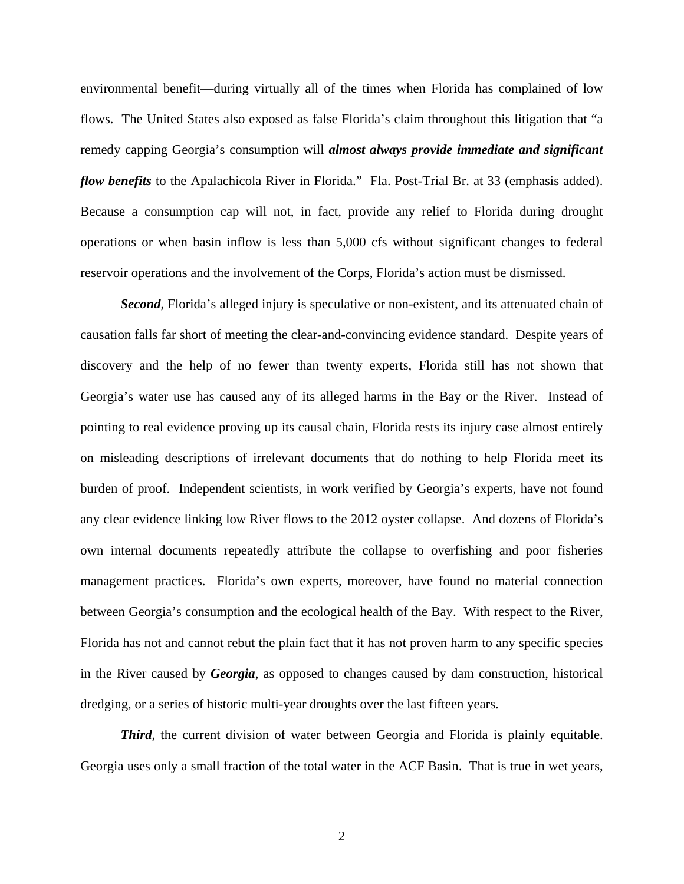environmental benefit—during virtually all of the times when Florida has complained of low flows. The United States also exposed as false Florida's claim throughout this litigation that "a remedy capping Georgia's consumption will *almost always provide immediate and significant flow benefits* to the Apalachicola River in Florida." Fla. Post-Trial Br. at 33 (emphasis added). Because a consumption cap will not, in fact, provide any relief to Florida during drought operations or when basin inflow is less than 5,000 cfs without significant changes to federal reservoir operations and the involvement of the Corps, Florida's action must be dismissed.

*Second*, Florida's alleged injury is speculative or non-existent, and its attenuated chain of causation falls far short of meeting the clear-and-convincing evidence standard. Despite years of discovery and the help of no fewer than twenty experts, Florida still has not shown that Georgia's water use has caused any of its alleged harms in the Bay or the River. Instead of pointing to real evidence proving up its causal chain, Florida rests its injury case almost entirely on misleading descriptions of irrelevant documents that do nothing to help Florida meet its burden of proof. Independent scientists, in work verified by Georgia's experts, have not found any clear evidence linking low River flows to the 2012 oyster collapse. And dozens of Florida's own internal documents repeatedly attribute the collapse to overfishing and poor fisheries management practices. Florida's own experts, moreover, have found no material connection between Georgia's consumption and the ecological health of the Bay. With respect to the River, Florida has not and cannot rebut the plain fact that it has not proven harm to any specific species in the River caused by *Georgia*, as opposed to changes caused by dam construction, historical dredging, or a series of historic multi-year droughts over the last fifteen years.

*Third*, the current division of water between Georgia and Florida is plainly equitable. Georgia uses only a small fraction of the total water in the ACF Basin. That is true in wet years,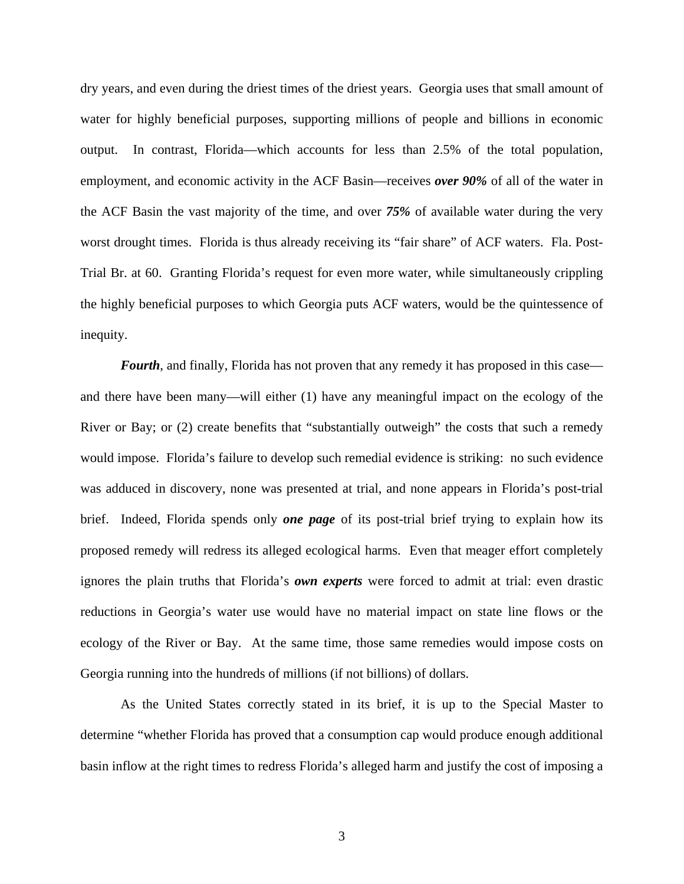dry years, and even during the driest times of the driest years. Georgia uses that small amount of water for highly beneficial purposes, supporting millions of people and billions in economic output. In contrast, Florida—which accounts for less than 2.5% of the total population, employment, and economic activity in the ACF Basin—receives *over 90%* of all of the water in the ACF Basin the vast majority of the time, and over *75%* of available water during the very worst drought times. Florida is thus already receiving its "fair share" of ACF waters. Fla. Post-Trial Br. at 60. Granting Florida's request for even more water, while simultaneously crippling the highly beneficial purposes to which Georgia puts ACF waters, would be the quintessence of inequity.

*Fourth*, and finally, Florida has not proven that any remedy it has proposed in this case and there have been many—will either (1) have any meaningful impact on the ecology of the River or Bay; or (2) create benefits that "substantially outweigh" the costs that such a remedy would impose. Florida's failure to develop such remedial evidence is striking: no such evidence was adduced in discovery, none was presented at trial, and none appears in Florida's post-trial brief. Indeed, Florida spends only *one page* of its post-trial brief trying to explain how its proposed remedy will redress its alleged ecological harms. Even that meager effort completely ignores the plain truths that Florida's *own experts* were forced to admit at trial: even drastic reductions in Georgia's water use would have no material impact on state line flows or the ecology of the River or Bay. At the same time, those same remedies would impose costs on Georgia running into the hundreds of millions (if not billions) of dollars.

As the United States correctly stated in its brief, it is up to the Special Master to determine "whether Florida has proved that a consumption cap would produce enough additional basin inflow at the right times to redress Florida's alleged harm and justify the cost of imposing a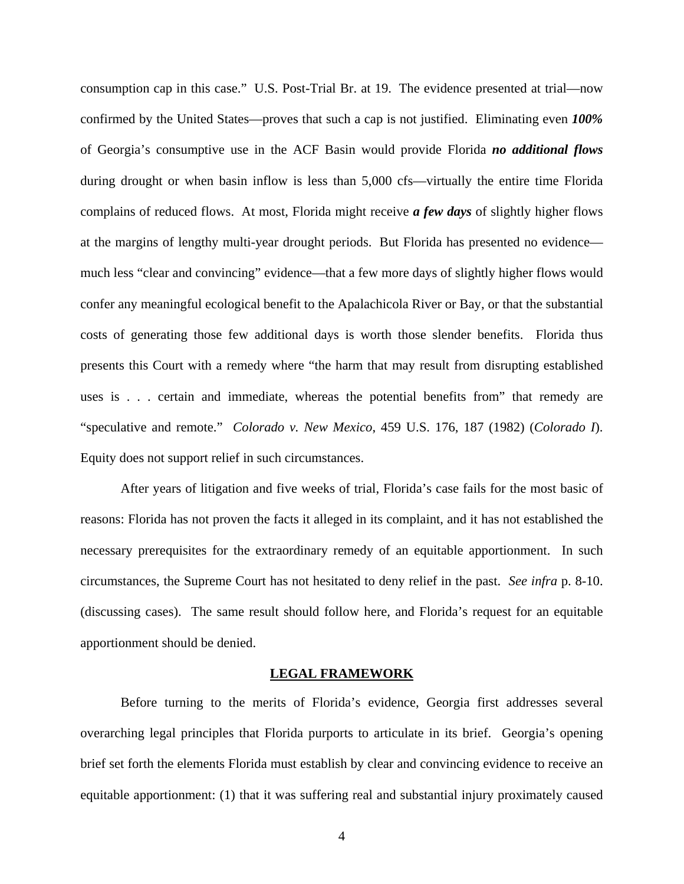consumption cap in this case." U.S. Post-Trial Br. at 19. The evidence presented at trial—now confirmed by the United States—proves that such a cap is not justified. Eliminating even *100%*  of Georgia's consumptive use in the ACF Basin would provide Florida *no additional flows*  during drought or when basin inflow is less than 5,000 cfs—virtually the entire time Florida complains of reduced flows. At most, Florida might receive *a few days* of slightly higher flows at the margins of lengthy multi-year drought periods. But Florida has presented no evidence much less "clear and convincing" evidence—that a few more days of slightly higher flows would confer any meaningful ecological benefit to the Apalachicola River or Bay, or that the substantial costs of generating those few additional days is worth those slender benefits. Florida thus presents this Court with a remedy where "the harm that may result from disrupting established uses is . . . certain and immediate, whereas the potential benefits from" that remedy are "speculative and remote." *Colorado v. New Mexico*, 459 U.S. 176, 187 (1982) (*Colorado I*). Equity does not support relief in such circumstances.

After years of litigation and five weeks of trial, Florida's case fails for the most basic of reasons: Florida has not proven the facts it alleged in its complaint, and it has not established the necessary prerequisites for the extraordinary remedy of an equitable apportionment. In such circumstances, the Supreme Court has not hesitated to deny relief in the past. *See infra* p. 8-10. (discussing cases). The same result should follow here, and Florida's request for an equitable apportionment should be denied.

#### **LEGAL FRAMEWORK**

Before turning to the merits of Florida's evidence, Georgia first addresses several overarching legal principles that Florida purports to articulate in its brief. Georgia's opening brief set forth the elements Florida must establish by clear and convincing evidence to receive an equitable apportionment: (1) that it was suffering real and substantial injury proximately caused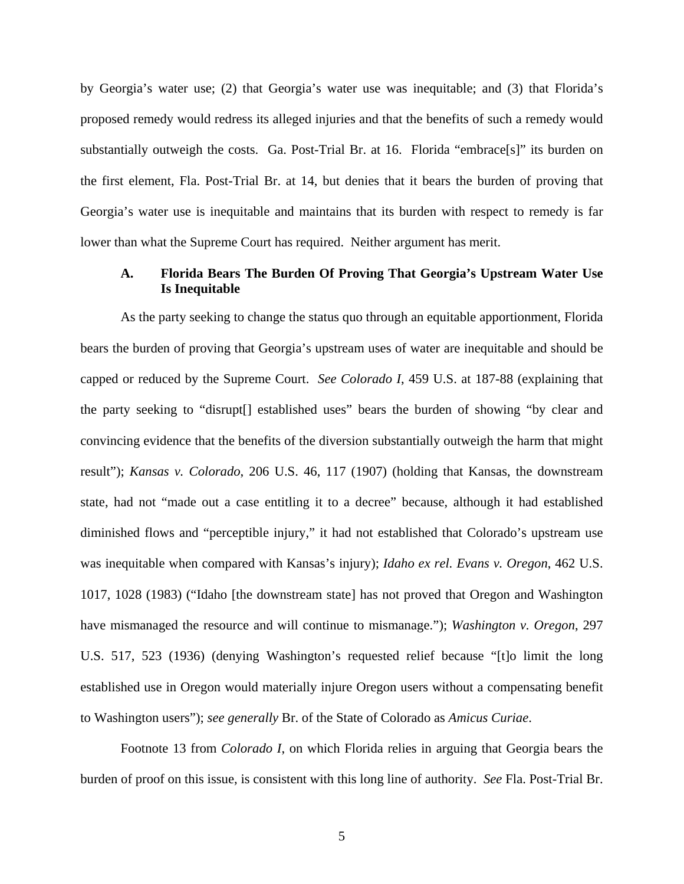by Georgia's water use; (2) that Georgia's water use was inequitable; and (3) that Florida's proposed remedy would redress its alleged injuries and that the benefits of such a remedy would substantially outweigh the costs. Ga. Post-Trial Br. at 16. Florida "embrace[s]" its burden on the first element, Fla. Post-Trial Br. at 14, but denies that it bears the burden of proving that Georgia's water use is inequitable and maintains that its burden with respect to remedy is far lower than what the Supreme Court has required. Neither argument has merit.

#### **A. Florida Bears The Burden Of Proving That Georgia's Upstream Water Use Is Inequitable**

As the party seeking to change the status quo through an equitable apportionment, Florida bears the burden of proving that Georgia's upstream uses of water are inequitable and should be capped or reduced by the Supreme Court. *See Colorado I*, 459 U.S. at 187-88 (explaining that the party seeking to "disrupt[] established uses" bears the burden of showing "by clear and convincing evidence that the benefits of the diversion substantially outweigh the harm that might result"); *Kansas v. Colorado*, 206 U.S. 46, 117 (1907) (holding that Kansas, the downstream state, had not "made out a case entitling it to a decree" because, although it had established diminished flows and "perceptible injury," it had not established that Colorado's upstream use was inequitable when compared with Kansas's injury); *Idaho ex rel. Evans v. Oregon*, 462 U.S. 1017, 1028 (1983) ("Idaho [the downstream state] has not proved that Oregon and Washington have mismanaged the resource and will continue to mismanage."); *Washington v. Oregon*, 297 U.S. 517, 523 (1936) (denying Washington's requested relief because "[t]o limit the long established use in Oregon would materially injure Oregon users without a compensating benefit to Washington users"); *see generally* Br. of the State of Colorado as *Amicus Curiae*.

Footnote 13 from *Colorado I*, on which Florida relies in arguing that Georgia bears the burden of proof on this issue, is consistent with this long line of authority. *See* Fla. Post-Trial Br.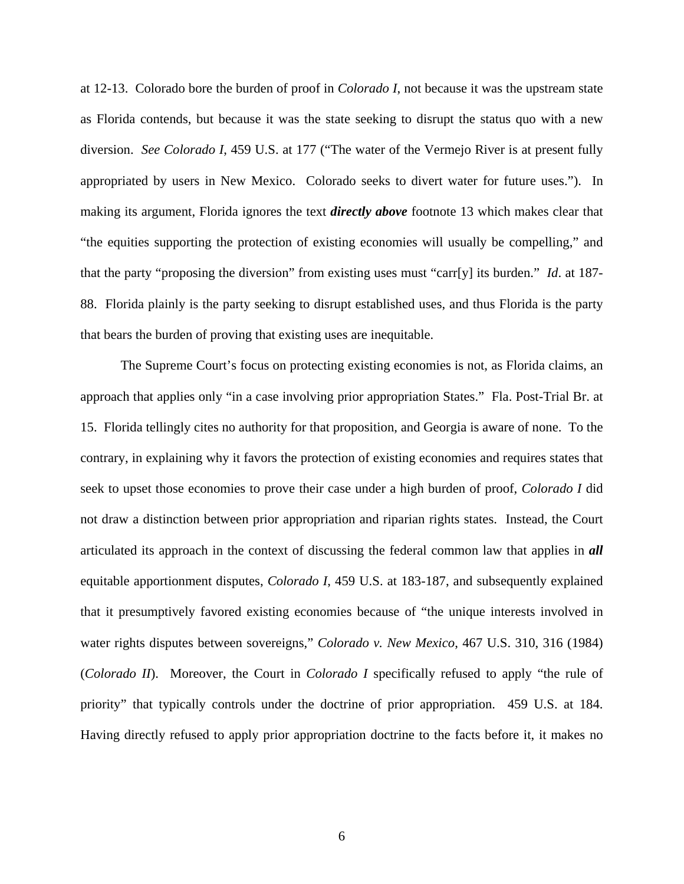at 12-13. Colorado bore the burden of proof in *Colorado I*, not because it was the upstream state as Florida contends, but because it was the state seeking to disrupt the status quo with a new diversion. *See Colorado I*, 459 U.S. at 177 ("The water of the Vermejo River is at present fully appropriated by users in New Mexico. Colorado seeks to divert water for future uses."). In making its argument, Florida ignores the text *directly above* footnote 13 which makes clear that "the equities supporting the protection of existing economies will usually be compelling," and that the party "proposing the diversion" from existing uses must "carr[y] its burden." *Id*. at 187- 88. Florida plainly is the party seeking to disrupt established uses, and thus Florida is the party that bears the burden of proving that existing uses are inequitable.

The Supreme Court's focus on protecting existing economies is not, as Florida claims, an approach that applies only "in a case involving prior appropriation States." Fla. Post-Trial Br. at 15. Florida tellingly cites no authority for that proposition, and Georgia is aware of none. To the contrary, in explaining why it favors the protection of existing economies and requires states that seek to upset those economies to prove their case under a high burden of proof, *Colorado I* did not draw a distinction between prior appropriation and riparian rights states. Instead, the Court articulated its approach in the context of discussing the federal common law that applies in *all* equitable apportionment disputes, *Colorado I*, 459 U.S. at 183-187, and subsequently explained that it presumptively favored existing economies because of "the unique interests involved in water rights disputes between sovereigns," *Colorado v. New Mexico*, 467 U.S. 310, 316 (1984) (*Colorado II*). Moreover, the Court in *Colorado I* specifically refused to apply "the rule of priority" that typically controls under the doctrine of prior appropriation. 459 U.S. at 184. Having directly refused to apply prior appropriation doctrine to the facts before it, it makes no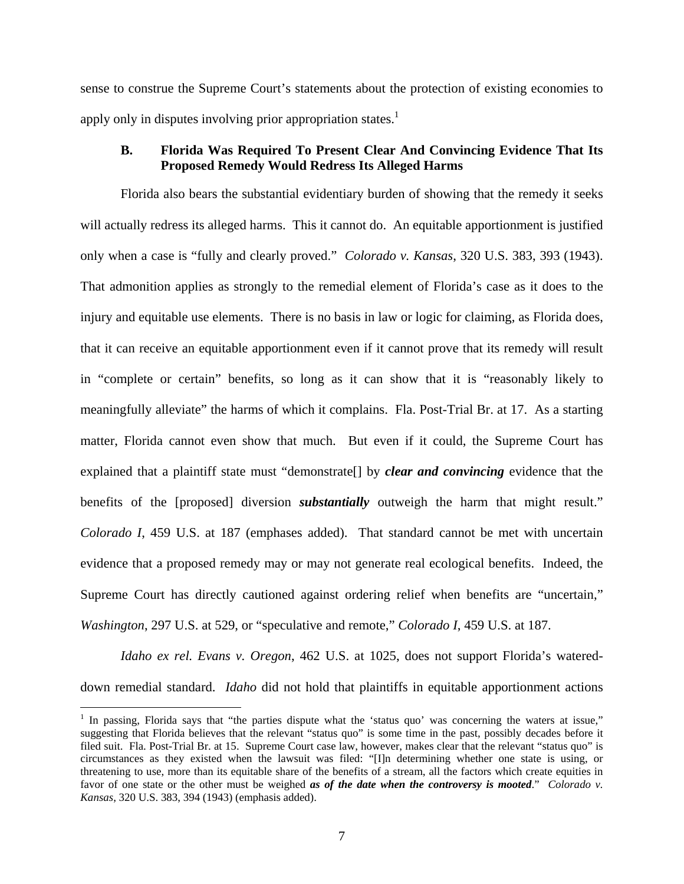sense to construe the Supreme Court's statements about the protection of existing economies to apply only in disputes involving prior appropriation states.<sup>1</sup>

#### **B. Florida Was Required To Present Clear And Convincing Evidence That Its Proposed Remedy Would Redress Its Alleged Harms**

Florida also bears the substantial evidentiary burden of showing that the remedy it seeks will actually redress its alleged harms. This it cannot do. An equitable apportionment is justified only when a case is "fully and clearly proved." *Colorado v. Kansas*, 320 U.S. 383, 393 (1943). That admonition applies as strongly to the remedial element of Florida's case as it does to the injury and equitable use elements. There is no basis in law or logic for claiming, as Florida does, that it can receive an equitable apportionment even if it cannot prove that its remedy will result in "complete or certain" benefits, so long as it can show that it is "reasonably likely to meaningfully alleviate" the harms of which it complains. Fla. Post-Trial Br. at 17. As a starting matter, Florida cannot even show that much. But even if it could, the Supreme Court has explained that a plaintiff state must "demonstrate[] by *clear and convincing* evidence that the benefits of the [proposed] diversion *substantially* outweigh the harm that might result." *Colorado I*, 459 U.S. at 187 (emphases added). That standard cannot be met with uncertain evidence that a proposed remedy may or may not generate real ecological benefits. Indeed, the Supreme Court has directly cautioned against ordering relief when benefits are "uncertain," *Washington*, 297 U.S. at 529, or "speculative and remote," *Colorado I*, 459 U.S. at 187.

*Idaho ex rel. Evans v. Oregon*, 462 U.S. at 1025, does not support Florida's watereddown remedial standard. *Idaho* did not hold that plaintiffs in equitable apportionment actions

<sup>&</sup>lt;sup>1</sup> In passing, Florida says that "the parties dispute what the 'status quo' was concerning the waters at issue," suggesting that Florida believes that the relevant "status quo" is some time in the past, possibly decades before it filed suit. Fla. Post-Trial Br. at 15. Supreme Court case law, however, makes clear that the relevant "status quo" is circumstances as they existed when the lawsuit was filed: "[I]n determining whether one state is using, or threatening to use, more than its equitable share of the benefits of a stream, all the factors which create equities in favor of one state or the other must be weighed *as of the date when the controversy is mooted*." *Colorado v. Kansas*, 320 U.S. 383, 394 (1943) (emphasis added).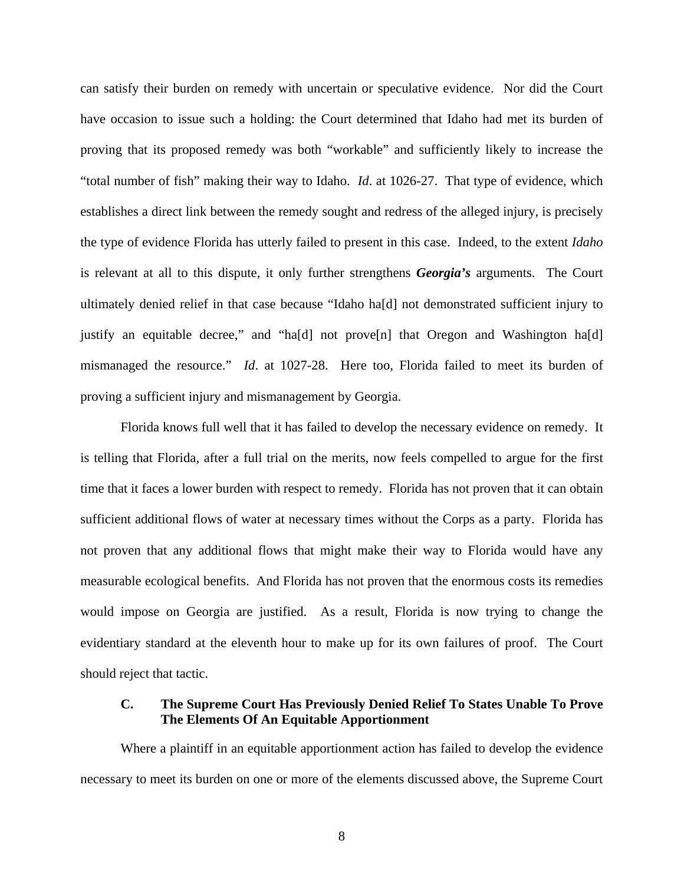can satisfy their burden on remedy with uncertain or speculative evidence. Nor did the Court have occasion to issue such a holding: the Court determined that Idaho had met its burden of proving that its proposed remedy was both "workable" and sufficiently likely to increase the "total number of fish" making their way to Idaho. *Id*. at 1026-27. That type of evidence, which establishes a direct link between the remedy sought and redress of the alleged injury, is precisely the type of evidence Florida has utterly failed to present in this case. Indeed, to the extent *Idaho* is relevant at all to this dispute, it only further strengthens *Georgia's* arguments. The Court ultimately denied relief in that case because "Idaho ha[d] not demonstrated sufficient injury to justify an equitable decree," and "ha[d] not prove[n] that Oregon and Washington ha[d] mismanaged the resource." *Id*. at 1027-28. Here too, Florida failed to meet its burden of proving a sufficient injury and mismanagement by Georgia.

Florida knows full well that it has failed to develop the necessary evidence on remedy. It is telling that Florida, after a full trial on the merits, now feels compelled to argue for the first time that it faces a lower burden with respect to remedy. Florida has not proven that it can obtain sufficient additional flows of water at necessary times without the Corps as a party. Florida has not proven that any additional flows that might make their way to Florida would have any measurable ecological benefits. And Florida has not proven that the enormous costs its remedies would impose on Georgia are justified. As a result, Florida is now trying to change the evidentiary standard at the eleventh hour to make up for its own failures of proof. The Court should reject that tactic.

#### **C. The Supreme Court Has Previously Denied Relief To States Unable To Prove The Elements Of An Equitable Apportionment**

Where a plaintiff in an equitable apportionment action has failed to develop the evidence necessary to meet its burden on one or more of the elements discussed above, the Supreme Court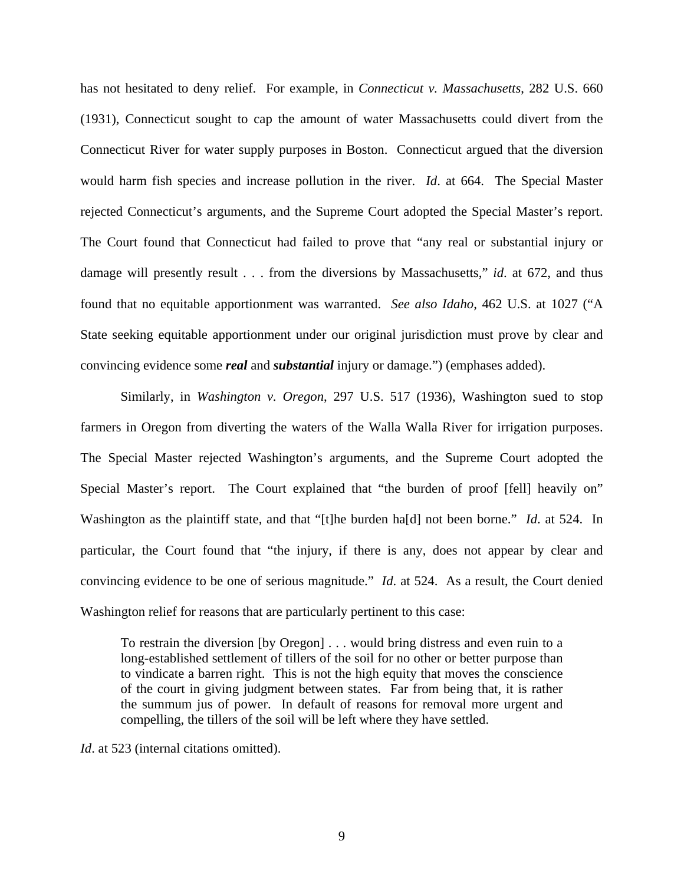has not hesitated to deny relief. For example, in *Connecticut v. Massachusetts*, 282 U.S. 660 (1931), Connecticut sought to cap the amount of water Massachusetts could divert from the Connecticut River for water supply purposes in Boston. Connecticut argued that the diversion would harm fish species and increase pollution in the river. *Id*. at 664. The Special Master rejected Connecticut's arguments, and the Supreme Court adopted the Special Master's report. The Court found that Connecticut had failed to prove that "any real or substantial injury or damage will presently result . . . from the diversions by Massachusetts," *id*. at 672, and thus found that no equitable apportionment was warranted. *See also Idaho*, 462 U.S. at 1027 ("A State seeking equitable apportionment under our original jurisdiction must prove by clear and convincing evidence some *real* and *substantial* injury or damage.") (emphases added).

Similarly, in *Washington v. Oregon*, 297 U.S. 517 (1936), Washington sued to stop farmers in Oregon from diverting the waters of the Walla Walla River for irrigation purposes. The Special Master rejected Washington's arguments, and the Supreme Court adopted the Special Master's report. The Court explained that "the burden of proof [fell] heavily on" Washington as the plaintiff state, and that "[t]he burden ha[d] not been borne." *Id*. at 524. In particular, the Court found that "the injury, if there is any, does not appear by clear and convincing evidence to be one of serious magnitude." *Id*. at 524. As a result, the Court denied Washington relief for reasons that are particularly pertinent to this case:

To restrain the diversion [by Oregon] . . . would bring distress and even ruin to a long-established settlement of tillers of the soil for no other or better purpose than to vindicate a barren right. This is not the high equity that moves the conscience of the court in giving judgment between states. Far from being that, it is rather the summum jus of power. In default of reasons for removal more urgent and compelling, the tillers of the soil will be left where they have settled.

*Id.* at 523 (internal citations omitted).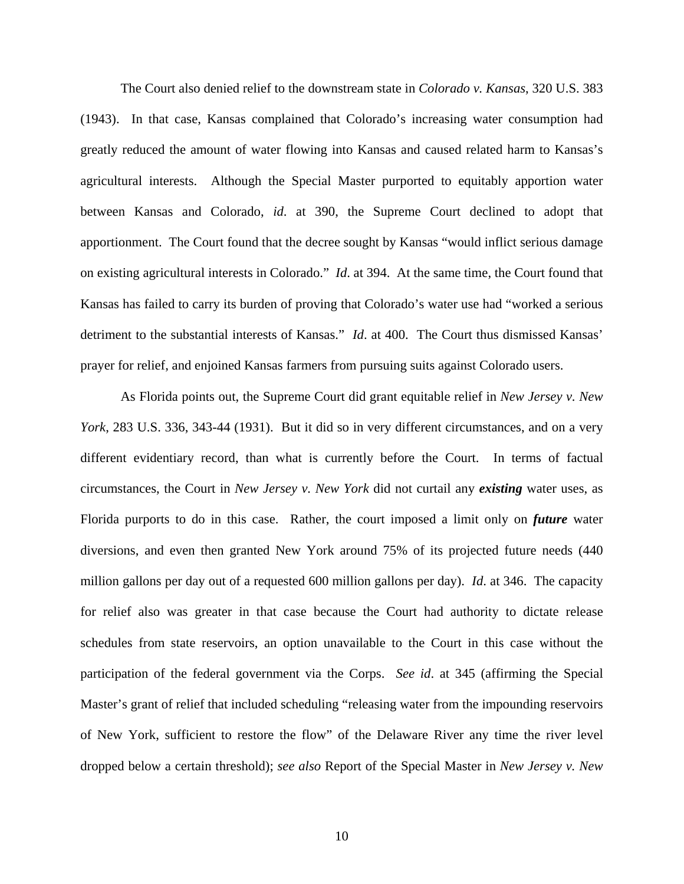The Court also denied relief to the downstream state in *Colorado v. Kansas*, 320 U.S. 383 (1943). In that case, Kansas complained that Colorado's increasing water consumption had greatly reduced the amount of water flowing into Kansas and caused related harm to Kansas's agricultural interests. Although the Special Master purported to equitably apportion water between Kansas and Colorado, *id*. at 390, the Supreme Court declined to adopt that apportionment. The Court found that the decree sought by Kansas "would inflict serious damage on existing agricultural interests in Colorado." *Id*. at 394. At the same time, the Court found that Kansas has failed to carry its burden of proving that Colorado's water use had "worked a serious detriment to the substantial interests of Kansas." *Id*. at 400. The Court thus dismissed Kansas' prayer for relief, and enjoined Kansas farmers from pursuing suits against Colorado users.

As Florida points out, the Supreme Court did grant equitable relief in *New Jersey v. New York*, 283 U.S. 336, 343-44 (1931). But it did so in very different circumstances, and on a very different evidentiary record, than what is currently before the Court. In terms of factual circumstances, the Court in *New Jersey v. New York* did not curtail any *existing* water uses, as Florida purports to do in this case. Rather, the court imposed a limit only on *future* water diversions, and even then granted New York around 75% of its projected future needs (440 million gallons per day out of a requested 600 million gallons per day). *Id*. at 346. The capacity for relief also was greater in that case because the Court had authority to dictate release schedules from state reservoirs, an option unavailable to the Court in this case without the participation of the federal government via the Corps. *See id*. at 345 (affirming the Special Master's grant of relief that included scheduling "releasing water from the impounding reservoirs of New York, sufficient to restore the flow" of the Delaware River any time the river level dropped below a certain threshold); *see also* Report of the Special Master in *New Jersey v. New*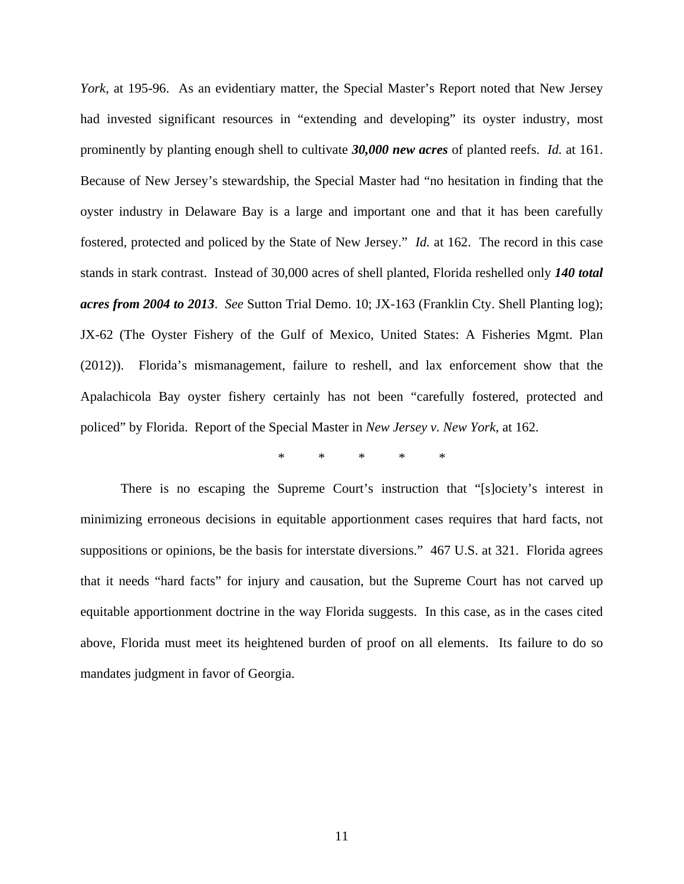*York*, at 195-96. As an evidentiary matter, the Special Master's Report noted that New Jersey had invested significant resources in "extending and developing" its oyster industry, most prominently by planting enough shell to cultivate *30,000 new acres* of planted reefs. *Id.* at 161. Because of New Jersey's stewardship, the Special Master had "no hesitation in finding that the oyster industry in Delaware Bay is a large and important one and that it has been carefully fostered, protected and policed by the State of New Jersey." *Id.* at 162. The record in this case stands in stark contrast. Instead of 30,000 acres of shell planted, Florida reshelled only *140 total acres from 2004 to 2013*. *See* Sutton Trial Demo. 10; JX-163 (Franklin Cty. Shell Planting log); JX-62 (The Oyster Fishery of the Gulf of Mexico, United States: A Fisheries Mgmt. Plan (2012)). Florida's mismanagement, failure to reshell, and lax enforcement show that the Apalachicola Bay oyster fishery certainly has not been "carefully fostered, protected and policed" by Florida. Report of the Special Master in *New Jersey v. New York*, at 162.

\* \* \* \* \*

There is no escaping the Supreme Court's instruction that "[s]ociety's interest in minimizing erroneous decisions in equitable apportionment cases requires that hard facts, not suppositions or opinions, be the basis for interstate diversions." 467 U.S. at 321. Florida agrees that it needs "hard facts" for injury and causation, but the Supreme Court has not carved up equitable apportionment doctrine in the way Florida suggests. In this case, as in the cases cited above, Florida must meet its heightened burden of proof on all elements. Its failure to do so mandates judgment in favor of Georgia.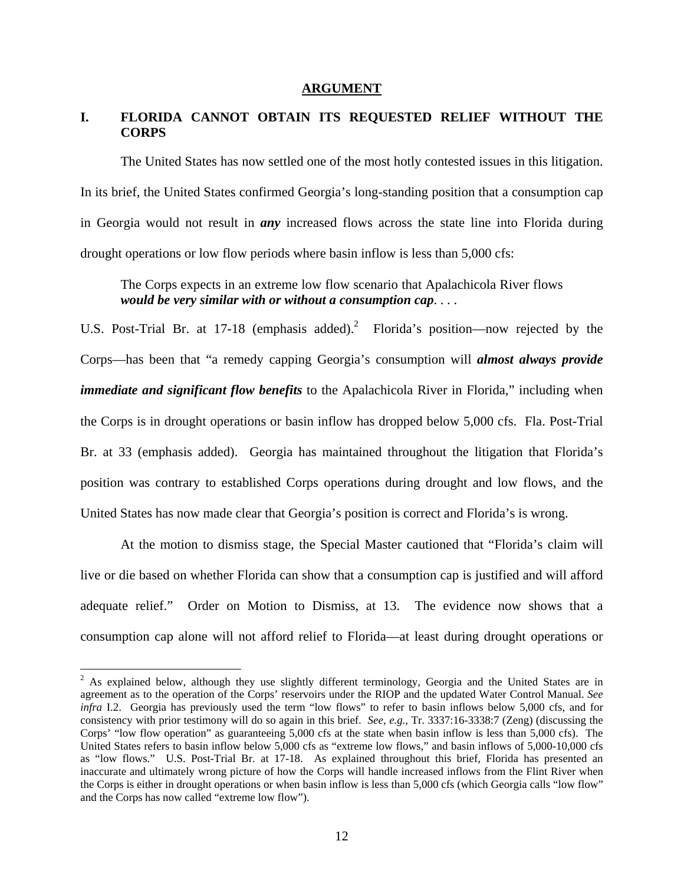#### **ARGUMENT**

# **I. FLORIDA CANNOT OBTAIN ITS REQUESTED RELIEF WITHOUT THE CORPS**

The United States has now settled one of the most hotly contested issues in this litigation. In its brief, the United States confirmed Georgia's long-standing position that a consumption cap in Georgia would not result in *any* increased flows across the state line into Florida during drought operations or low flow periods where basin inflow is less than 5,000 cfs:

The Corps expects in an extreme low flow scenario that Apalachicola River flows *would be very similar with or without a consumption cap*. . . .

U.S. Post-Trial Br. at 17-18 (emphasis added).<sup>2</sup> Florida's position—now rejected by the Corps—has been that "a remedy capping Georgia's consumption will *almost always provide immediate and significant flow benefits* to the Apalachicola River in Florida," including when the Corps is in drought operations or basin inflow has dropped below 5,000 cfs. Fla. Post-Trial Br. at 33 (emphasis added). Georgia has maintained throughout the litigation that Florida's position was contrary to established Corps operations during drought and low flows, and the United States has now made clear that Georgia's position is correct and Florida's is wrong.

 At the motion to dismiss stage, the Special Master cautioned that "Florida's claim will live or die based on whether Florida can show that a consumption cap is justified and will afford adequate relief." Order on Motion to Dismiss, at 13. The evidence now shows that a consumption cap alone will not afford relief to Florida—at least during drought operations or

<sup>&</sup>lt;sup>2</sup> As explained below, although they use slightly different terminology, Georgia and the United States are in agreement as to the operation of the Corps' reservoirs under the RIOP and the updated Water Control Manual. *See infra* I.2. Georgia has previously used the term "low flows" to refer to basin inflows below 5,000 cfs, and for consistency with prior testimony will do so again in this brief. *See, e.g.*, Tr. 3337:16-3338:7 (Zeng) (discussing the Corps' "low flow operation" as guaranteeing 5,000 cfs at the state when basin inflow is less than 5,000 cfs). The United States refers to basin inflow below 5,000 cfs as "extreme low flows," and basin inflows of 5,000-10,000 cfs as "low flows." U.S. Post-Trial Br. at 17-18. As explained throughout this brief, Florida has presented an inaccurate and ultimately wrong picture of how the Corps will handle increased inflows from the Flint River when the Corps is either in drought operations or when basin inflow is less than 5,000 cfs (which Georgia calls "low flow" and the Corps has now called "extreme low flow").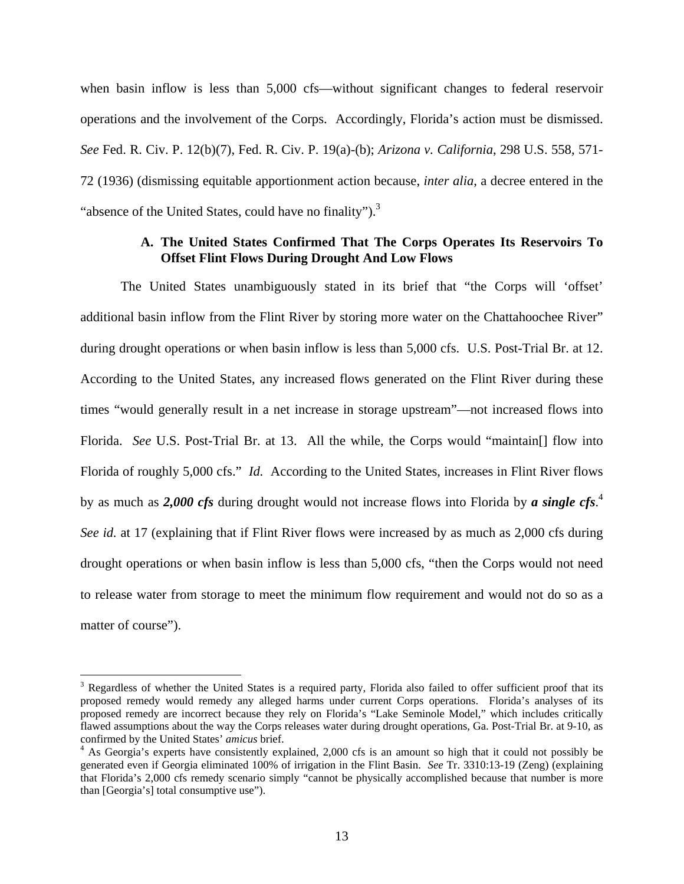when basin inflow is less than 5,000 cfs—without significant changes to federal reservoir operations and the involvement of the Corps. Accordingly, Florida's action must be dismissed. *See* Fed. R. Civ. P. 12(b)(7), Fed. R. Civ. P. 19(a)-(b); *Arizona v. California*, 298 U.S. 558, 571- 72 (1936) (dismissing equitable apportionment action because, *inter alia*, a decree entered in the "absence of the United States, could have no finality" $)^3$ .

#### **A. The United States Confirmed That The Corps Operates Its Reservoirs To Offset Flint Flows During Drought And Low Flows**

The United States unambiguously stated in its brief that "the Corps will 'offset' additional basin inflow from the Flint River by storing more water on the Chattahoochee River" during drought operations or when basin inflow is less than 5,000 cfs. U.S. Post-Trial Br. at 12. According to the United States, any increased flows generated on the Flint River during these times "would generally result in a net increase in storage upstream"—not increased flows into Florida. *See* U.S. Post-Trial Br. at 13. All the while, the Corps would "maintain[] flow into Florida of roughly 5,000 cfs." *Id.* According to the United States, increases in Flint River flows by as much as *2,000 cfs* during drought would not increase flows into Florida by *a single cfs*. 4 *See id.* at 17 (explaining that if Flint River flows were increased by as much as 2,000 cfs during drought operations or when basin inflow is less than 5,000 cfs, "then the Corps would not need to release water from storage to meet the minimum flow requirement and would not do so as a matter of course").

1

<sup>&</sup>lt;sup>3</sup> Regardless of whether the United States is a required party, Florida also failed to offer sufficient proof that its proposed remedy would remedy any alleged harms under current Corps operations. Florida's analyses of its proposed remedy are incorrect because they rely on Florida's "Lake Seminole Model," which includes critically flawed assumptions about the way the Corps releases water during drought operations, Ga. Post-Trial Br. at 9-10, as confirmed by the United States' *amicus* brief. 4

<sup>&</sup>lt;sup>4</sup> As Georgia's experts have consistently explained, 2,000 cfs is an amount so high that it could not possibly be generated even if Georgia eliminated 100% of irrigation in the Flint Basin. *See* Tr. 3310:13-19 (Zeng) (explaining that Florida's 2,000 cfs remedy scenario simply "cannot be physically accomplished because that number is more than [Georgia's] total consumptive use").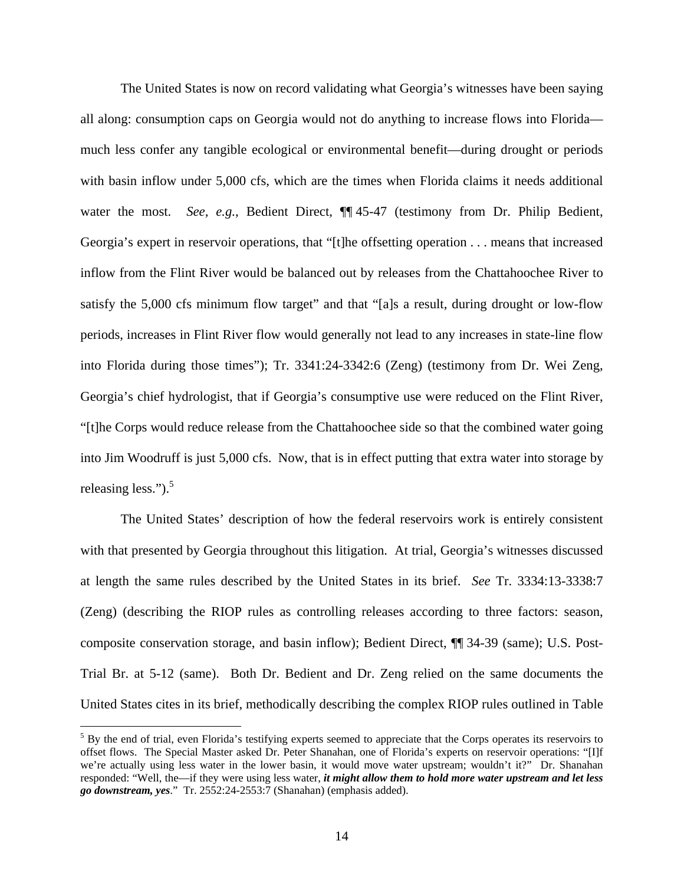The United States is now on record validating what Georgia's witnesses have been saying all along: consumption caps on Georgia would not do anything to increase flows into Florida much less confer any tangible ecological or environmental benefit—during drought or periods with basin inflow under 5,000 cfs, which are the times when Florida claims it needs additional water the most. *See, e.g.*, Bedient Direct,  $\P$  45-47 (testimony from Dr. Philip Bedient, Georgia's expert in reservoir operations, that "[t]he offsetting operation . . . means that increased inflow from the Flint River would be balanced out by releases from the Chattahoochee River to satisfy the 5,000 cfs minimum flow target" and that "[a]s a result, during drought or low-flow periods, increases in Flint River flow would generally not lead to any increases in state-line flow into Florida during those times"); Tr. 3341:24-3342:6 (Zeng) (testimony from Dr. Wei Zeng, Georgia's chief hydrologist, that if Georgia's consumptive use were reduced on the Flint River, "[t]he Corps would reduce release from the Chattahoochee side so that the combined water going into Jim Woodruff is just 5,000 cfs. Now, that is in effect putting that extra water into storage by releasing less."). $5$ 

The United States' description of how the federal reservoirs work is entirely consistent with that presented by Georgia throughout this litigation. At trial, Georgia's witnesses discussed at length the same rules described by the United States in its brief. *See* Tr. 3334:13-3338:7 (Zeng) (describing the RIOP rules as controlling releases according to three factors: season, composite conservation storage, and basin inflow); Bedient Direct, ¶¶ 34-39 (same); U.S. Post-Trial Br. at 5-12 (same). Both Dr. Bedient and Dr. Zeng relied on the same documents the United States cites in its brief, methodically describing the complex RIOP rules outlined in Table

 $<sup>5</sup>$  By the end of trial, even Florida's testifying experts seemed to appreciate that the Corps operates its reservoirs to</sup> offset flows. The Special Master asked Dr. Peter Shanahan, one of Florida's experts on reservoir operations: "[I]f we're actually using less water in the lower basin, it would move water upstream; wouldn't it?" Dr. Shanahan responded: "Well, the—if they were using less water, *it might allow them to hold more water upstream and let less go downstream, yes*." Tr. 2552:24-2553:7 (Shanahan) (emphasis added).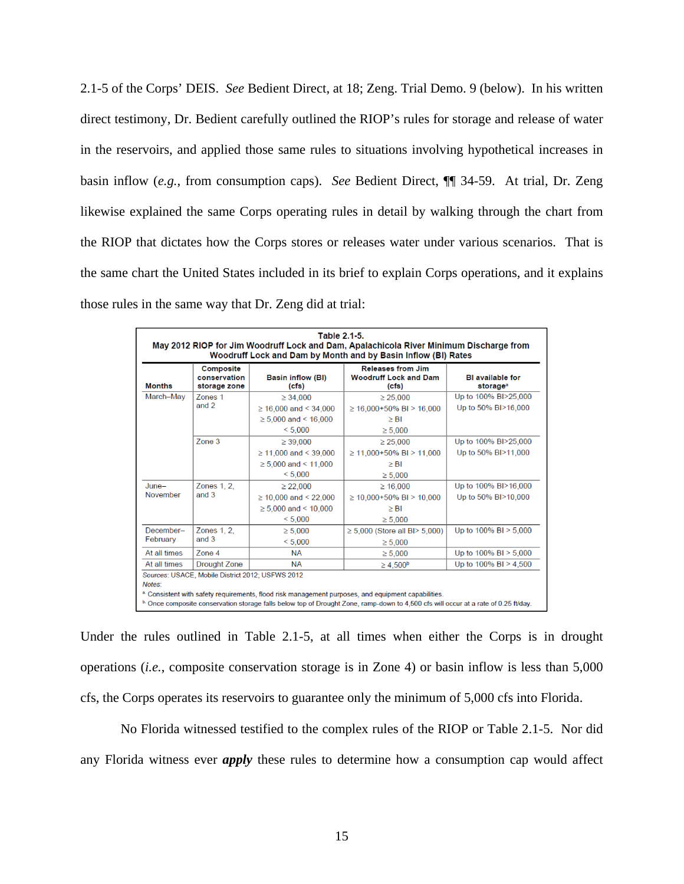2.1-5 of the Corps' DEIS. *See* Bedient Direct, at 18; Zeng. Trial Demo. 9 (below). In his written direct testimony, Dr. Bedient carefully outlined the RIOP's rules for storage and release of water in the reservoirs, and applied those same rules to situations involving hypothetical increases in basin inflow (*e.g.*, from consumption caps). *See* Bedient Direct, ¶¶ 34-59. At trial, Dr. Zeng likewise explained the same Corps operating rules in detail by walking through the chart from the RIOP that dictates how the Corps stores or releases water under various scenarios. That is the same chart the United States included in its brief to explain Corps operations, and it explains those rules in the same way that Dr. Zeng did at trial:

| May 2012 RIOP for Jim Woodruff Lock and Dam, Apalachicola River Minimum Discharge from<br>Woodruff Lock and Dam by Month and by Basin Inflow (BI) Rates |                                                  |                                   |                                                                   |                                                 |
|---------------------------------------------------------------------------------------------------------------------------------------------------------|--------------------------------------------------|-----------------------------------|-------------------------------------------------------------------|-------------------------------------------------|
| <b>Months</b>                                                                                                                                           | <b>Composite</b><br>conservation<br>storage zone | <b>Basin inflow (BI)</b><br>(cfs) | <b>Releases from Jim</b><br><b>Woodruff Lock and Dam</b><br>(cfs) | <b>BI</b> available for<br>storage <sup>a</sup> |
| March-May                                                                                                                                               | Zones <sub>1</sub>                               | $\geq 34.000$                     | $\geq 25.000$                                                     | Up to 100% BI>25,000                            |
|                                                                                                                                                         | and 2                                            | $\geq$ 16,000 and < 34,000        | $\geq$ 16.000+50% BI > 16.000                                     | Up to 50% BI>16,000                             |
|                                                                                                                                                         |                                                  | $\geq 5,000$ and < 16,000         | $\geq$ BI                                                         |                                                 |
|                                                                                                                                                         |                                                  | < 5,000                           | $\geq 5.000$                                                      |                                                 |
|                                                                                                                                                         | Zone 3                                           | $\geq 39,000$                     | $\geq 25,000$                                                     | Up to 100% BI>25,000                            |
|                                                                                                                                                         |                                                  | $\geq$ 11,000 and < 39,000        | $\geq$ 11.000+50% BI > 11.000                                     | Up to 50% BI>11,000                             |
|                                                                                                                                                         |                                                  | $\geq 5,000$ and < 11,000         | $\geq$ BI                                                         |                                                 |
|                                                                                                                                                         |                                                  | < 5.000                           | $\geq 5,000$                                                      |                                                 |
| $June-$                                                                                                                                                 | Zones 1, 2,<br>and 3                             | $\geq$ 22,000                     | $\geq 16,000$                                                     | Up to 100% BI>16,000                            |
| November                                                                                                                                                |                                                  | $\geq$ 10,000 and < 22,000        | $\geq$ 10.000+50% BI > 10.000                                     | Up to 50% BI>10,000                             |
|                                                                                                                                                         |                                                  | $\geq 5.000$ and < 10.000         | $\geq$ BI                                                         |                                                 |
|                                                                                                                                                         |                                                  | < 5.000                           | $\geq 5,000$                                                      |                                                 |
| December-<br>February                                                                                                                                   | Zones 1, 2,                                      | $\geq 5.000$                      | $\geq 5,000$ (Store all BI $> 5,000$ )                            | Up to 100% BI > 5,000                           |
|                                                                                                                                                         | and 3                                            | < 5.000                           | $\geq 5,000$                                                      |                                                 |
| At all times                                                                                                                                            | Zone 4                                           | <b>NA</b>                         | $\geq 5.000$                                                      | Up to $100\%$ BI $> 5,000$                      |
| At all times                                                                                                                                            | <b>Drought Zone</b>                              | <b>NA</b>                         | $\geq 4,500^{\rm b}$                                              | Up to 100% BI > 4,500                           |
| Notes:                                                                                                                                                  | Sources: USACE, Mobile District 2012; USFWS 2012 |                                   |                                                                   |                                                 |

Under the rules outlined in Table 2.1-5, at all times when either the Corps is in drought operations (*i.e.*, composite conservation storage is in Zone 4) or basin inflow is less than 5,000 cfs, the Corps operates its reservoirs to guarantee only the minimum of 5,000 cfs into Florida.

 No Florida witnessed testified to the complex rules of the RIOP or Table 2.1-5. Nor did any Florida witness ever *apply* these rules to determine how a consumption cap would affect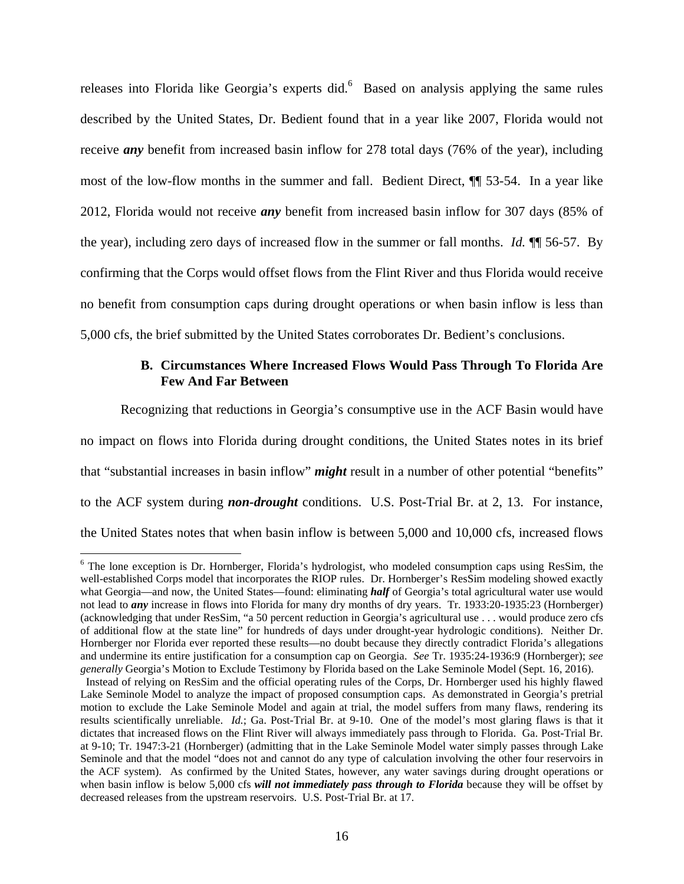releases into Florida like Georgia's experts did.<sup>6</sup> Based on analysis applying the same rules described by the United States, Dr. Bedient found that in a year like 2007, Florida would not receive *any* benefit from increased basin inflow for 278 total days (76% of the year), including most of the low-flow months in the summer and fall. Bedient Direct, ¶¶ 53-54. In a year like 2012, Florida would not receive *any* benefit from increased basin inflow for 307 days (85% of the year), including zero days of increased flow in the summer or fall months. *Id.* ¶¶ 56-57. By confirming that the Corps would offset flows from the Flint River and thus Florida would receive no benefit from consumption caps during drought operations or when basin inflow is less than 5,000 cfs, the brief submitted by the United States corroborates Dr. Bedient's conclusions.

#### **B. Circumstances Where Increased Flows Would Pass Through To Florida Are Few And Far Between**

Recognizing that reductions in Georgia's consumptive use in the ACF Basin would have no impact on flows into Florida during drought conditions, the United States notes in its brief that "substantial increases in basin inflow" *might* result in a number of other potential "benefits" to the ACF system during *non-drought* conditions. U.S. Post-Trial Br. at 2, 13. For instance, the United States notes that when basin inflow is between 5,000 and 10,000 cfs, increased flows

<sup>&</sup>lt;sup>6</sup> The lone exception is Dr. Hornberger, Florida's hydrologist, who modeled consumption caps using ResSim, the well-established Corps model that incorporates the RIOP rules. Dr. Hornberger's ResSim modeling showed exactly what Georgia—and now, the United States—found: eliminating *half* of Georgia's total agricultural water use would not lead to *any* increase in flows into Florida for many dry months of dry years. Tr. 1933:20-1935:23 (Hornberger) (acknowledging that under ResSim, "a 50 percent reduction in Georgia's agricultural use . . . would produce zero cfs of additional flow at the state line" for hundreds of days under drought-year hydrologic conditions). Neither Dr. Hornberger nor Florida ever reported these results—no doubt because they directly contradict Florida's allegations and undermine its entire justification for a consumption cap on Georgia. *See* Tr. 1935:24-1936:9 (Hornberger); *see generally* Georgia's Motion to Exclude Testimony by Florida based on the Lake Seminole Model (Sept. 16, 2016).

Instead of relying on ResSim and the official operating rules of the Corps, Dr. Hornberger used his highly flawed Lake Seminole Model to analyze the impact of proposed consumption caps. As demonstrated in Georgia's pretrial motion to exclude the Lake Seminole Model and again at trial, the model suffers from many flaws, rendering its results scientifically unreliable. *Id.*; Ga. Post-Trial Br. at 9-10. One of the model's most glaring flaws is that it dictates that increased flows on the Flint River will always immediately pass through to Florida. Ga. Post-Trial Br. at 9-10; Tr. 1947:3-21 (Hornberger) (admitting that in the Lake Seminole Model water simply passes through Lake Seminole and that the model "does not and cannot do any type of calculation involving the other four reservoirs in the ACF system). As confirmed by the United States, however, any water savings during drought operations or when basin inflow is below 5,000 cfs *will not immediately pass through to Florida* because they will be offset by decreased releases from the upstream reservoirs. U.S. Post-Trial Br. at 17.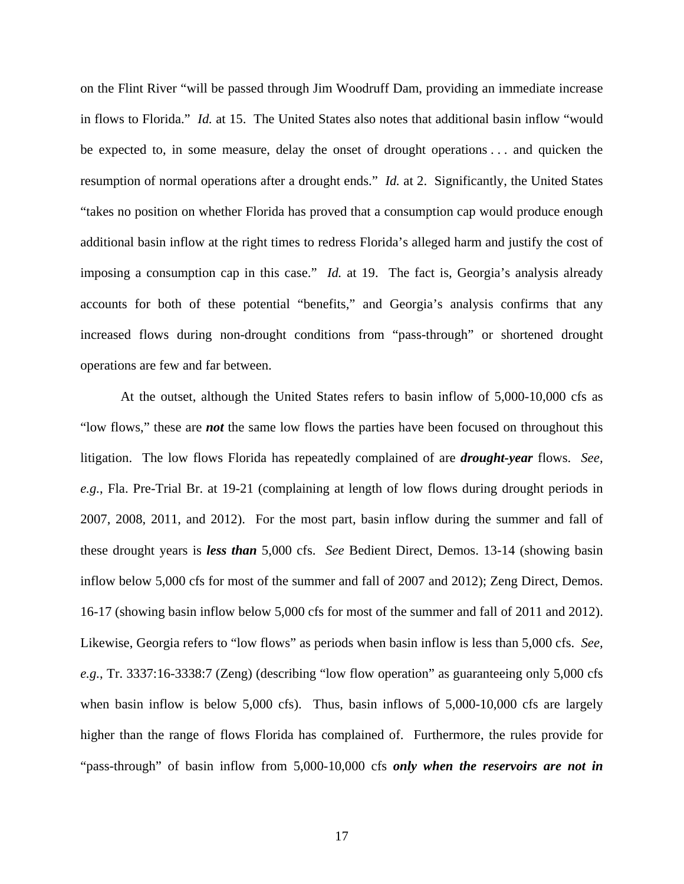on the Flint River "will be passed through Jim Woodruff Dam, providing an immediate increase in flows to Florida." *Id.* at 15. The United States also notes that additional basin inflow "would be expected to, in some measure, delay the onset of drought operations . . . and quicken the resumption of normal operations after a drought ends." *Id.* at 2. Significantly, the United States "takes no position on whether Florida has proved that a consumption cap would produce enough additional basin inflow at the right times to redress Florida's alleged harm and justify the cost of imposing a consumption cap in this case." *Id.* at 19. The fact is, Georgia's analysis already accounts for both of these potential "benefits," and Georgia's analysis confirms that any increased flows during non-drought conditions from "pass-through" or shortened drought operations are few and far between.

At the outset, although the United States refers to basin inflow of 5,000-10,000 cfs as "low flows," these are *not* the same low flows the parties have been focused on throughout this litigation. The low flows Florida has repeatedly complained of are *drought-year* flows. *See, e.g.*, Fla. Pre-Trial Br. at 19-21 (complaining at length of low flows during drought periods in 2007, 2008, 2011, and 2012). For the most part, basin inflow during the summer and fall of these drought years is *less than* 5,000 cfs. *See* Bedient Direct, Demos. 13-14 (showing basin inflow below 5,000 cfs for most of the summer and fall of 2007 and 2012); Zeng Direct, Demos. 16-17 (showing basin inflow below 5,000 cfs for most of the summer and fall of 2011 and 2012). Likewise, Georgia refers to "low flows" as periods when basin inflow is less than 5,000 cfs. *See, e.g.*, Tr. 3337:16-3338:7 (Zeng) (describing "low flow operation" as guaranteeing only 5,000 cfs when basin inflow is below 5,000 cfs). Thus, basin inflows of 5,000-10,000 cfs are largely higher than the range of flows Florida has complained of. Furthermore, the rules provide for "pass-through" of basin inflow from 5,000-10,000 cfs *only when the reservoirs are not in*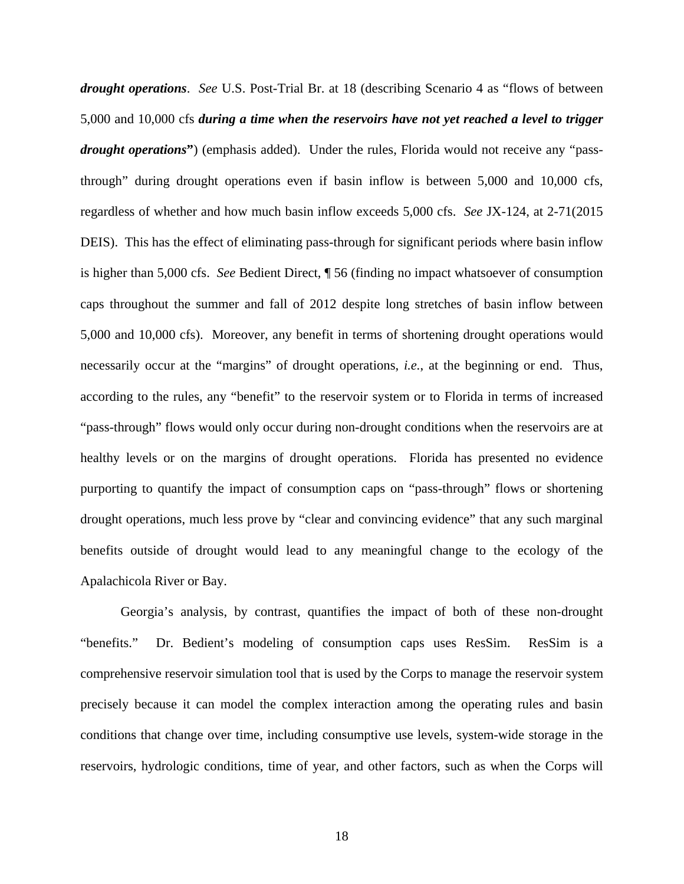*drought operations*. *See* U.S. Post-Trial Br. at 18 (describing Scenario 4 as "flows of between 5,000 and 10,000 cfs *during a time when the reservoirs have not yet reached a level to trigger drought operations***"**) (emphasis added). Under the rules, Florida would not receive any "passthrough" during drought operations even if basin inflow is between 5,000 and 10,000 cfs, regardless of whether and how much basin inflow exceeds 5,000 cfs. *See* JX-124, at 2-71(2015 DEIS). This has the effect of eliminating pass-through for significant periods where basin inflow is higher than 5,000 cfs. *See* Bedient Direct, ¶ 56 (finding no impact whatsoever of consumption caps throughout the summer and fall of 2012 despite long stretches of basin inflow between 5,000 and 10,000 cfs). Moreover, any benefit in terms of shortening drought operations would necessarily occur at the "margins" of drought operations, *i.e.*, at the beginning or end. Thus, according to the rules, any "benefit" to the reservoir system or to Florida in terms of increased "pass-through" flows would only occur during non-drought conditions when the reservoirs are at healthy levels or on the margins of drought operations. Florida has presented no evidence purporting to quantify the impact of consumption caps on "pass-through" flows or shortening drought operations, much less prove by "clear and convincing evidence" that any such marginal benefits outside of drought would lead to any meaningful change to the ecology of the Apalachicola River or Bay.

Georgia's analysis, by contrast, quantifies the impact of both of these non-drought "benefits." Dr. Bedient's modeling of consumption caps uses ResSim. ResSim is a comprehensive reservoir simulation tool that is used by the Corps to manage the reservoir system precisely because it can model the complex interaction among the operating rules and basin conditions that change over time, including consumptive use levels, system-wide storage in the reservoirs, hydrologic conditions, time of year, and other factors, such as when the Corps will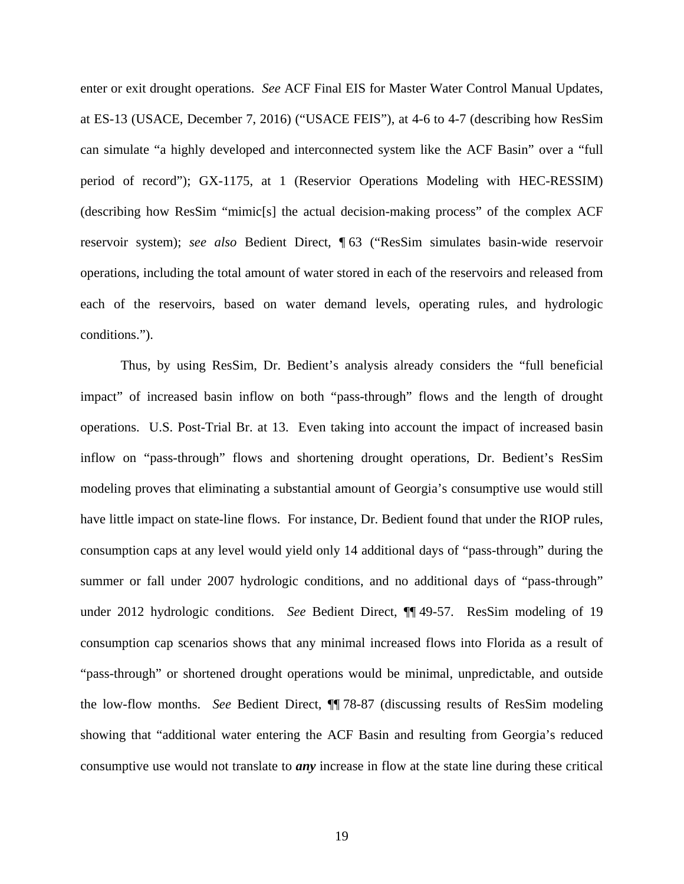enter or exit drought operations. *See* ACF Final EIS for Master Water Control Manual Updates, at ES-13 (USACE, December 7, 2016) ("USACE FEIS"), at 4-6 to 4-7 (describing how ResSim can simulate "a highly developed and interconnected system like the ACF Basin" over a "full period of record"); GX-1175, at 1 (Reservior Operations Modeling with HEC-RESSIM) (describing how ResSim "mimic[s] the actual decision-making process" of the complex ACF reservoir system); *see also* Bedient Direct, ¶ 63 ("ResSim simulates basin-wide reservoir operations, including the total amount of water stored in each of the reservoirs and released from each of the reservoirs, based on water demand levels, operating rules, and hydrologic conditions.").

Thus, by using ResSim, Dr. Bedient's analysis already considers the "full beneficial impact" of increased basin inflow on both "pass-through" flows and the length of drought operations. U.S. Post-Trial Br. at 13. Even taking into account the impact of increased basin inflow on "pass-through" flows and shortening drought operations, Dr. Bedient's ResSim modeling proves that eliminating a substantial amount of Georgia's consumptive use would still have little impact on state-line flows. For instance, Dr. Bedient found that under the RIOP rules, consumption caps at any level would yield only 14 additional days of "pass-through" during the summer or fall under 2007 hydrologic conditions, and no additional days of "pass-through" under 2012 hydrologic conditions. *See* Bedient Direct, ¶¶ 49-57. ResSim modeling of 19 consumption cap scenarios shows that any minimal increased flows into Florida as a result of "pass-through" or shortened drought operations would be minimal, unpredictable, and outside the low-flow months. *See* Bedient Direct, ¶¶ 78-87 (discussing results of ResSim modeling showing that "additional water entering the ACF Basin and resulting from Georgia's reduced consumptive use would not translate to *any* increase in flow at the state line during these critical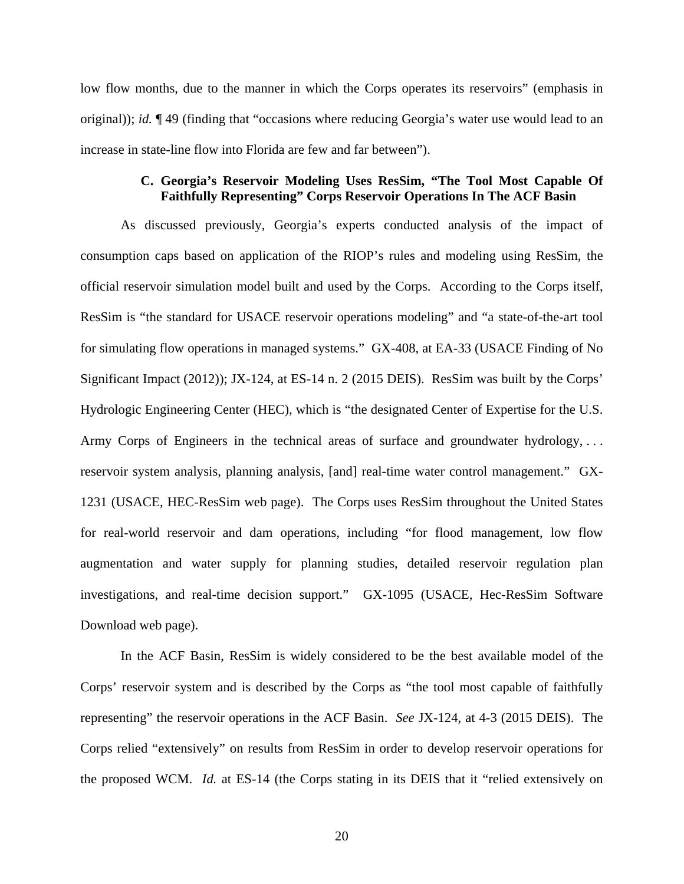low flow months, due to the manner in which the Corps operates its reservoirs" (emphasis in original)); *id.* ¶ 49 (finding that "occasions where reducing Georgia's water use would lead to an increase in state-line flow into Florida are few and far between").

#### **C. Georgia's Reservoir Modeling Uses ResSim, "The Tool Most Capable Of Faithfully Representing" Corps Reservoir Operations In The ACF Basin**

As discussed previously, Georgia's experts conducted analysis of the impact of consumption caps based on application of the RIOP's rules and modeling using ResSim, the official reservoir simulation model built and used by the Corps. According to the Corps itself, ResSim is "the standard for USACE reservoir operations modeling" and "a state-of-the-art tool for simulating flow operations in managed systems." GX-408, at EA-33 (USACE Finding of No Significant Impact (2012)); JX-124, at ES-14 n. 2 (2015 DEIS). ResSim was built by the Corps' Hydrologic Engineering Center (HEC), which is "the designated Center of Expertise for the U.S. Army Corps of Engineers in the technical areas of surface and groundwater hydrology, . . . reservoir system analysis, planning analysis, [and] real-time water control management." GX-1231 (USACE, HEC-ResSim web page). The Corps uses ResSim throughout the United States for real-world reservoir and dam operations, including "for flood management, low flow augmentation and water supply for planning studies, detailed reservoir regulation plan investigations, and real-time decision support." GX-1095 (USACE, Hec-ResSim Software Download web page).

In the ACF Basin, ResSim is widely considered to be the best available model of the Corps' reservoir system and is described by the Corps as "the tool most capable of faithfully representing" the reservoir operations in the ACF Basin. *See* JX-124, at 4-3 (2015 DEIS). The Corps relied "extensively" on results from ResSim in order to develop reservoir operations for the proposed WCM. *Id.* at ES-14 (the Corps stating in its DEIS that it "relied extensively on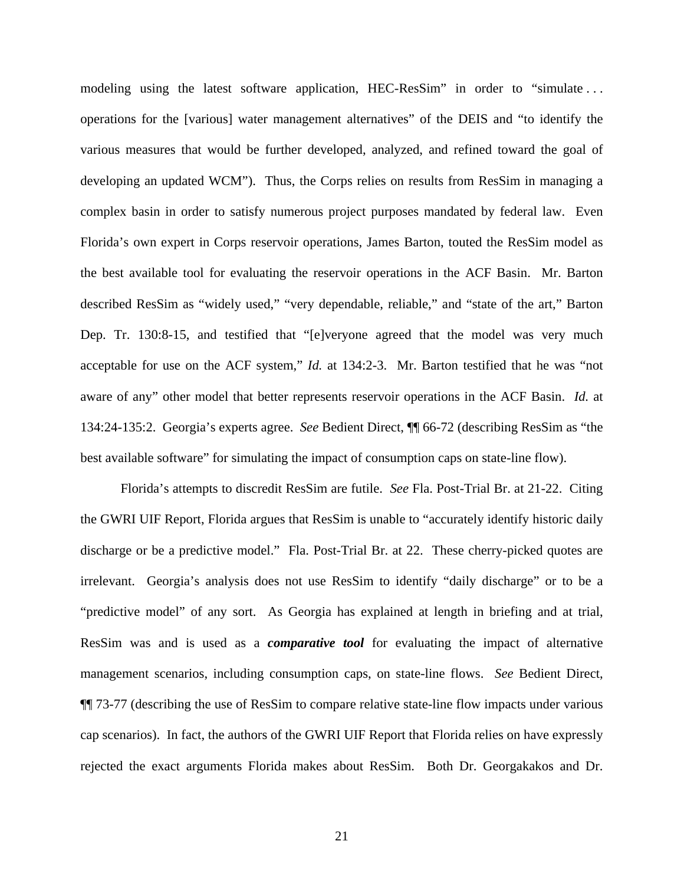modeling using the latest software application, HEC-ResSim" in order to "simulate . . . operations for the [various] water management alternatives" of the DEIS and "to identify the various measures that would be further developed, analyzed, and refined toward the goal of developing an updated WCM"). Thus, the Corps relies on results from ResSim in managing a complex basin in order to satisfy numerous project purposes mandated by federal law. Even Florida's own expert in Corps reservoir operations, James Barton, touted the ResSim model as the best available tool for evaluating the reservoir operations in the ACF Basin. Mr. Barton described ResSim as "widely used," "very dependable, reliable," and "state of the art," Barton Dep. Tr. 130:8-15, and testified that "[e]veryone agreed that the model was very much acceptable for use on the ACF system," *Id.* at 134:2-3. Mr. Barton testified that he was "not aware of any" other model that better represents reservoir operations in the ACF Basin. *Id.* at 134:24-135:2. Georgia's experts agree. *See* Bedient Direct, ¶¶ 66-72 (describing ResSim as "the best available software" for simulating the impact of consumption caps on state-line flow).

Florida's attempts to discredit ResSim are futile. *See* Fla. Post-Trial Br. at 21-22. Citing the GWRI UIF Report, Florida argues that ResSim is unable to "accurately identify historic daily discharge or be a predictive model." Fla. Post-Trial Br. at 22. These cherry-picked quotes are irrelevant. Georgia's analysis does not use ResSim to identify "daily discharge" or to be a "predictive model" of any sort. As Georgia has explained at length in briefing and at trial, ResSim was and is used as a *comparative tool* for evaluating the impact of alternative management scenarios, including consumption caps, on state-line flows. *See* Bedient Direct, ¶¶ 73-77 (describing the use of ResSim to compare relative state-line flow impacts under various cap scenarios). In fact, the authors of the GWRI UIF Report that Florida relies on have expressly rejected the exact arguments Florida makes about ResSim. Both Dr. Georgakakos and Dr.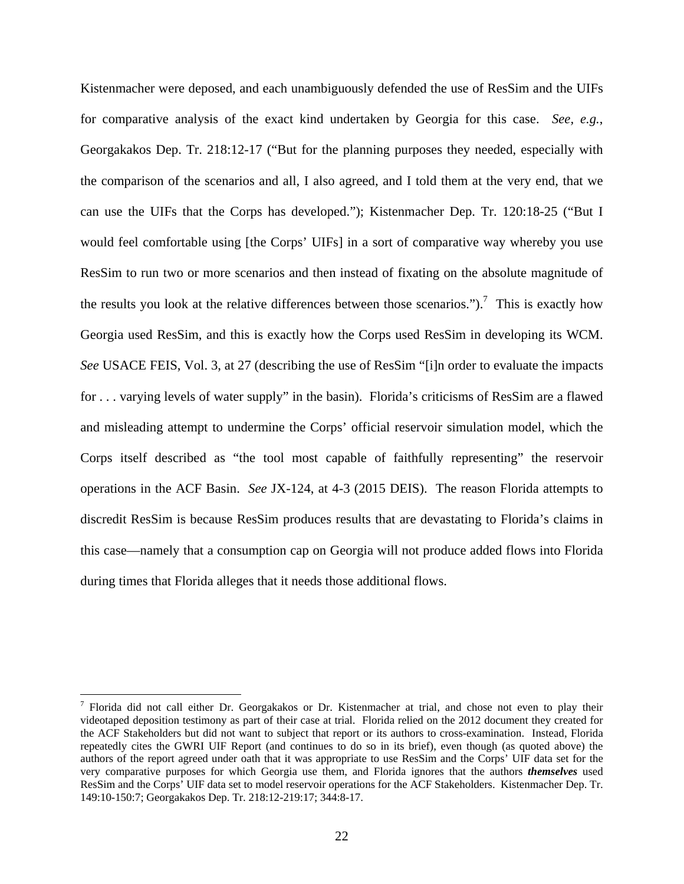Kistenmacher were deposed, and each unambiguously defended the use of ResSim and the UIFs for comparative analysis of the exact kind undertaken by Georgia for this case. *See, e.g.*, Georgakakos Dep. Tr. 218:12-17 ("But for the planning purposes they needed, especially with the comparison of the scenarios and all, I also agreed, and I told them at the very end, that we can use the UIFs that the Corps has developed."); Kistenmacher Dep. Tr. 120:18-25 ("But I would feel comfortable using [the Corps' UIFs] in a sort of comparative way whereby you use ResSim to run two or more scenarios and then instead of fixating on the absolute magnitude of the results you look at the relative differences between those scenarios.").<sup>7</sup> This is exactly how Georgia used ResSim, and this is exactly how the Corps used ResSim in developing its WCM. *See* USACE FEIS, Vol. 3, at 27 (describing the use of ResSim "[i]n order to evaluate the impacts for . . . varying levels of water supply" in the basin). Florida's criticisms of ResSim are a flawed and misleading attempt to undermine the Corps' official reservoir simulation model, which the Corps itself described as "the tool most capable of faithfully representing" the reservoir operations in the ACF Basin. *See* JX-124, at 4-3 (2015 DEIS). The reason Florida attempts to discredit ResSim is because ResSim produces results that are devastating to Florida's claims in this case—namely that a consumption cap on Georgia will not produce added flows into Florida during times that Florida alleges that it needs those additional flows.

<sup>&</sup>lt;sup>7</sup> Florida did not call either Dr. Georgakakos or Dr. Kistenmacher at trial, and chose not even to play their videotaped deposition testimony as part of their case at trial. Florida relied on the 2012 document they created for the ACF Stakeholders but did not want to subject that report or its authors to cross-examination. Instead, Florida repeatedly cites the GWRI UIF Report (and continues to do so in its brief), even though (as quoted above) the authors of the report agreed under oath that it was appropriate to use ResSim and the Corps' UIF data set for the very comparative purposes for which Georgia use them, and Florida ignores that the authors *themselves* used ResSim and the Corps' UIF data set to model reservoir operations for the ACF Stakeholders. Kistenmacher Dep. Tr. 149:10-150:7; Georgakakos Dep. Tr. 218:12-219:17; 344:8-17.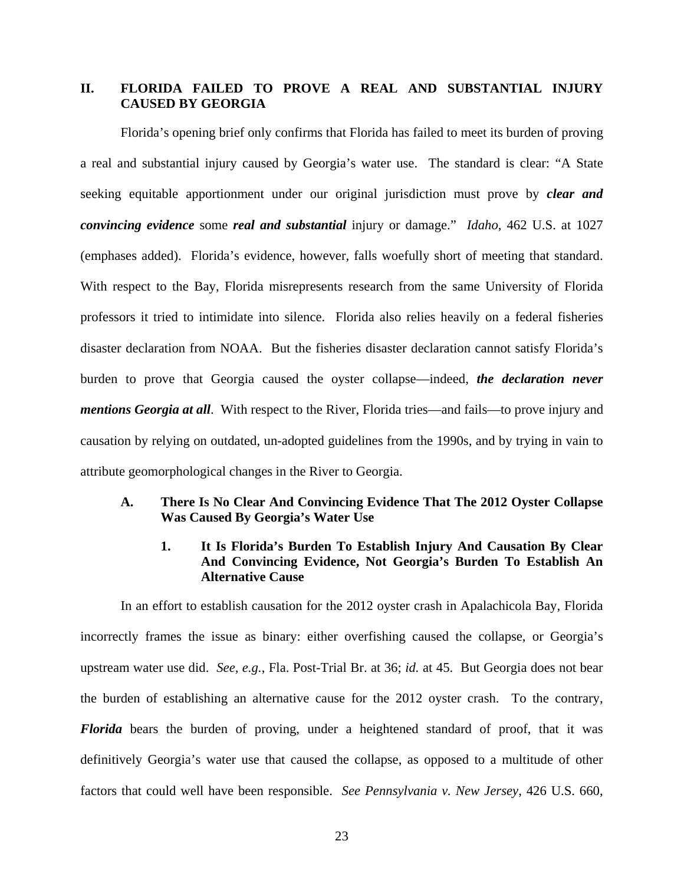# **II. FLORIDA FAILED TO PROVE A REAL AND SUBSTANTIAL INJURY CAUSED BY GEORGIA**

Florida's opening brief only confirms that Florida has failed to meet its burden of proving a real and substantial injury caused by Georgia's water use. The standard is clear: "A State seeking equitable apportionment under our original jurisdiction must prove by *clear and convincing evidence* some *real and substantial* injury or damage." *Idaho*, 462 U.S. at 1027 (emphases added). Florida's evidence, however, falls woefully short of meeting that standard. With respect to the Bay, Florida misrepresents research from the same University of Florida professors it tried to intimidate into silence. Florida also relies heavily on a federal fisheries disaster declaration from NOAA. But the fisheries disaster declaration cannot satisfy Florida's burden to prove that Georgia caused the oyster collapse—indeed, *the declaration never mentions Georgia at all*. With respect to the River, Florida tries—and fails—to prove injury and causation by relying on outdated, un-adopted guidelines from the 1990s, and by trying in vain to attribute geomorphological changes in the River to Georgia.

#### **A. There Is No Clear And Convincing Evidence That The 2012 Oyster Collapse Was Caused By Georgia's Water Use**

## **1. It Is Florida's Burden To Establish Injury And Causation By Clear And Convincing Evidence, Not Georgia's Burden To Establish An Alternative Cause**

In an effort to establish causation for the 2012 oyster crash in Apalachicola Bay, Florida incorrectly frames the issue as binary: either overfishing caused the collapse, or Georgia's upstream water use did. *See, e.g.*, Fla. Post-Trial Br. at 36; *id.* at 45. But Georgia does not bear the burden of establishing an alternative cause for the 2012 oyster crash. To the contrary, *Florida* bears the burden of proving, under a heightened standard of proof, that it was definitively Georgia's water use that caused the collapse, as opposed to a multitude of other factors that could well have been responsible. *See Pennsylvania v. New Jersey*, 426 U.S. 660,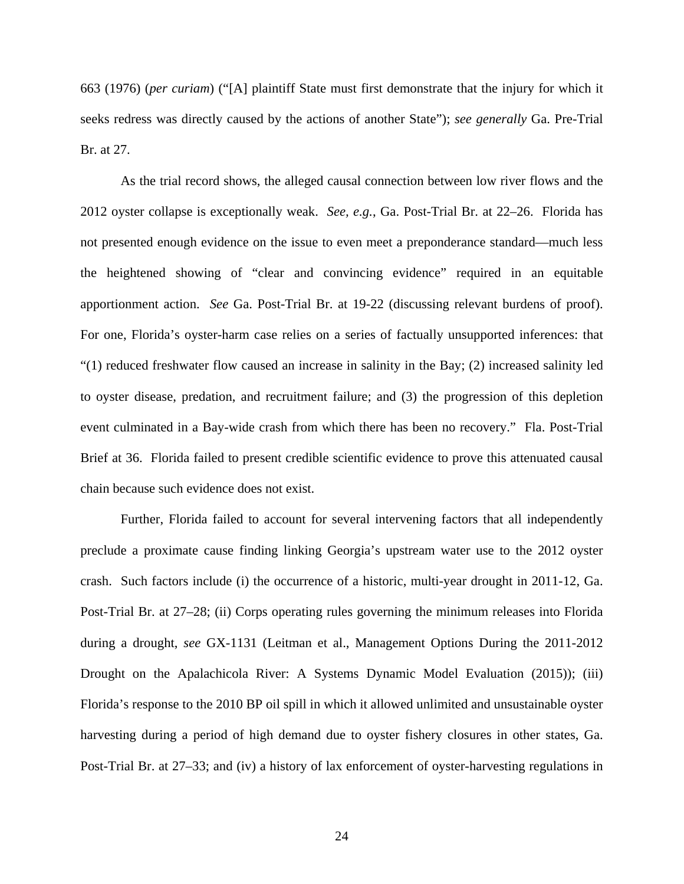663 (1976) (*per curiam*) ("[A] plaintiff State must first demonstrate that the injury for which it seeks redress was directly caused by the actions of another State"); *see generally* Ga. Pre-Trial Br. at 27.

As the trial record shows, the alleged causal connection between low river flows and the 2012 oyster collapse is exceptionally weak. *See, e.g.*, Ga. Post-Trial Br. at 22–26. Florida has not presented enough evidence on the issue to even meet a preponderance standard––much less the heightened showing of "clear and convincing evidence" required in an equitable apportionment action. *See* Ga. Post-Trial Br. at 19-22 (discussing relevant burdens of proof). For one, Florida's oyster-harm case relies on a series of factually unsupported inferences: that "(1) reduced freshwater flow caused an increase in salinity in the Bay; (2) increased salinity led to oyster disease, predation, and recruitment failure; and (3) the progression of this depletion event culminated in a Bay-wide crash from which there has been no recovery." Fla. Post-Trial Brief at 36. Florida failed to present credible scientific evidence to prove this attenuated causal chain because such evidence does not exist.

Further, Florida failed to account for several intervening factors that all independently preclude a proximate cause finding linking Georgia's upstream water use to the 2012 oyster crash. Such factors include (i) the occurrence of a historic, multi-year drought in 2011-12, Ga. Post-Trial Br. at 27–28; (ii) Corps operating rules governing the minimum releases into Florida during a drought, *see* GX-1131 (Leitman et al., Management Options During the 2011-2012 Drought on the Apalachicola River: A Systems Dynamic Model Evaluation (2015)); (iii) Florida's response to the 2010 BP oil spill in which it allowed unlimited and unsustainable oyster harvesting during a period of high demand due to oyster fishery closures in other states, Ga. Post-Trial Br. at 27–33; and (iv) a history of lax enforcement of oyster-harvesting regulations in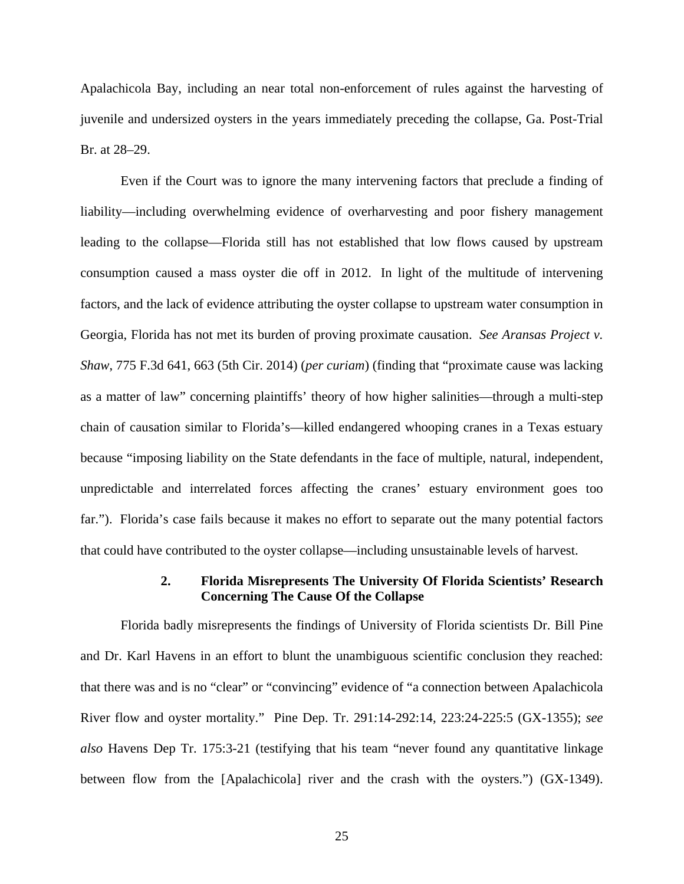Apalachicola Bay, including an near total non-enforcement of rules against the harvesting of juvenile and undersized oysters in the years immediately preceding the collapse, Ga. Post-Trial Br. at 28–29.

Even if the Court was to ignore the many intervening factors that preclude a finding of liability—including overwhelming evidence of overharvesting and poor fishery management leading to the collapse—Florida still has not established that low flows caused by upstream consumption caused a mass oyster die off in 2012. In light of the multitude of intervening factors, and the lack of evidence attributing the oyster collapse to upstream water consumption in Georgia, Florida has not met its burden of proving proximate causation. *See Aransas Project v. Shaw*, 775 F.3d 641, 663 (5th Cir. 2014) (*per curiam*) (finding that "proximate cause was lacking as a matter of law" concerning plaintiffs' theory of how higher salinities—through a multi-step chain of causation similar to Florida's—killed endangered whooping cranes in a Texas estuary because "imposing liability on the State defendants in the face of multiple, natural, independent, unpredictable and interrelated forces affecting the cranes' estuary environment goes too far."). Florida's case fails because it makes no effort to separate out the many potential factors that could have contributed to the oyster collapse—including unsustainable levels of harvest.

#### **2. Florida Misrepresents The University Of Florida Scientists' Research Concerning The Cause Of the Collapse**

Florida badly misrepresents the findings of University of Florida scientists Dr. Bill Pine and Dr. Karl Havens in an effort to blunt the unambiguous scientific conclusion they reached: that there was and is no "clear" or "convincing" evidence of "a connection between Apalachicola River flow and oyster mortality." Pine Dep. Tr. 291:14-292:14, 223:24-225:5 (GX-1355); *see also* Havens Dep Tr. 175:3-21 (testifying that his team "never found any quantitative linkage between flow from the [Apalachicola] river and the crash with the oysters.") (GX-1349).

25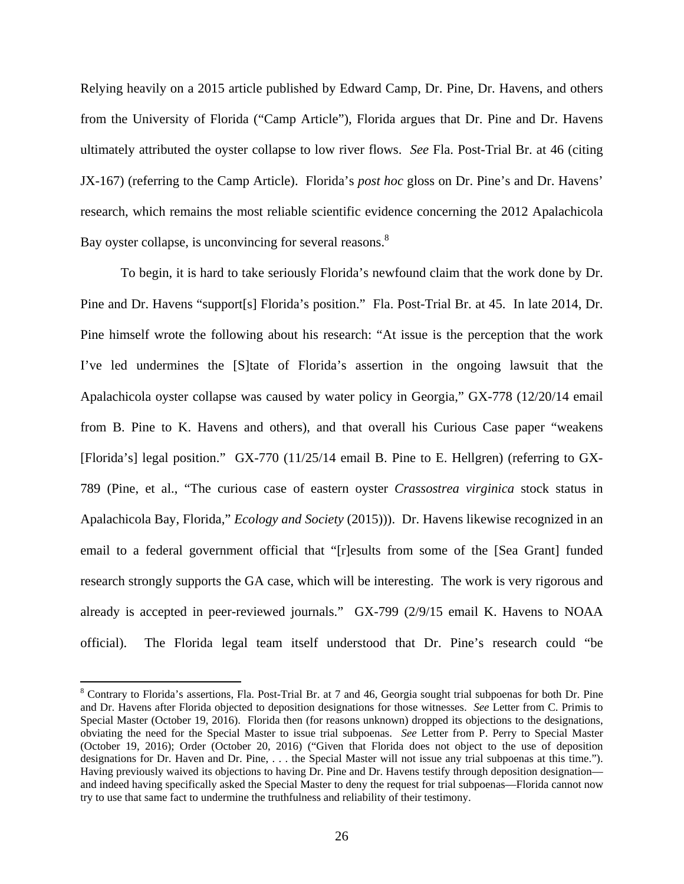Relying heavily on a 2015 article published by Edward Camp, Dr. Pine, Dr. Havens, and others from the University of Florida ("Camp Article"), Florida argues that Dr. Pine and Dr. Havens ultimately attributed the oyster collapse to low river flows. *See* Fla. Post-Trial Br. at 46 (citing JX-167) (referring to the Camp Article). Florida's *post hoc* gloss on Dr. Pine's and Dr. Havens' research, which remains the most reliable scientific evidence concerning the 2012 Apalachicola Bay oyster collapse, is unconvincing for several reasons.<sup>8</sup>

To begin, it is hard to take seriously Florida's newfound claim that the work done by Dr. Pine and Dr. Havens "support[s] Florida's position." Fla. Post-Trial Br. at 45. In late 2014, Dr. Pine himself wrote the following about his research: "At issue is the perception that the work I've led undermines the [S]tate of Florida's assertion in the ongoing lawsuit that the Apalachicola oyster collapse was caused by water policy in Georgia," GX-778 (12/20/14 email from B. Pine to K. Havens and others), and that overall his Curious Case paper "weakens [Florida's] legal position." GX-770 (11/25/14 email B. Pine to E. Hellgren) (referring to GX-789 (Pine, et al., "The curious case of eastern oyster *Crassostrea virginica* stock status in Apalachicola Bay, Florida," *Ecology and Society* (2015))). Dr. Havens likewise recognized in an email to a federal government official that "[r]esults from some of the [Sea Grant] funded research strongly supports the GA case, which will be interesting. The work is very rigorous and already is accepted in peer-reviewed journals." GX-799 (2/9/15 email K. Havens to NOAA official). The Florida legal team itself understood that Dr. Pine's research could "be

<sup>&</sup>lt;sup>8</sup> Contrary to Florida's assertions, Fla. Post-Trial Br. at 7 and 46, Georgia sought trial subpoenas for both Dr. Pine and Dr. Havens after Florida objected to deposition designations for those witnesses. *See* Letter from C. Primis to Special Master (October 19, 2016). Florida then (for reasons unknown) dropped its objections to the designations, obviating the need for the Special Master to issue trial subpoenas. *See* Letter from P. Perry to Special Master (October 19, 2016); Order (October 20, 2016) ("Given that Florida does not object to the use of deposition designations for Dr. Haven and Dr. Pine, . . . the Special Master will not issue any trial subpoenas at this time."). Having previously waived its objections to having Dr. Pine and Dr. Havens testify through deposition designation and indeed having specifically asked the Special Master to deny the request for trial subpoenas—Florida cannot now try to use that same fact to undermine the truthfulness and reliability of their testimony.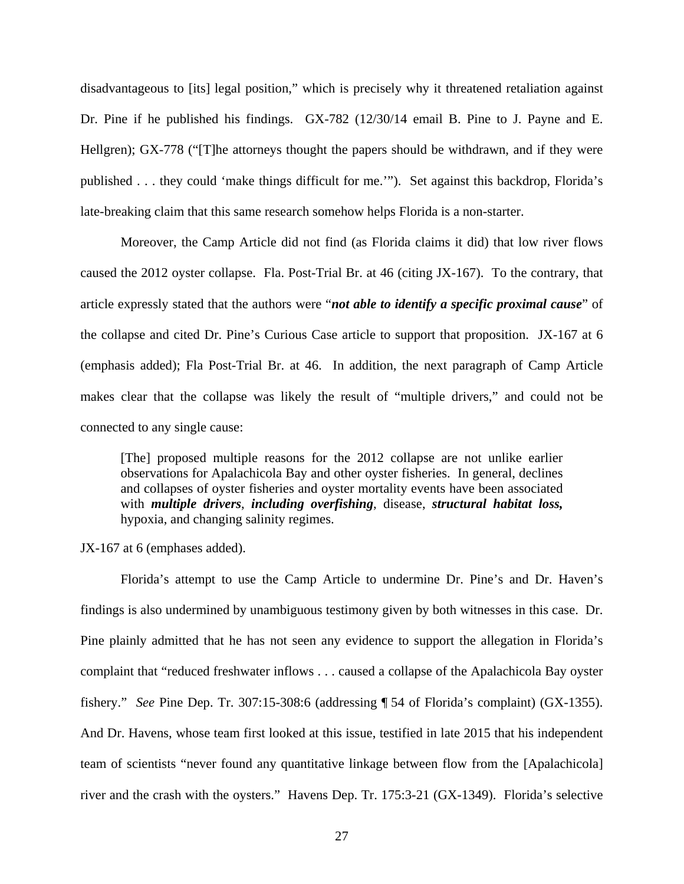disadvantageous to [its] legal position," which is precisely why it threatened retaliation against Dr. Pine if he published his findings. GX-782 (12/30/14 email B. Pine to J. Payne and E. Hellgren); GX-778 ("The attorneys thought the papers should be withdrawn, and if they were published . . . they could 'make things difficult for me.'"). Set against this backdrop, Florida's late-breaking claim that this same research somehow helps Florida is a non-starter.

Moreover, the Camp Article did not find (as Florida claims it did) that low river flows caused the 2012 oyster collapse. Fla. Post-Trial Br. at 46 (citing JX-167). To the contrary, that article expressly stated that the authors were "*not able to identify a specific proximal cause*" of the collapse and cited Dr. Pine's Curious Case article to support that proposition. JX-167 at 6 (emphasis added); Fla Post-Trial Br. at 46. In addition, the next paragraph of Camp Article makes clear that the collapse was likely the result of "multiple drivers," and could not be connected to any single cause:

[The] proposed multiple reasons for the 2012 collapse are not unlike earlier observations for Apalachicola Bay and other oyster fisheries. In general, declines and collapses of oyster fisheries and oyster mortality events have been associated with *multiple drivers*, *including overfishing*, disease, *structural habitat loss,*  hypoxia, and changing salinity regimes.

JX-167 at 6 (emphases added).

 Florida's attempt to use the Camp Article to undermine Dr. Pine's and Dr. Haven's findings is also undermined by unambiguous testimony given by both witnesses in this case.Dr. Pine plainly admitted that he has not seen any evidence to support the allegation in Florida's complaint that "reduced freshwater inflows . . . caused a collapse of the Apalachicola Bay oyster fishery." *See* Pine Dep. Tr. 307:15-308:6 (addressing ¶ 54 of Florida's complaint) (GX-1355). And Dr. Havens, whose team first looked at this issue, testified in late 2015 that his independent team of scientists "never found any quantitative linkage between flow from the [Apalachicola] river and the crash with the oysters." Havens Dep. Tr. 175:3-21 (GX-1349). Florida's selective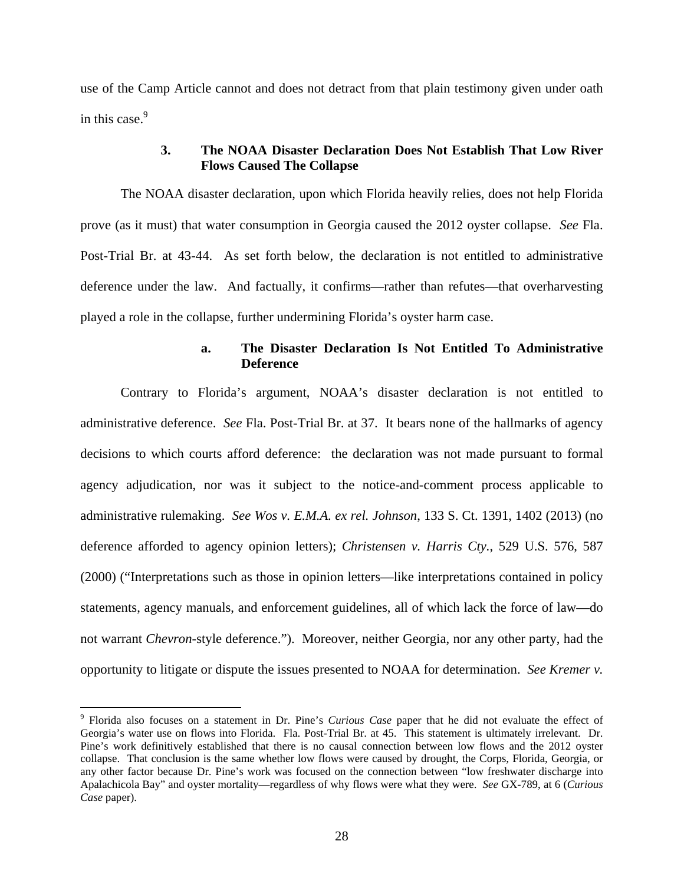use of the Camp Article cannot and does not detract from that plain testimony given under oath in this case.<sup>9</sup>

## **3. The NOAA Disaster Declaration Does Not Establish That Low River Flows Caused The Collapse**

The NOAA disaster declaration, upon which Florida heavily relies, does not help Florida prove (as it must) that water consumption in Georgia caused the 2012 oyster collapse. *See* Fla. Post-Trial Br. at 43-44. As set forth below, the declaration is not entitled to administrative deference under the law. And factually, it confirms—rather than refutes—that overharvesting played a role in the collapse, further undermining Florida's oyster harm case.

#### **a. The Disaster Declaration Is Not Entitled To Administrative Deference**

Contrary to Florida's argument, NOAA's disaster declaration is not entitled to administrative deference. *See* Fla. Post-Trial Br. at 37. It bears none of the hallmarks of agency decisions to which courts afford deference: the declaration was not made pursuant to formal agency adjudication, nor was it subject to the notice-and-comment process applicable to administrative rulemaking. *See Wos v. E.M.A. ex rel. Johnson*, 133 S. Ct. 1391, 1402 (2013) (no deference afforded to agency opinion letters); *Christensen v. Harris Cty.*, 529 U.S. 576, 587 (2000) ("Interpretations such as those in opinion letters—like interpretations contained in policy statements, agency manuals, and enforcement guidelines, all of which lack the force of law—do not warrant *Chevron*-style deference."). Moreover, neither Georgia, nor any other party, had the opportunity to litigate or dispute the issues presented to NOAA for determination. *See Kremer v.* 

<sup>9</sup> Florida also focuses on a statement in Dr. Pine's *Curious Case* paper that he did not evaluate the effect of Georgia's water use on flows into Florida. Fla. Post-Trial Br. at 45. This statement is ultimately irrelevant. Dr. Pine's work definitively established that there is no causal connection between low flows and the 2012 oyster collapse. That conclusion is the same whether low flows were caused by drought, the Corps, Florida, Georgia, or any other factor because Dr. Pine's work was focused on the connection between "low freshwater discharge into Apalachicola Bay" and oyster mortality—regardless of why flows were what they were. *See* GX-789, at 6 (*Curious Case* paper).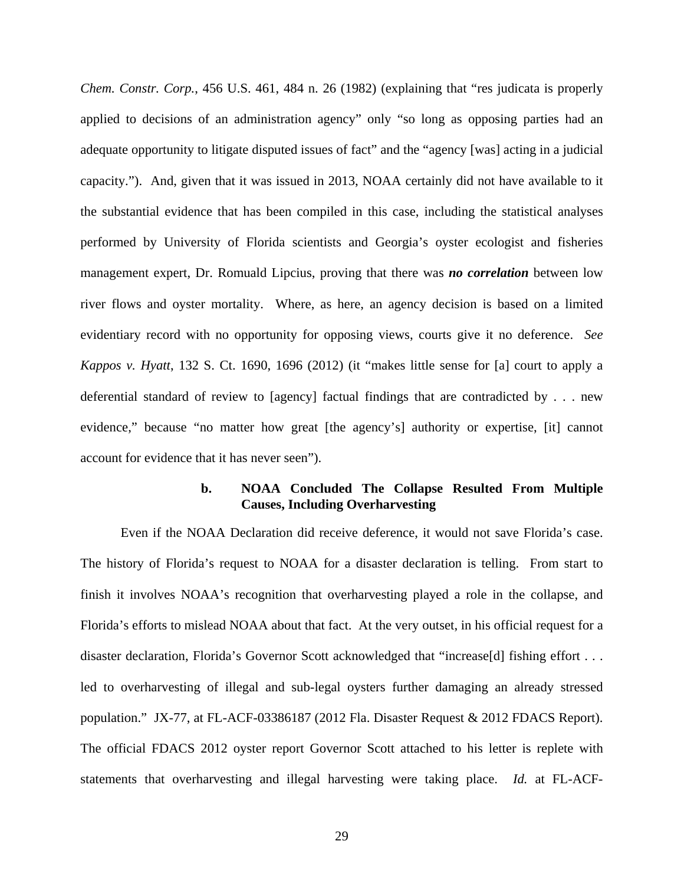*Chem. Constr. Corp.*, 456 U.S. 461, 484 n. 26 (1982) (explaining that "res judicata is properly applied to decisions of an administration agency" only "so long as opposing parties had an adequate opportunity to litigate disputed issues of fact" and the "agency [was] acting in a judicial capacity."). And, given that it was issued in 2013, NOAA certainly did not have available to it the substantial evidence that has been compiled in this case, including the statistical analyses performed by University of Florida scientists and Georgia's oyster ecologist and fisheries management expert, Dr. Romuald Lipcius, proving that there was *no correlation* between low river flows and oyster mortality. Where, as here, an agency decision is based on a limited evidentiary record with no opportunity for opposing views, courts give it no deference. *See Kappos v. Hyatt*, 132 S. Ct. 1690, 1696 (2012) (it "makes little sense for [a] court to apply a deferential standard of review to [agency] factual findings that are contradicted by . . . new evidence," because "no matter how great [the agency's] authority or expertise, [it] cannot account for evidence that it has never seen").

### **b. NOAA Concluded The Collapse Resulted From Multiple Causes, Including Overharvesting**

Even if the NOAA Declaration did receive deference, it would not save Florida's case. The history of Florida's request to NOAA for a disaster declaration is telling. From start to finish it involves NOAA's recognition that overharvesting played a role in the collapse, and Florida's efforts to mislead NOAA about that fact. At the very outset, in his official request for a disaster declaration, Florida's Governor Scott acknowledged that "increase[d] fishing effort . . . led to overharvesting of illegal and sub-legal oysters further damaging an already stressed population." JX-77, at FL-ACF-03386187 (2012 Fla. Disaster Request & 2012 FDACS Report). The official FDACS 2012 oyster report Governor Scott attached to his letter is replete with statements that overharvesting and illegal harvesting were taking place. *Id.* at FL-ACF-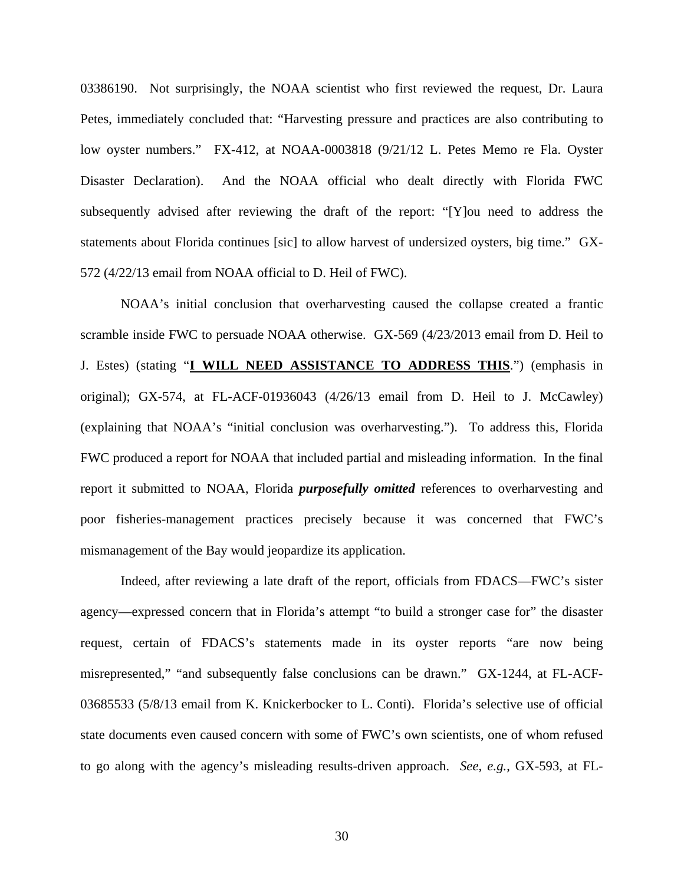03386190. Not surprisingly, the NOAA scientist who first reviewed the request, Dr. Laura Petes, immediately concluded that: "Harvesting pressure and practices are also contributing to low oyster numbers." FX-412, at NOAA-0003818 (9/21/12 L. Petes Memo re Fla. Oyster Disaster Declaration). And the NOAA official who dealt directly with Florida FWC subsequently advised after reviewing the draft of the report: "[Y]ou need to address the statements about Florida continues [sic] to allow harvest of undersized oysters, big time." GX-572 (4/22/13 email from NOAA official to D. Heil of FWC).

NOAA's initial conclusion that overharvesting caused the collapse created a frantic scramble inside FWC to persuade NOAA otherwise. GX-569 (4/23/2013 email from D. Heil to J. Estes) (stating "**I WILL NEED ASSISTANCE TO ADDRESS THIS**.") (emphasis in original); GX-574, at FL-ACF-01936043 (4/26/13 email from D. Heil to J. McCawley) (explaining that NOAA's "initial conclusion was overharvesting."). To address this, Florida FWC produced a report for NOAA that included partial and misleading information. In the final report it submitted to NOAA, Florida *purposefully omitted* references to overharvesting and poor fisheries-management practices precisely because it was concerned that FWC's mismanagement of the Bay would jeopardize its application.

Indeed, after reviewing a late draft of the report, officials from FDACS—FWC's sister agency—expressed concern that in Florida's attempt "to build a stronger case for" the disaster request, certain of FDACS's statements made in its oyster reports "are now being misrepresented," "and subsequently false conclusions can be drawn." GX-1244, at FL-ACF-03685533 (5/8/13 email from K. Knickerbocker to L. Conti). Florida's selective use of official state documents even caused concern with some of FWC's own scientists, one of whom refused to go along with the agency's misleading results-driven approach. *See, e.g.*, GX-593, at FL-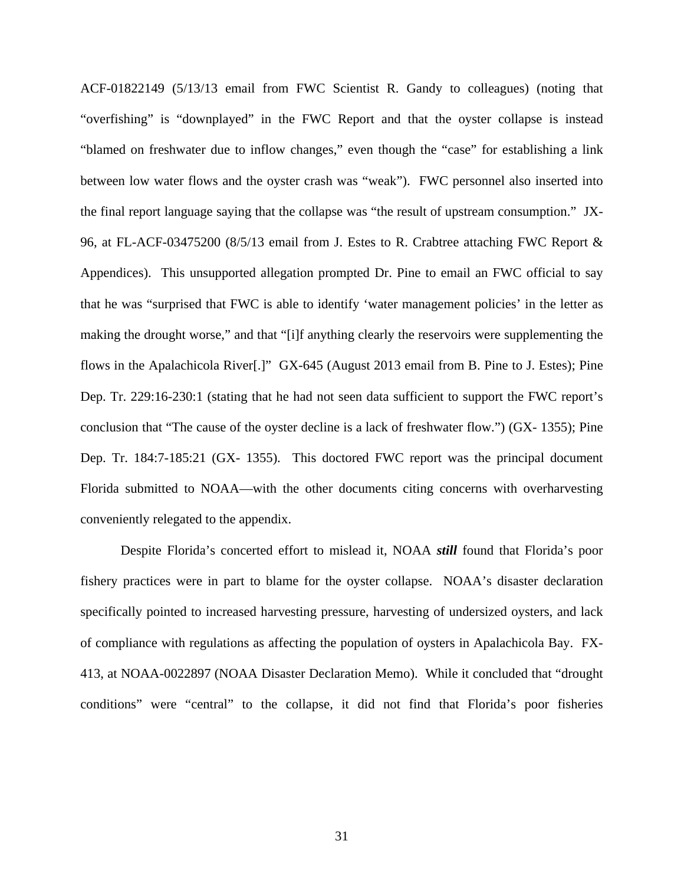ACF-01822149 (5/13/13 email from FWC Scientist R. Gandy to colleagues) (noting that "overfishing" is "downplayed" in the FWC Report and that the oyster collapse is instead "blamed on freshwater due to inflow changes," even though the "case" for establishing a link between low water flows and the oyster crash was "weak"). FWC personnel also inserted into the final report language saying that the collapse was "the result of upstream consumption." JX-96, at FL-ACF-03475200 (8/5/13 email from J. Estes to R. Crabtree attaching FWC Report & Appendices). This unsupported allegation prompted Dr. Pine to email an FWC official to say that he was "surprised that FWC is able to identify 'water management policies' in the letter as making the drought worse," and that "[i]f anything clearly the reservoirs were supplementing the flows in the Apalachicola River[.]" GX-645 (August 2013 email from B. Pine to J. Estes); Pine Dep. Tr. 229:16-230:1 (stating that he had not seen data sufficient to support the FWC report's conclusion that "The cause of the oyster decline is a lack of freshwater flow.") (GX- 1355); Pine Dep. Tr. 184:7-185:21 (GX- 1355). This doctored FWC report was the principal document Florida submitted to NOAA—with the other documents citing concerns with overharvesting conveniently relegated to the appendix.

Despite Florida's concerted effort to mislead it, NOAA *still* found that Florida's poor fishery practices were in part to blame for the oyster collapse. NOAA's disaster declaration specifically pointed to increased harvesting pressure, harvesting of undersized oysters, and lack of compliance with regulations as affecting the population of oysters in Apalachicola Bay. FX-413, at NOAA-0022897 (NOAA Disaster Declaration Memo). While it concluded that "drought conditions" were "central" to the collapse, it did not find that Florida's poor fisheries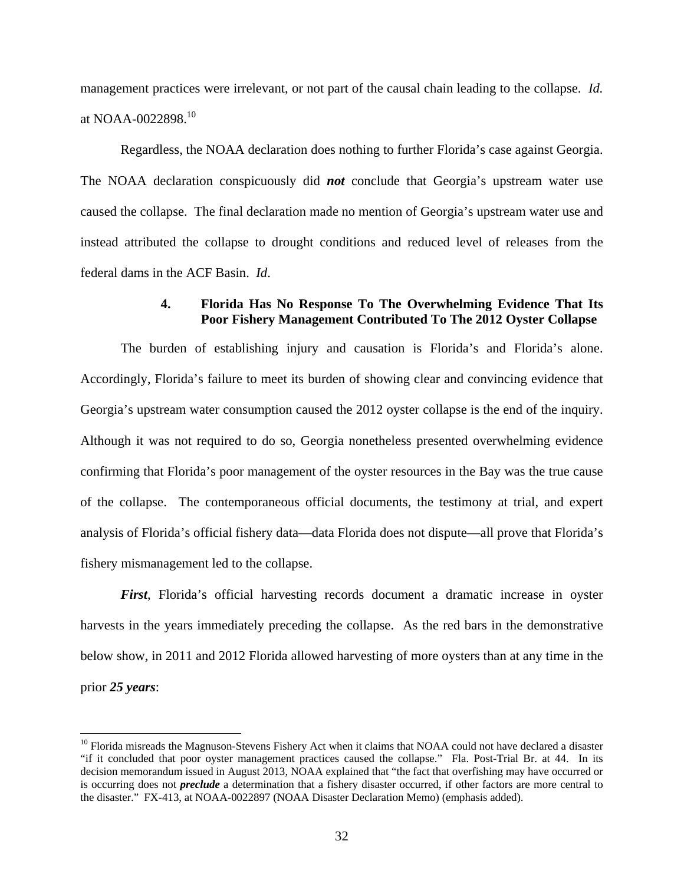management practices were irrelevant, or not part of the causal chain leading to the collapse. *Id.* at NOAA-0022898.10

Regardless, the NOAA declaration does nothing to further Florida's case against Georgia. The NOAA declaration conspicuously did *not* conclude that Georgia's upstream water use caused the collapse. The final declaration made no mention of Georgia's upstream water use and instead attributed the collapse to drought conditions and reduced level of releases from the federal dams in the ACF Basin. *Id*.

#### **4. Florida Has No Response To The Overwhelming Evidence That Its Poor Fishery Management Contributed To The 2012 Oyster Collapse**

The burden of establishing injury and causation is Florida's and Florida's alone. Accordingly, Florida's failure to meet its burden of showing clear and convincing evidence that Georgia's upstream water consumption caused the 2012 oyster collapse is the end of the inquiry. Although it was not required to do so, Georgia nonetheless presented overwhelming evidence confirming that Florida's poor management of the oyster resources in the Bay was the true cause of the collapse. The contemporaneous official documents, the testimony at trial, and expert analysis of Florida's official fishery data—data Florida does not dispute—all prove that Florida's fishery mismanagement led to the collapse.

*First*, Florida's official harvesting records document a dramatic increase in oyster harvests in the years immediately preceding the collapse. As the red bars in the demonstrative below show, in 2011 and 2012 Florida allowed harvesting of more oysters than at any time in the prior *25 years*:

 $10$  Florida misreads the Magnuson-Stevens Fishery Act when it claims that NOAA could not have declared a disaster "if it concluded that poor oyster management practices caused the collapse." Fla. Post-Trial Br. at 44. In its decision memorandum issued in August 2013, NOAA explained that "the fact that overfishing may have occurred or is occurring does not *preclude* a determination that a fishery disaster occurred, if other factors are more central to the disaster." FX-413, at NOAA-0022897 (NOAA Disaster Declaration Memo) (emphasis added).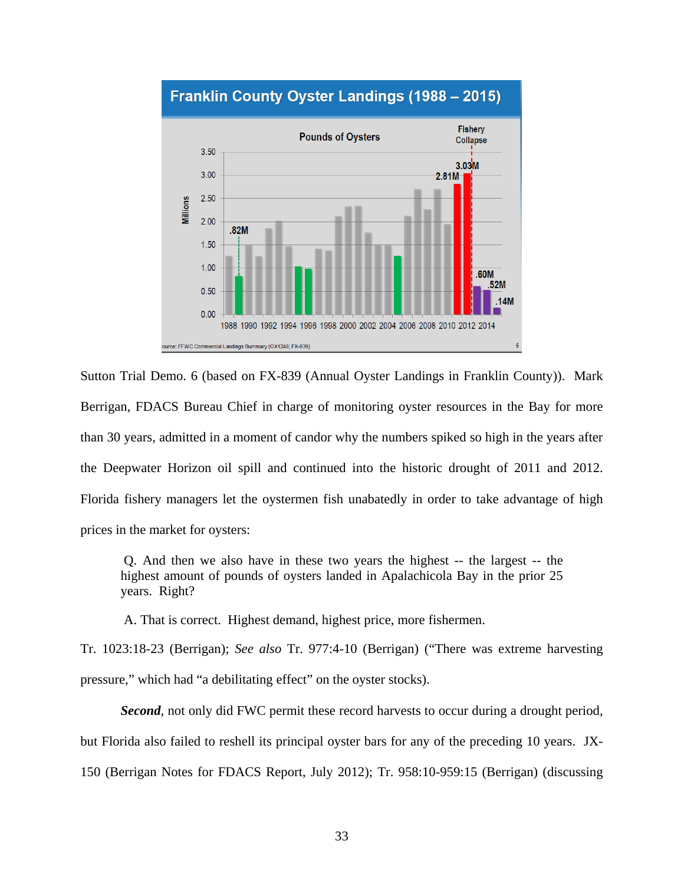

# Franklin County Oyster Landings (1988 - 2015)

Sutton Trial Demo. 6 (based on FX-839 (Annual Oyster Landings in Franklin County)). Mark Berrigan, FDACS Bureau Chief in charge of monitoring oyster resources in the Bay for more than 30 years, admitted in a moment of candor why the numbers spiked so high in the years after the Deepwater Horizon oil spill and continued into the historic drought of 2011 and 2012. Florida fishery managers let the oystermen fish unabatedly in order to take advantage of high prices in the market for oysters:

 Q. And then we also have in these two years the highest -- the largest -- the highest amount of pounds of oysters landed in Apalachicola Bay in the prior 25 years. Right?

A. That is correct. Highest demand, highest price, more fishermen.

Tr. 1023:18-23 (Berrigan); *See also* Tr. 977:4-10 (Berrigan) ("There was extreme harvesting pressure," which had "a debilitating effect" on the oyster stocks).

**Second**, not only did FWC permit these record harvests to occur during a drought period, but Florida also failed to reshell its principal oyster bars for any of the preceding 10 years. JX-150 (Berrigan Notes for FDACS Report, July 2012); Tr. 958:10-959:15 (Berrigan) (discussing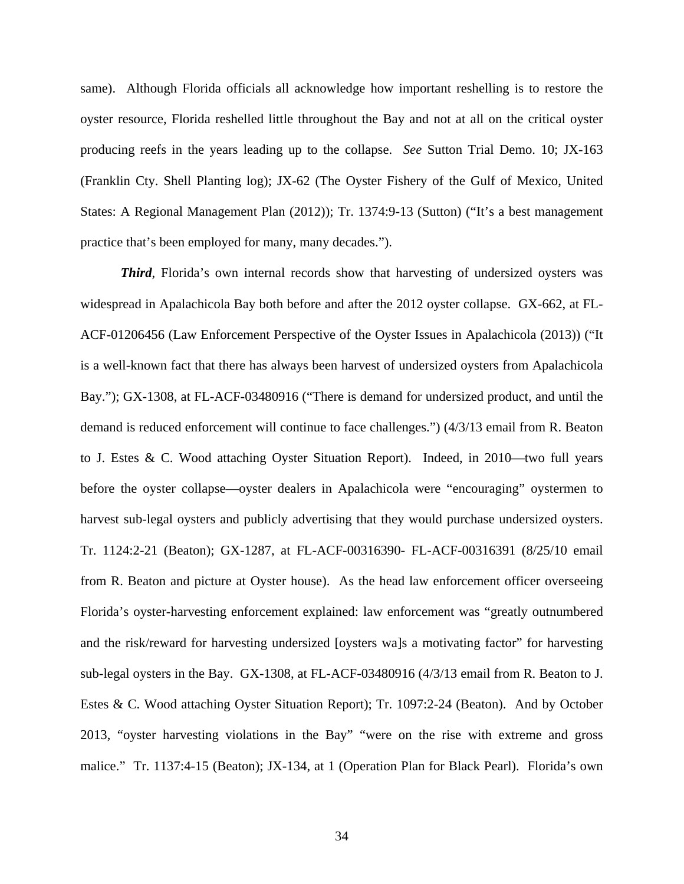same). Although Florida officials all acknowledge how important reshelling is to restore the oyster resource, Florida reshelled little throughout the Bay and not at all on the critical oyster producing reefs in the years leading up to the collapse. *See* Sutton Trial Demo. 10; JX-163 (Franklin Cty. Shell Planting log); JX-62 (The Oyster Fishery of the Gulf of Mexico, United States: A Regional Management Plan (2012)); Tr. 1374:9-13 (Sutton) ("It's a best management practice that's been employed for many, many decades.").

*Third*, Florida's own internal records show that harvesting of undersized oysters was widespread in Apalachicola Bay both before and after the 2012 oyster collapse. GX-662, at FL-ACF-01206456 (Law Enforcement Perspective of the Oyster Issues in Apalachicola (2013)) ("It is a well-known fact that there has always been harvest of undersized oysters from Apalachicola Bay."); GX-1308, at FL-ACF-03480916 ("There is demand for undersized product, and until the demand is reduced enforcement will continue to face challenges.") (4/3/13 email from R. Beaton to J. Estes & C. Wood attaching Oyster Situation Report). Indeed, in 2010—two full years before the oyster collapse—oyster dealers in Apalachicola were "encouraging" oystermen to harvest sub-legal oysters and publicly advertising that they would purchase undersized oysters. Tr. 1124:2-21 (Beaton); GX-1287, at FL-ACF-00316390- FL-ACF-00316391 (8/25/10 email from R. Beaton and picture at Oyster house). As the head law enforcement officer overseeing Florida's oyster-harvesting enforcement explained: law enforcement was "greatly outnumbered and the risk/reward for harvesting undersized [oysters wa]s a motivating factor" for harvesting sub-legal oysters in the Bay. GX-1308, at FL-ACF-03480916 (4/3/13 email from R. Beaton to J. Estes & C. Wood attaching Oyster Situation Report); Tr. 1097:2-24 (Beaton). And by October 2013, "oyster harvesting violations in the Bay" "were on the rise with extreme and gross malice." Tr. 1137:4-15 (Beaton); JX-134, at 1 (Operation Plan for Black Pearl). Florida's own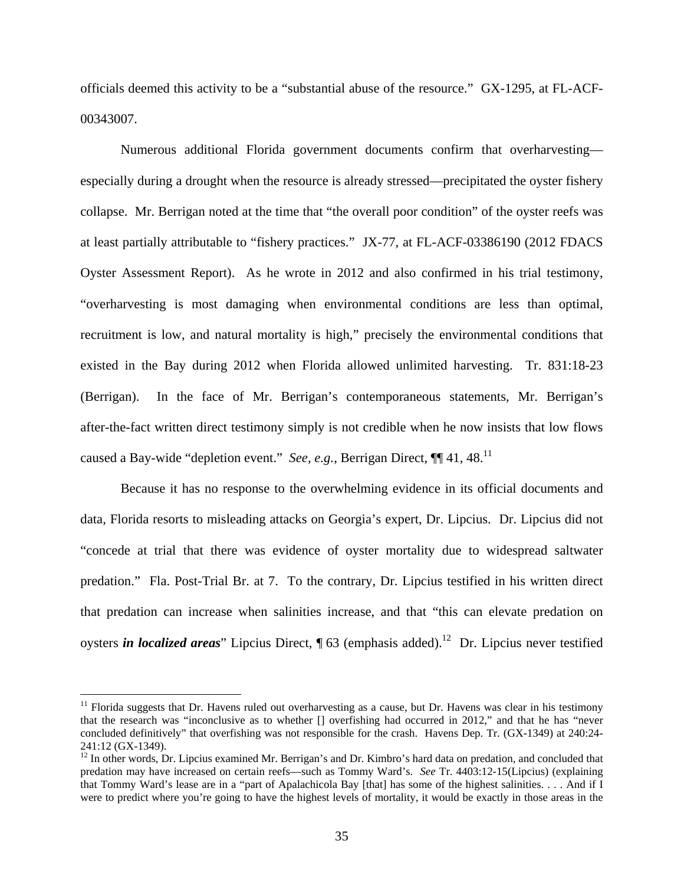officials deemed this activity to be a "substantial abuse of the resource." GX-1295, at FL-ACF-00343007.

Numerous additional Florida government documents confirm that overharvesting especially during a drought when the resource is already stressed—precipitated the oyster fishery collapse. Mr. Berrigan noted at the time that "the overall poor condition" of the oyster reefs was at least partially attributable to "fishery practices." JX-77, at FL-ACF-03386190 (2012 FDACS Oyster Assessment Report). As he wrote in 2012 and also confirmed in his trial testimony, "overharvesting is most damaging when environmental conditions are less than optimal, recruitment is low, and natural mortality is high," precisely the environmental conditions that existed in the Bay during 2012 when Florida allowed unlimited harvesting. Tr. 831:18-23 (Berrigan). In the face of Mr. Berrigan's contemporaneous statements, Mr. Berrigan's after-the-fact written direct testimony simply is not credible when he now insists that low flows caused a Bay-wide "depletion event." *See, e.g.*, Berrigan Direct, ¶¶ 41, 48.11

Because it has no response to the overwhelming evidence in its official documents and data, Florida resorts to misleading attacks on Georgia's expert, Dr. Lipcius. Dr. Lipcius did not "concede at trial that there was evidence of oyster mortality due to widespread saltwater predation." Fla. Post-Trial Br. at 7. To the contrary, Dr. Lipcius testified in his written direct that predation can increase when salinities increase, and that "this can elevate predation on oysters *in localized areas*" Lipcius Direct, ¶ 63 (emphasis added).<sup>12</sup> Dr. Lipcius never testified

 $11$  Florida suggests that Dr. Havens ruled out overharvesting as a cause, but Dr. Havens was clear in his testimony that the research was "inconclusive as to whether [] overfishing had occurred in 2012," and that he has "never concluded definitively" that overfishing was not responsible for the crash. Havens Dep. Tr. (GX-1349) at 240:24- 241:12 (GX-1349).

 $12 \text{ In other words, Dr. Lipcius examined Mr. Berrigan's and Dr. Kimbro's hard data on predation, and concluded that}$ predation may have increased on certain reefs––such as Tommy Ward's. *See* Tr. 4403:12-15(Lipcius) (explaining that Tommy Ward's lease are in a "part of Apalachicola Bay [that] has some of the highest salinities. . . . And if I were to predict where you're going to have the highest levels of mortality, it would be exactly in those areas in the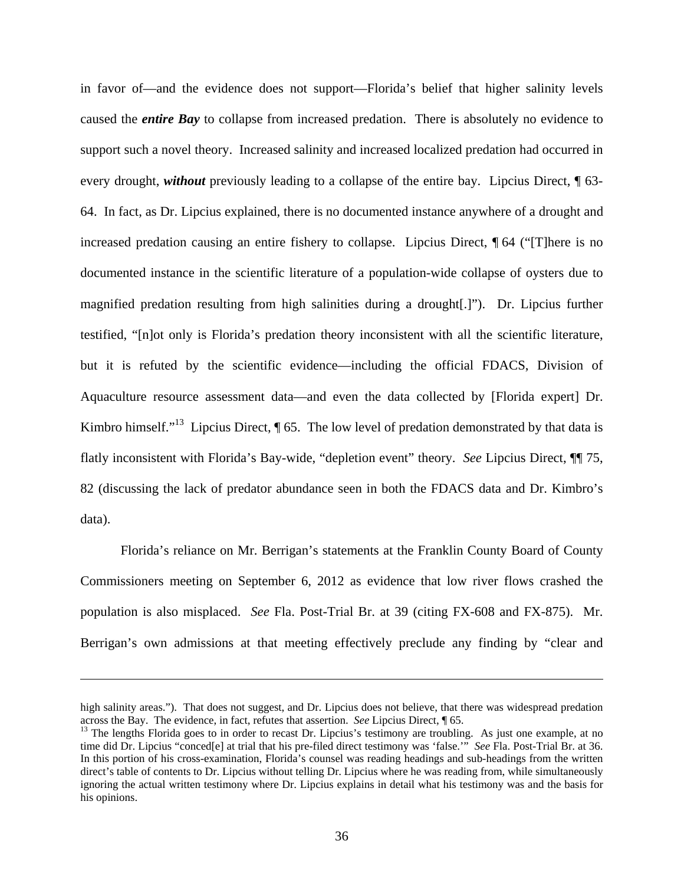in favor of—and the evidence does not support—Florida's belief that higher salinity levels caused the *entire Bay* to collapse from increased predation. There is absolutely no evidence to support such a novel theory. Increased salinity and increased localized predation had occurred in every drought, *without* previously leading to a collapse of the entire bay. Lipcius Direct, ¶ 63- 64. In fact, as Dr. Lipcius explained, there is no documented instance anywhere of a drought and increased predation causing an entire fishery to collapse. Lipcius Direct, ¶ 64 ("[T]here is no documented instance in the scientific literature of a population-wide collapse of oysters due to magnified predation resulting from high salinities during a drought[.]"). Dr. Lipcius further testified, "[n]ot only is Florida's predation theory inconsistent with all the scientific literature, but it is refuted by the scientific evidence—including the official FDACS, Division of Aquaculture resource assessment data—and even the data collected by [Florida expert] Dr. Kimbro himself."<sup>13</sup> Lipcius Direct,  $\P$  65. The low level of predation demonstrated by that data is flatly inconsistent with Florida's Bay-wide, "depletion event" theory. *See* Lipcius Direct, ¶¶ 75, 82 (discussing the lack of predator abundance seen in both the FDACS data and Dr. Kimbro's data).

Florida's reliance on Mr. Berrigan's statements at the Franklin County Board of County Commissioners meeting on September 6, 2012 as evidence that low river flows crashed the population is also misplaced. *See* Fla. Post-Trial Br. at 39 (citing FX-608 and FX-875). Mr. Berrigan's own admissions at that meeting effectively preclude any finding by "clear and

1

high salinity areas."). That does not suggest, and Dr. Lipcius does not believe, that there was widespread predation across the Bay. The evidence, in fact, refutes that assertion. *See* Lipcius Direct, 165.<br><sup>13</sup> The lengths Florida goes to in order to recast Dr. Lipcius's testimony are troubling. As just one example, at no

time did Dr. Lipcius "conced[e] at trial that his pre-filed direct testimony was 'false.'" *See* Fla. Post-Trial Br. at 36. In this portion of his cross-examination, Florida's counsel was reading headings and sub-headings from the written direct's table of contents to Dr. Lipcius without telling Dr. Lipcius where he was reading from, while simultaneously ignoring the actual written testimony where Dr. Lipcius explains in detail what his testimony was and the basis for his opinions.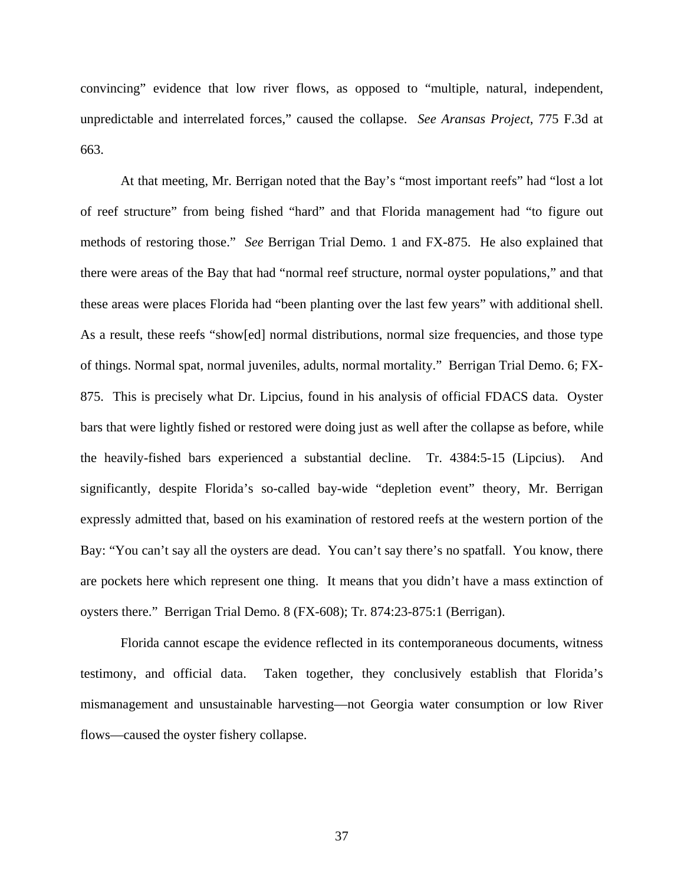convincing" evidence that low river flows, as opposed to "multiple, natural, independent, unpredictable and interrelated forces," caused the collapse. *See Aransas Project*, 775 F.3d at 663.

At that meeting, Mr. Berrigan noted that the Bay's "most important reefs" had "lost a lot of reef structure" from being fished "hard" and that Florida management had "to figure out methods of restoring those." *See* Berrigan Trial Demo. 1 and FX-875. He also explained that there were areas of the Bay that had "normal reef structure, normal oyster populations," and that these areas were places Florida had "been planting over the last few years" with additional shell. As a result, these reefs "show[ed] normal distributions, normal size frequencies, and those type of things. Normal spat, normal juveniles, adults, normal mortality." Berrigan Trial Demo. 6; FX-875. This is precisely what Dr. Lipcius, found in his analysis of official FDACS data. Oyster bars that were lightly fished or restored were doing just as well after the collapse as before, while the heavily-fished bars experienced a substantial decline. Tr. 4384:5-15 (Lipcius). And significantly, despite Florida's so-called bay-wide "depletion event" theory, Mr. Berrigan expressly admitted that, based on his examination of restored reefs at the western portion of the Bay: "You can't say all the oysters are dead. You can't say there's no spatfall. You know, there are pockets here which represent one thing. It means that you didn't have a mass extinction of oysters there." Berrigan Trial Demo. 8 (FX-608); Tr. 874:23-875:1 (Berrigan).

Florida cannot escape the evidence reflected in its contemporaneous documents, witness testimony, and official data. Taken together, they conclusively establish that Florida's mismanagement and unsustainable harvesting—not Georgia water consumption or low River flows—caused the oyster fishery collapse.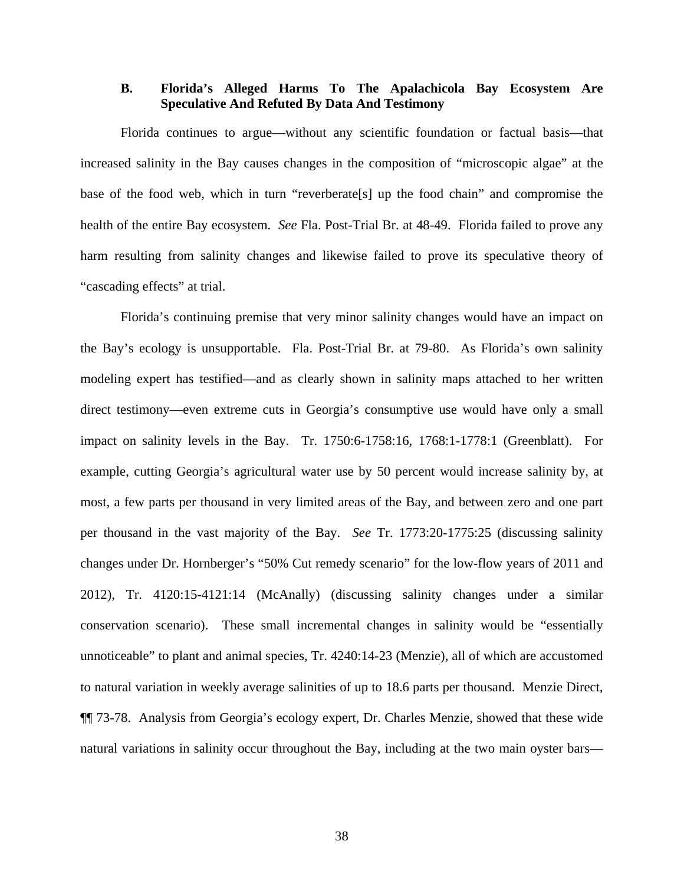## **B. Florida's Alleged Harms To The Apalachicola Bay Ecosystem Are Speculative And Refuted By Data And Testimony**

Florida continues to argue—without any scientific foundation or factual basis—that increased salinity in the Bay causes changes in the composition of "microscopic algae" at the base of the food web, which in turn "reverberate[s] up the food chain" and compromise the health of the entire Bay ecosystem. *See* Fla. Post-Trial Br. at 48-49. Florida failed to prove any harm resulting from salinity changes and likewise failed to prove its speculative theory of "cascading effects" at trial.

Florida's continuing premise that very minor salinity changes would have an impact on the Bay's ecology is unsupportable. Fla. Post-Trial Br. at 79-80. As Florida's own salinity modeling expert has testified—and as clearly shown in salinity maps attached to her written direct testimony—even extreme cuts in Georgia's consumptive use would have only a small impact on salinity levels in the Bay. Tr. 1750:6-1758:16, 1768:1-1778:1 (Greenblatt). For example, cutting Georgia's agricultural water use by 50 percent would increase salinity by, at most, a few parts per thousand in very limited areas of the Bay, and between zero and one part per thousand in the vast majority of the Bay. *See* Tr. 1773:20-1775:25 (discussing salinity changes under Dr. Hornberger's "50% Cut remedy scenario" for the low-flow years of 2011 and 2012), Tr. 4120:15-4121:14 (McAnally) (discussing salinity changes under a similar conservation scenario). These small incremental changes in salinity would be "essentially unnoticeable" to plant and animal species, Tr. 4240:14-23 (Menzie), all of which are accustomed to natural variation in weekly average salinities of up to 18.6 parts per thousand. Menzie Direct, ¶¶ 73-78. Analysis from Georgia's ecology expert, Dr. Charles Menzie, showed that these wide natural variations in salinity occur throughout the Bay, including at the two main oyster bars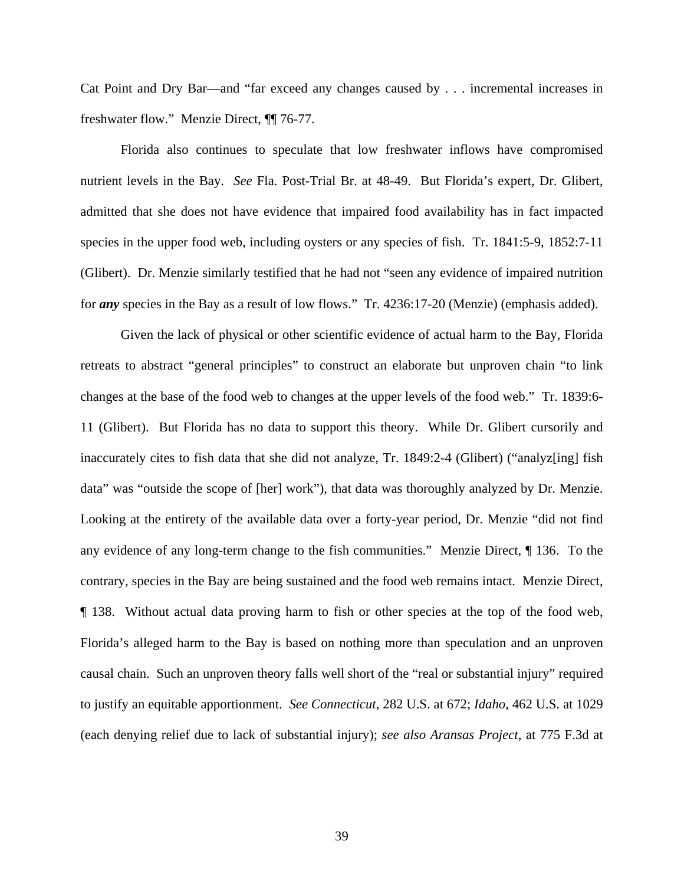Cat Point and Dry Bar—and "far exceed any changes caused by . . . incremental increases in freshwater flow." Menzie Direct, ¶¶ 76-77.

Florida also continues to speculate that low freshwater inflows have compromised nutrient levels in the Bay. *See* Fla. Post-Trial Br. at 48-49. But Florida's expert, Dr. Glibert, admitted that she does not have evidence that impaired food availability has in fact impacted species in the upper food web, including oysters or any species of fish. Tr. 1841:5-9, 1852:7-11 (Glibert). Dr. Menzie similarly testified that he had not "seen any evidence of impaired nutrition for *any* species in the Bay as a result of low flows." Tr. 4236:17-20 (Menzie) (emphasis added).

Given the lack of physical or other scientific evidence of actual harm to the Bay, Florida retreats to abstract "general principles" to construct an elaborate but unproven chain "to link changes at the base of the food web to changes at the upper levels of the food web." Tr. 1839:6- 11 (Glibert). But Florida has no data to support this theory. While Dr. Glibert cursorily and inaccurately cites to fish data that she did not analyze, Tr. 1849:2-4 (Glibert) ("analyz[ing] fish data" was "outside the scope of [her] work"), that data was thoroughly analyzed by Dr. Menzie. Looking at the entirety of the available data over a forty-year period, Dr. Menzie "did not find any evidence of any long-term change to the fish communities." Menzie Direct, ¶ 136. To the contrary, species in the Bay are being sustained and the food web remains intact. Menzie Direct, ¶ 138. Without actual data proving harm to fish or other species at the top of the food web, Florida's alleged harm to the Bay is based on nothing more than speculation and an unproven causal chain. Such an unproven theory falls well short of the "real or substantial injury" required to justify an equitable apportionment. *See Connecticut*, 282 U.S. at 672; *Idaho*, 462 U.S. at 1029 (each denying relief due to lack of substantial injury); *see also Aransas Project*, at 775 F.3d at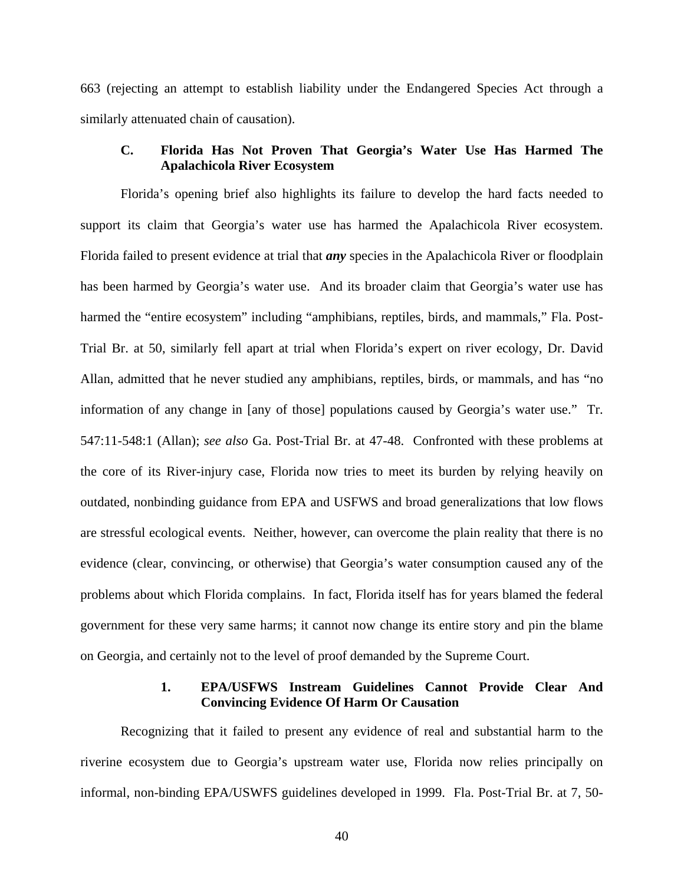663 (rejecting an attempt to establish liability under the Endangered Species Act through a similarly attenuated chain of causation).

# **C. Florida Has Not Proven That Georgia's Water Use Has Harmed The Apalachicola River Ecosystem**

Florida's opening brief also highlights its failure to develop the hard facts needed to support its claim that Georgia's water use has harmed the Apalachicola River ecosystem. Florida failed to present evidence at trial that *any* species in the Apalachicola River or floodplain has been harmed by Georgia's water use. And its broader claim that Georgia's water use has harmed the "entire ecosystem" including "amphibians, reptiles, birds, and mammals," Fla. Post-Trial Br. at 50, similarly fell apart at trial when Florida's expert on river ecology, Dr. David Allan, admitted that he never studied any amphibians, reptiles, birds, or mammals, and has "no information of any change in [any of those] populations caused by Georgia's water use." Tr. 547:11-548:1 (Allan); *see also* Ga. Post-Trial Br. at 47-48. Confronted with these problems at the core of its River-injury case, Florida now tries to meet its burden by relying heavily on outdated, nonbinding guidance from EPA and USFWS and broad generalizations that low flows are stressful ecological events. Neither, however, can overcome the plain reality that there is no evidence (clear, convincing, or otherwise) that Georgia's water consumption caused any of the problems about which Florida complains. In fact, Florida itself has for years blamed the federal government for these very same harms; it cannot now change its entire story and pin the blame on Georgia, and certainly not to the level of proof demanded by the Supreme Court.

#### **1. EPA/USFWS Instream Guidelines Cannot Provide Clear And Convincing Evidence Of Harm Or Causation**

Recognizing that it failed to present any evidence of real and substantial harm to the riverine ecosystem due to Georgia's upstream water use, Florida now relies principally on informal, non-binding EPA/USWFS guidelines developed in 1999. Fla. Post-Trial Br. at 7, 50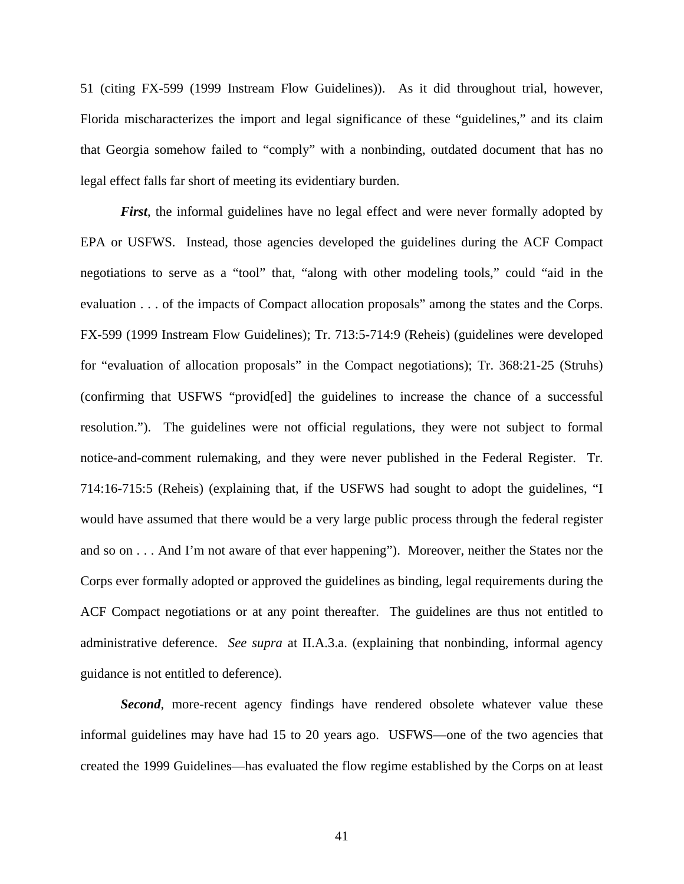51 (citing FX-599 (1999 Instream Flow Guidelines)). As it did throughout trial, however, Florida mischaracterizes the import and legal significance of these "guidelines," and its claim that Georgia somehow failed to "comply" with a nonbinding, outdated document that has no legal effect falls far short of meeting its evidentiary burden.

*First*, the informal guidelines have no legal effect and were never formally adopted by EPA or USFWS. Instead, those agencies developed the guidelines during the ACF Compact negotiations to serve as a "tool" that, "along with other modeling tools," could "aid in the evaluation . . . of the impacts of Compact allocation proposals" among the states and the Corps. FX-599 (1999 Instream Flow Guidelines); Tr. 713:5-714:9 (Reheis) (guidelines were developed for "evaluation of allocation proposals" in the Compact negotiations); Tr. 368:21-25 (Struhs) (confirming that USFWS "provid[ed] the guidelines to increase the chance of a successful resolution."). The guidelines were not official regulations, they were not subject to formal notice-and-comment rulemaking, and they were never published in the Federal Register. Tr. 714:16-715:5 (Reheis) (explaining that, if the USFWS had sought to adopt the guidelines, "I would have assumed that there would be a very large public process through the federal register and so on . . . And I'm not aware of that ever happening"). Moreover, neither the States nor the Corps ever formally adopted or approved the guidelines as binding, legal requirements during the ACF Compact negotiations or at any point thereafter. The guidelines are thus not entitled to administrative deference. *See supra* at II.A.3.a. (explaining that nonbinding, informal agency guidance is not entitled to deference).

**Second**, more-recent agency findings have rendered obsolete whatever value these informal guidelines may have had 15 to 20 years ago. USFWS—one of the two agencies that created the 1999 Guidelines—has evaluated the flow regime established by the Corps on at least

41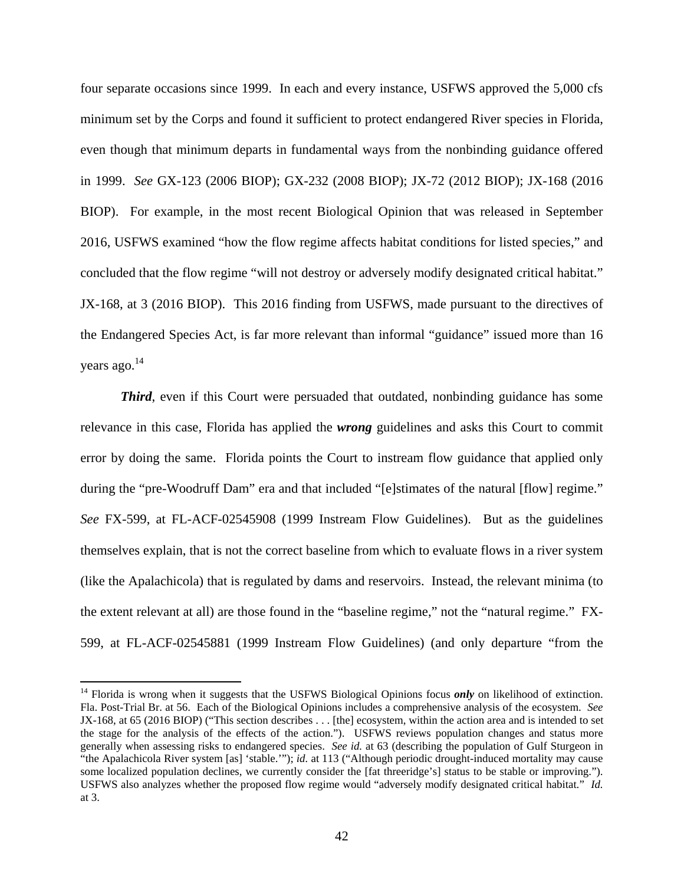four separate occasions since 1999. In each and every instance, USFWS approved the 5,000 cfs minimum set by the Corps and found it sufficient to protect endangered River species in Florida, even though that minimum departs in fundamental ways from the nonbinding guidance offered in 1999. *See* GX-123 (2006 BIOP); GX-232 (2008 BIOP); JX-72 (2012 BIOP); JX-168 (2016 BIOP). For example, in the most recent Biological Opinion that was released in September 2016, USFWS examined "how the flow regime affects habitat conditions for listed species," and concluded that the flow regime "will not destroy or adversely modify designated critical habitat." JX-168, at 3 (2016 BIOP). This 2016 finding from USFWS, made pursuant to the directives of the Endangered Species Act, is far more relevant than informal "guidance" issued more than 16 years ago.<sup>14</sup>

*Third*, even if this Court were persuaded that outdated, nonbinding guidance has some relevance in this case, Florida has applied the *wrong* guidelines and asks this Court to commit error by doing the same. Florida points the Court to instream flow guidance that applied only during the "pre-Woodruff Dam" era and that included "[e]stimates of the natural [flow] regime." *See* FX-599, at FL-ACF-02545908 (1999 Instream Flow Guidelines). But as the guidelines themselves explain, that is not the correct baseline from which to evaluate flows in a river system (like the Apalachicola) that is regulated by dams and reservoirs. Instead, the relevant minima (to the extent relevant at all) are those found in the "baseline regime," not the "natural regime." FX-599, at FL-ACF-02545881 (1999 Instream Flow Guidelines) (and only departure "from the

<sup>&</sup>lt;sup>14</sup> Florida is wrong when it suggests that the USFWS Biological Opinions focus *only* on likelihood of extinction. Fla. Post-Trial Br. at 56. Each of the Biological Opinions includes a comprehensive analysis of the ecosystem. *See* JX-168, at 65 (2016 BIOP) ("This section describes . . . [the] ecosystem, within the action area and is intended to set the stage for the analysis of the effects of the action."). USFWS reviews population changes and status more generally when assessing risks to endangered species. *See id.* at 63 (describing the population of Gulf Sturgeon in "the Apalachicola River system [as] 'stable.'"); *id.* at 113 ("Although periodic drought-induced mortality may cause some localized population declines, we currently consider the [fat threeridge's] status to be stable or improving."). USFWS also analyzes whether the proposed flow regime would "adversely modify designated critical habitat." *Id.*  at 3.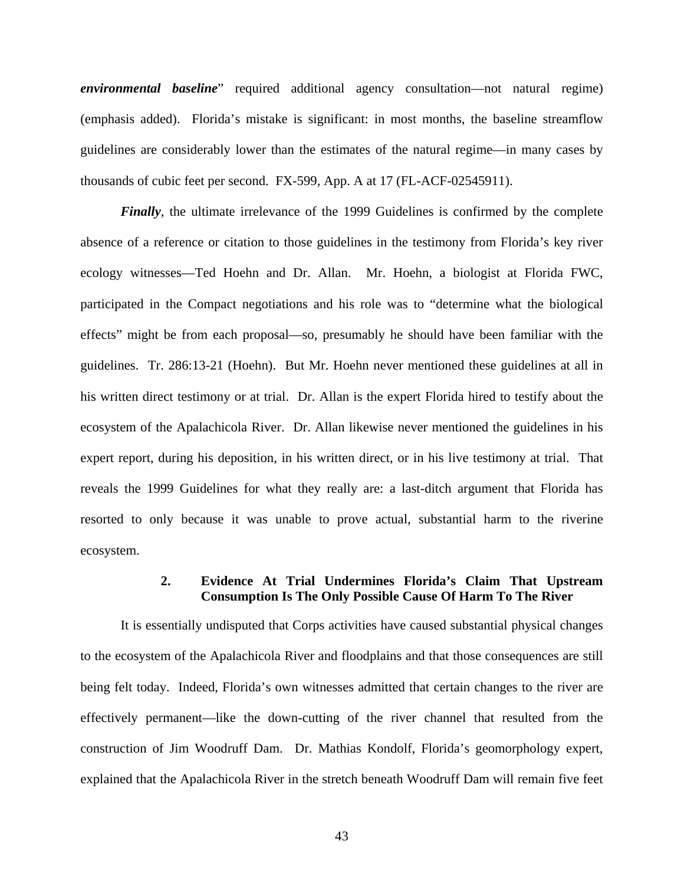*environmental baseline*" required additional agency consultation—not natural regime) (emphasis added). Florida's mistake is significant: in most months, the baseline streamflow guidelines are considerably lower than the estimates of the natural regime—in many cases by thousands of cubic feet per second. FX-599, App. A at 17 (FL-ACF-02545911).

*Finally*, the ultimate irrelevance of the 1999 Guidelines is confirmed by the complete absence of a reference or citation to those guidelines in the testimony from Florida's key river ecology witnesses—Ted Hoehn and Dr. Allan. Mr. Hoehn, a biologist at Florida FWC, participated in the Compact negotiations and his role was to "determine what the biological effects" might be from each proposal—so, presumably he should have been familiar with the guidelines. Tr. 286:13-21 (Hoehn). But Mr. Hoehn never mentioned these guidelines at all in his written direct testimony or at trial. Dr. Allan is the expert Florida hired to testify about the ecosystem of the Apalachicola River. Dr. Allan likewise never mentioned the guidelines in his expert report, during his deposition, in his written direct, or in his live testimony at trial. That reveals the 1999 Guidelines for what they really are: a last-ditch argument that Florida has resorted to only because it was unable to prove actual, substantial harm to the riverine ecosystem.

#### **2. Evidence At Trial Undermines Florida's Claim That Upstream Consumption Is The Only Possible Cause Of Harm To The River**

It is essentially undisputed that Corps activities have caused substantial physical changes to the ecosystem of the Apalachicola River and floodplains and that those consequences are still being felt today. Indeed, Florida's own witnesses admitted that certain changes to the river are effectively permanent—like the down-cutting of the river channel that resulted from the construction of Jim Woodruff Dam. Dr. Mathias Kondolf, Florida's geomorphology expert, explained that the Apalachicola River in the stretch beneath Woodruff Dam will remain five feet

43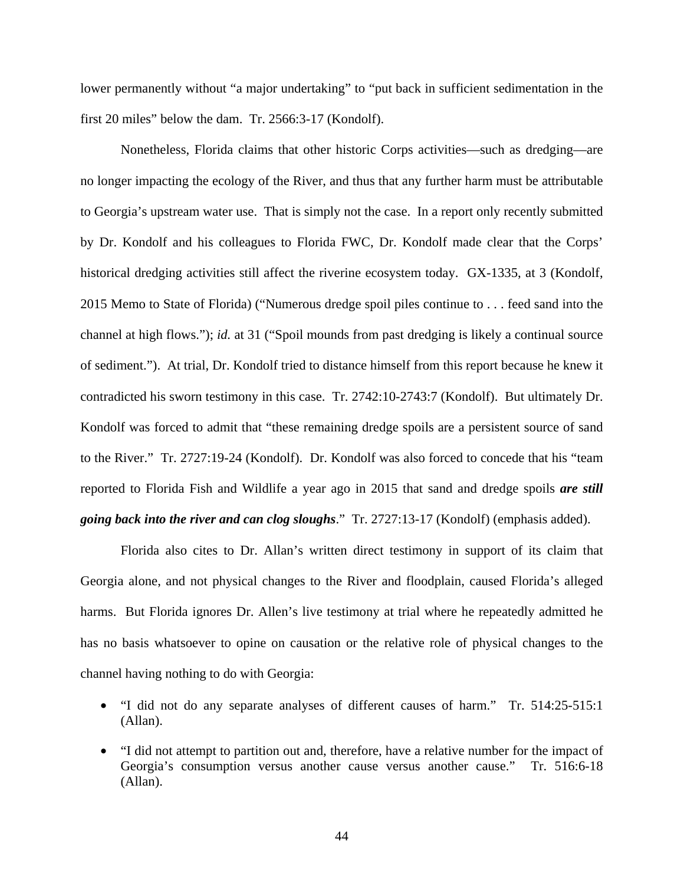lower permanently without "a major undertaking" to "put back in sufficient sedimentation in the first 20 miles" below the dam. Tr. 2566:3-17 (Kondolf).

Nonetheless, Florida claims that other historic Corps activities—such as dredging—are no longer impacting the ecology of the River, and thus that any further harm must be attributable to Georgia's upstream water use. That is simply not the case. In a report only recently submitted by Dr. Kondolf and his colleagues to Florida FWC, Dr. Kondolf made clear that the Corps' historical dredging activities still affect the riverine ecosystem today. GX-1335, at 3 (Kondolf, 2015 Memo to State of Florida) ("Numerous dredge spoil piles continue to . . . feed sand into the channel at high flows."); *id.* at 31 ("Spoil mounds from past dredging is likely a continual source of sediment."). At trial, Dr. Kondolf tried to distance himself from this report because he knew it contradicted his sworn testimony in this case. Tr. 2742:10-2743:7 (Kondolf). But ultimately Dr. Kondolf was forced to admit that "these remaining dredge spoils are a persistent source of sand to the River." Tr. 2727:19-24 (Kondolf). Dr. Kondolf was also forced to concede that his "team reported to Florida Fish and Wildlife a year ago in 2015 that sand and dredge spoils *are still going back into the river and can clog sloughs*." Tr. 2727:13-17 (Kondolf) (emphasis added).

Florida also cites to Dr. Allan's written direct testimony in support of its claim that Georgia alone, and not physical changes to the River and floodplain, caused Florida's alleged harms. But Florida ignores Dr. Allen's live testimony at trial where he repeatedly admitted he has no basis whatsoever to opine on causation or the relative role of physical changes to the channel having nothing to do with Georgia:

- "I did not do any separate analyses of different causes of harm." Tr. 514:25-515:1 (Allan).
- "I did not attempt to partition out and, therefore, have a relative number for the impact of Georgia's consumption versus another cause versus another cause." Tr. 516:6-18 (Allan).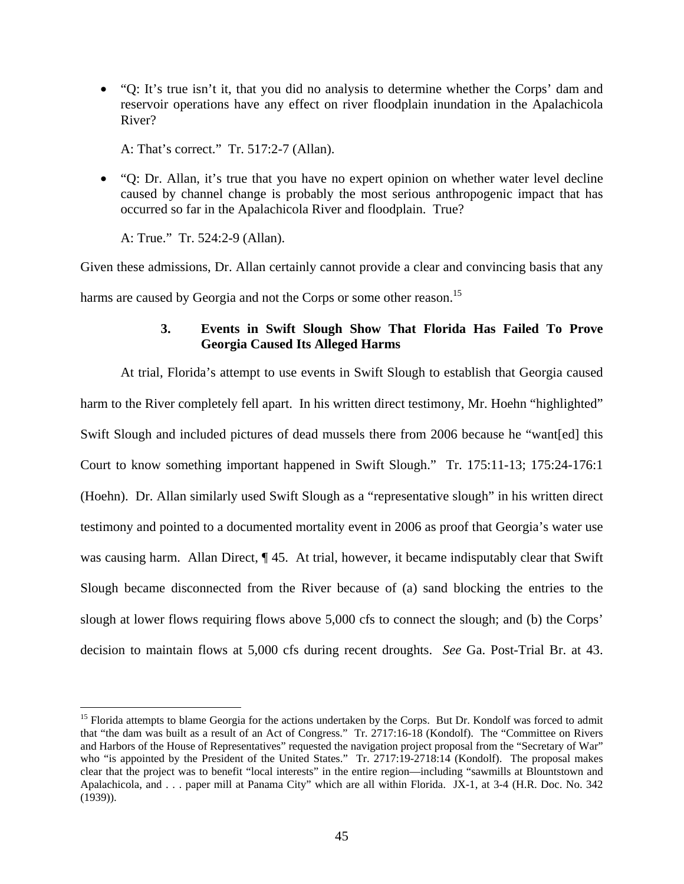• "Q: It's true isn't it, that you did no analysis to determine whether the Corps' dam and reservoir operations have any effect on river floodplain inundation in the Apalachicola River?

A: That's correct." Tr. 517:2-7 (Allan).

• "Q: Dr. Allan, it's true that you have no expert opinion on whether water level decline caused by channel change is probably the most serious anthropogenic impact that has occurred so far in the Apalachicola River and floodplain. True?

A: True." Tr. 524:2-9 (Allan).

<u>.</u>

Given these admissions, Dr. Allan certainly cannot provide a clear and convincing basis that any harms are caused by Georgia and not the Corps or some other reason.<sup>15</sup>

# **3. Events in Swift Slough Show That Florida Has Failed To Prove Georgia Caused Its Alleged Harms**

At trial, Florida's attempt to use events in Swift Slough to establish that Georgia caused harm to the River completely fell apart. In his written direct testimony, Mr. Hoehn "highlighted" Swift Slough and included pictures of dead mussels there from 2006 because he "want[ed] this Court to know something important happened in Swift Slough." Tr. 175:11-13; 175:24-176:1 (Hoehn). Dr. Allan similarly used Swift Slough as a "representative slough" in his written direct testimony and pointed to a documented mortality event in 2006 as proof that Georgia's water use was causing harm. Allan Direct,  $\P$  45. At trial, however, it became indisputably clear that Swift Slough became disconnected from the River because of (a) sand blocking the entries to the slough at lower flows requiring flows above 5,000 cfs to connect the slough; and (b) the Corps' decision to maintain flows at 5,000 cfs during recent droughts. *See* Ga. Post-Trial Br. at 43.

<sup>&</sup>lt;sup>15</sup> Florida attempts to blame Georgia for the actions undertaken by the Corps. But Dr. Kondolf was forced to admit that "the dam was built as a result of an Act of Congress." Tr. 2717:16-18 (Kondolf). The "Committee on Rivers and Harbors of the House of Representatives" requested the navigation project proposal from the "Secretary of War" who "is appointed by the President of the United States." Tr. 2717:19-2718:14 (Kondolf). The proposal makes clear that the project was to benefit "local interests" in the entire region—including "sawmills at Blountstown and Apalachicola, and . . . paper mill at Panama City" which are all within Florida. JX-1, at 3-4 (H.R. Doc. No. 342 (1939)).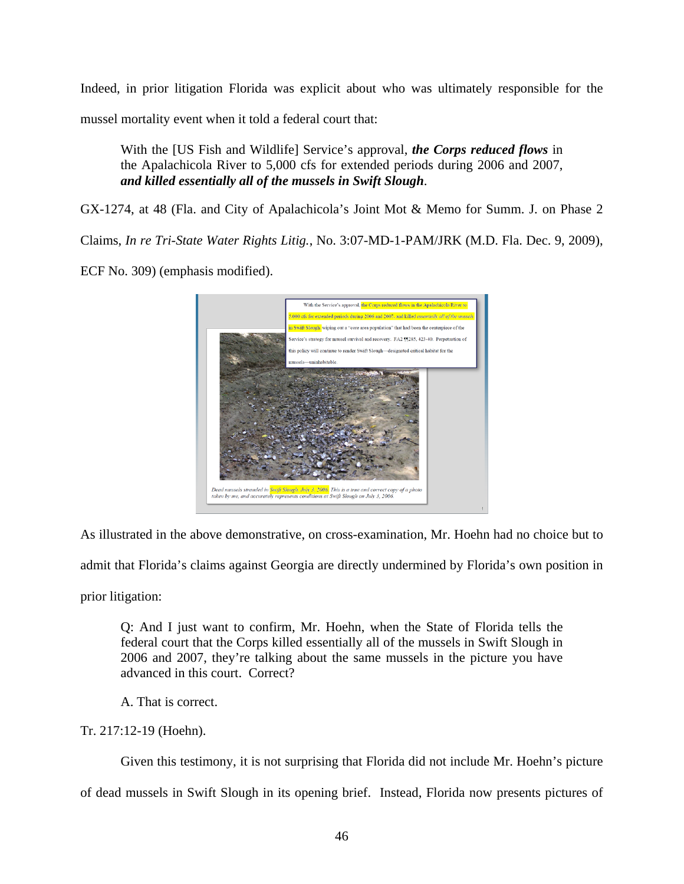Indeed, in prior litigation Florida was explicit about who was ultimately responsible for the mussel mortality event when it told a federal court that:

With the [US Fish and Wildlife] Service's approval, *the Corps reduced flows* in the Apalachicola River to 5,000 cfs for extended periods during 2006 and 2007, *and killed essentially all of the mussels in Swift Slough*.

GX-1274, at 48 (Fla. and City of Apalachicola's Joint Mot & Memo for Summ. J. on Phase 2

Claims, *In re Tri-State Water Rights Litig.*, No. 3:07-MD-1-PAM/JRK (M.D. Fla. Dec. 9, 2009),

ECF No. 309) (emphasis modified).



As illustrated in the above demonstrative, on cross-examination, Mr. Hoehn had no choice but to

admit that Florida's claims against Georgia are directly undermined by Florida's own position in

prior litigation:

Q: And I just want to confirm, Mr. Hoehn, when the State of Florida tells the federal court that the Corps killed essentially all of the mussels in Swift Slough in 2006 and 2007, they're talking about the same mussels in the picture you have advanced in this court. Correct?

A. That is correct.

Tr. 217:12-19 (Hoehn).

Given this testimony, it is not surprising that Florida did not include Mr. Hoehn's picture

of dead mussels in Swift Slough in its opening brief. Instead, Florida now presents pictures of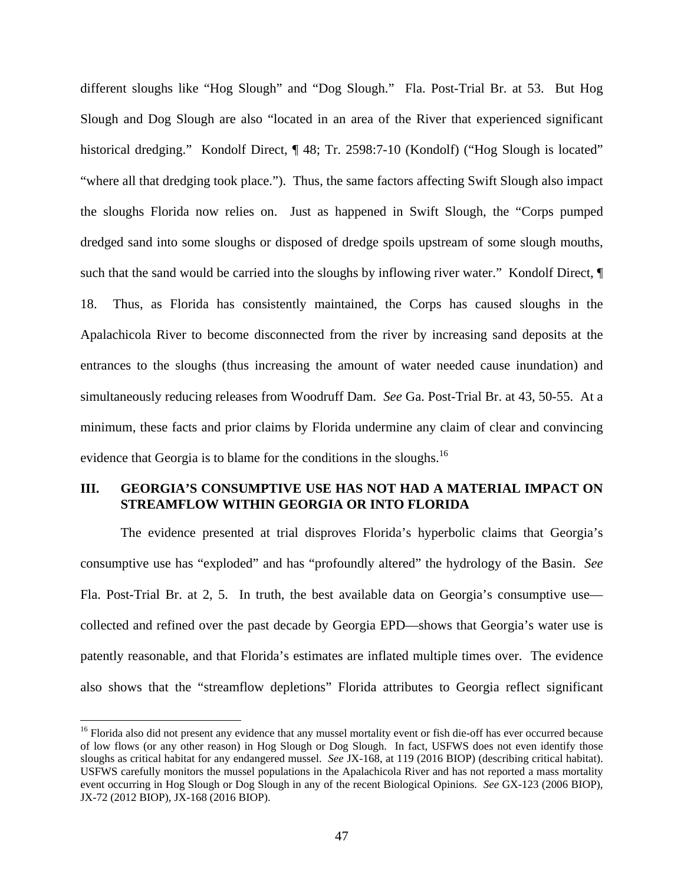different sloughs like "Hog Slough" and "Dog Slough." Fla. Post-Trial Br. at 53. But Hog Slough and Dog Slough are also "located in an area of the River that experienced significant historical dredging." Kondolf Direct, ¶ 48; Tr. 2598:7-10 (Kondolf) ("Hog Slough is located" "where all that dredging took place."). Thus, the same factors affecting Swift Slough also impact the sloughs Florida now relies on. Just as happened in Swift Slough, the "Corps pumped dredged sand into some sloughs or disposed of dredge spoils upstream of some slough mouths, such that the sand would be carried into the sloughs by inflowing river water." Kondolf Direct,  $\P$ 18. Thus, as Florida has consistently maintained, the Corps has caused sloughs in the Apalachicola River to become disconnected from the river by increasing sand deposits at the entrances to the sloughs (thus increasing the amount of water needed cause inundation) and simultaneously reducing releases from Woodruff Dam. *See* Ga. Post-Trial Br. at 43, 50-55. At a minimum, these facts and prior claims by Florida undermine any claim of clear and convincing evidence that Georgia is to blame for the conditions in the sloughs.<sup>16</sup>

### **III. GEORGIA'S CONSUMPTIVE USE HAS NOT HAD A MATERIAL IMPACT ON STREAMFLOW WITHIN GEORGIA OR INTO FLORIDA**

The evidence presented at trial disproves Florida's hyperbolic claims that Georgia's consumptive use has "exploded" and has "profoundly altered" the hydrology of the Basin. *See*  Fla. Post-Trial Br. at 2, 5. In truth, the best available data on Georgia's consumptive use collected and refined over the past decade by Georgia EPD—shows that Georgia's water use is patently reasonable, and that Florida's estimates are inflated multiple times over. The evidence also shows that the "streamflow depletions" Florida attributes to Georgia reflect significant

<sup>&</sup>lt;sup>16</sup> Florida also did not present any evidence that any mussel mortality event or fish die-off has ever occurred because of low flows (or any other reason) in Hog Slough or Dog Slough. In fact, USFWS does not even identify those sloughs as critical habitat for any endangered mussel. *See* JX-168, at 119 (2016 BIOP) (describing critical habitat). USFWS carefully monitors the mussel populations in the Apalachicola River and has not reported a mass mortality event occurring in Hog Slough or Dog Slough in any of the recent Biological Opinions. *See* GX-123 (2006 BIOP), JX-72 (2012 BIOP), JX-168 (2016 BIOP).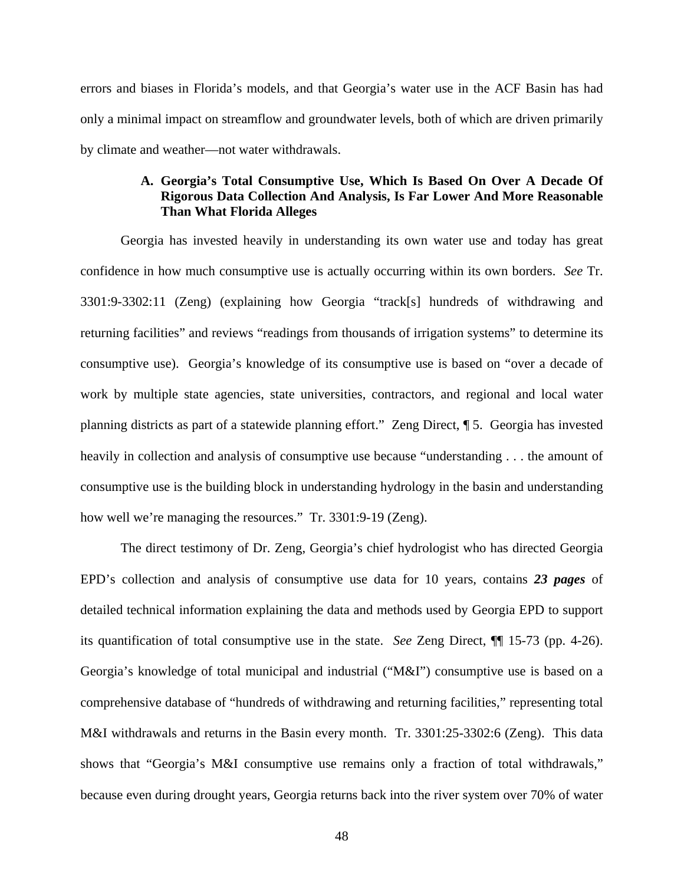errors and biases in Florida's models, and that Georgia's water use in the ACF Basin has had only a minimal impact on streamflow and groundwater levels, both of which are driven primarily by climate and weather—not water withdrawals.

# **A. Georgia's Total Consumptive Use, Which Is Based On Over A Decade Of Rigorous Data Collection And Analysis, Is Far Lower And More Reasonable Than What Florida Alleges**

Georgia has invested heavily in understanding its own water use and today has great confidence in how much consumptive use is actually occurring within its own borders. *See* Tr. 3301:9-3302:11 (Zeng) (explaining how Georgia "track[s] hundreds of withdrawing and returning facilities" and reviews "readings from thousands of irrigation systems" to determine its consumptive use). Georgia's knowledge of its consumptive use is based on "over a decade of work by multiple state agencies, state universities, contractors, and regional and local water planning districts as part of a statewide planning effort." Zeng Direct, ¶ 5. Georgia has invested heavily in collection and analysis of consumptive use because "understanding . . . the amount of consumptive use is the building block in understanding hydrology in the basin and understanding how well we're managing the resources." Tr. 3301:9-19 (Zeng).

The direct testimony of Dr. Zeng, Georgia's chief hydrologist who has directed Georgia EPD's collection and analysis of consumptive use data for 10 years, contains *23 pages* of detailed technical information explaining the data and methods used by Georgia EPD to support its quantification of total consumptive use in the state. *See* Zeng Direct, ¶¶ 15-73 (pp. 4-26). Georgia's knowledge of total municipal and industrial ("M&I") consumptive use is based on a comprehensive database of "hundreds of withdrawing and returning facilities," representing total M&I withdrawals and returns in the Basin every month. Tr. 3301:25-3302:6 (Zeng). This data shows that "Georgia's M&I consumptive use remains only a fraction of total withdrawals," because even during drought years, Georgia returns back into the river system over 70% of water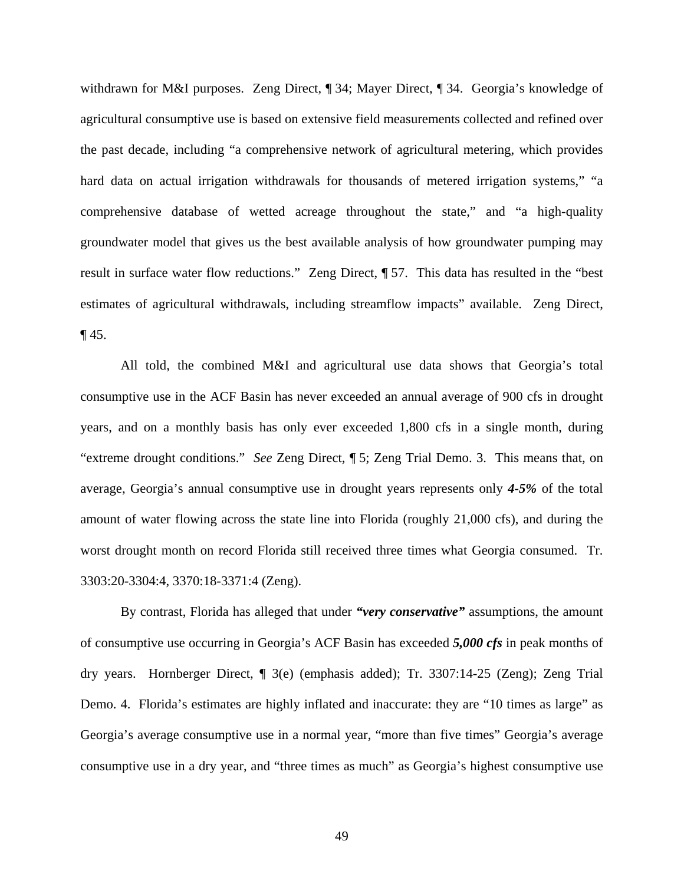withdrawn for M&I purposes. Zeng Direct, ¶ 34; Mayer Direct, ¶ 34. Georgia's knowledge of agricultural consumptive use is based on extensive field measurements collected and refined over the past decade, including "a comprehensive network of agricultural metering, which provides hard data on actual irrigation withdrawals for thousands of metered irrigation systems," "a comprehensive database of wetted acreage throughout the state," and "a high-quality groundwater model that gives us the best available analysis of how groundwater pumping may result in surface water flow reductions." Zeng Direct, ¶ 57. This data has resulted in the "best estimates of agricultural withdrawals, including streamflow impacts" available. Zeng Direct,  $\P$  45.

All told, the combined M&I and agricultural use data shows that Georgia's total consumptive use in the ACF Basin has never exceeded an annual average of 900 cfs in drought years, and on a monthly basis has only ever exceeded 1,800 cfs in a single month, during "extreme drought conditions." *See* Zeng Direct, ¶ 5; Zeng Trial Demo. 3. This means that, on average, Georgia's annual consumptive use in drought years represents only *4-5%* of the total amount of water flowing across the state line into Florida (roughly 21,000 cfs), and during the worst drought month on record Florida still received three times what Georgia consumed. Tr. 3303:20-3304:4, 3370:18-3371:4 (Zeng).

By contrast, Florida has alleged that under *"very conservative"* assumptions, the amount of consumptive use occurring in Georgia's ACF Basin has exceeded *5,000 cfs* in peak months of dry years. Hornberger Direct, ¶ 3(e) (emphasis added); Tr. 3307:14-25 (Zeng); Zeng Trial Demo. 4. Florida's estimates are highly inflated and inaccurate: they are "10 times as large" as Georgia's average consumptive use in a normal year, "more than five times" Georgia's average consumptive use in a dry year, and "three times as much" as Georgia's highest consumptive use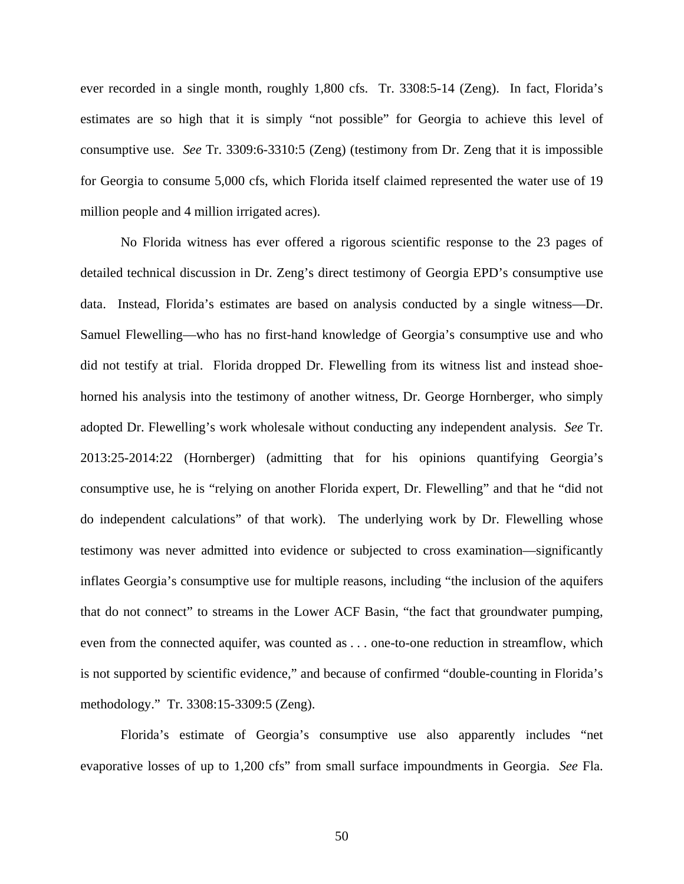ever recorded in a single month, roughly 1,800 cfs. Tr. 3308:5-14 (Zeng). In fact, Florida's estimates are so high that it is simply "not possible" for Georgia to achieve this level of consumptive use. *See* Tr. 3309:6-3310:5 (Zeng) (testimony from Dr. Zeng that it is impossible for Georgia to consume 5,000 cfs, which Florida itself claimed represented the water use of 19 million people and 4 million irrigated acres).

No Florida witness has ever offered a rigorous scientific response to the 23 pages of detailed technical discussion in Dr. Zeng's direct testimony of Georgia EPD's consumptive use data. Instead, Florida's estimates are based on analysis conducted by a single witness—Dr. Samuel Flewelling—who has no first-hand knowledge of Georgia's consumptive use and who did not testify at trial. Florida dropped Dr. Flewelling from its witness list and instead shoehorned his analysis into the testimony of another witness, Dr. George Hornberger, who simply adopted Dr. Flewelling's work wholesale without conducting any independent analysis. *See* Tr. 2013:25-2014:22 (Hornberger) (admitting that for his opinions quantifying Georgia's consumptive use, he is "relying on another Florida expert, Dr. Flewelling" and that he "did not do independent calculations" of that work). The underlying work by Dr. Flewelling whose testimony was never admitted into evidence or subjected to cross examination—significantly inflates Georgia's consumptive use for multiple reasons, including "the inclusion of the aquifers that do not connect" to streams in the Lower ACF Basin, "the fact that groundwater pumping, even from the connected aquifer, was counted as . . . one-to-one reduction in streamflow, which is not supported by scientific evidence," and because of confirmed "double-counting in Florida's methodology." Tr. 3308:15-3309:5 (Zeng).

Florida's estimate of Georgia's consumptive use also apparently includes "net evaporative losses of up to 1,200 cfs" from small surface impoundments in Georgia. *See* Fla.

50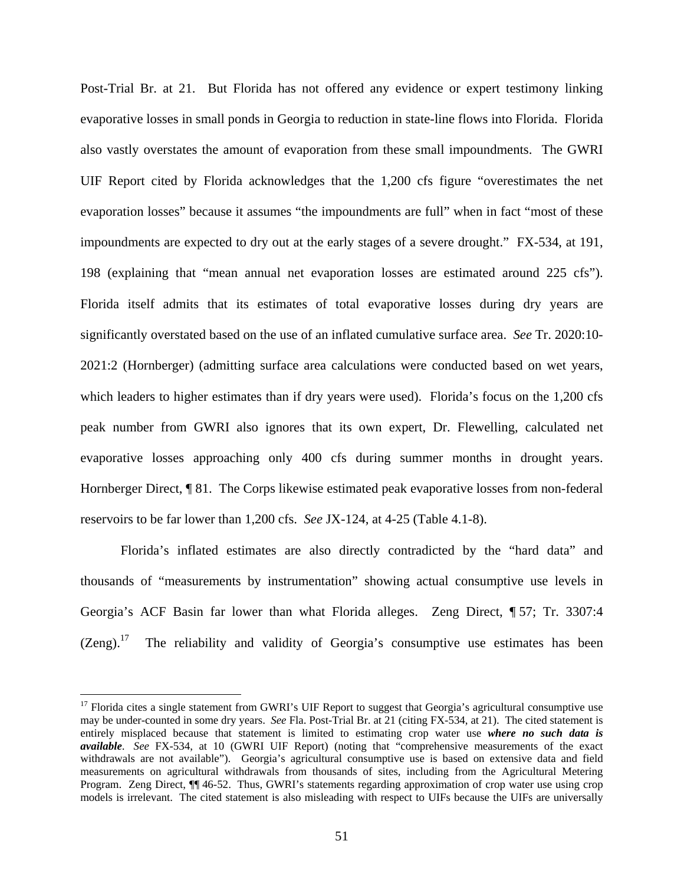Post-Trial Br. at 21. But Florida has not offered any evidence or expert testimony linking evaporative losses in small ponds in Georgia to reduction in state-line flows into Florida. Florida also vastly overstates the amount of evaporation from these small impoundments. The GWRI UIF Report cited by Florida acknowledges that the 1,200 cfs figure "overestimates the net evaporation losses" because it assumes "the impoundments are full" when in fact "most of these impoundments are expected to dry out at the early stages of a severe drought." FX-534, at 191, 198 (explaining that "mean annual net evaporation losses are estimated around 225 cfs"). Florida itself admits that its estimates of total evaporative losses during dry years are significantly overstated based on the use of an inflated cumulative surface area. *See* Tr. 2020:10- 2021:2 (Hornberger) (admitting surface area calculations were conducted based on wet years, which leaders to higher estimates than if dry years were used). Florida's focus on the 1,200 cfs peak number from GWRI also ignores that its own expert, Dr. Flewelling, calculated net evaporative losses approaching only 400 cfs during summer months in drought years. Hornberger Direct, ¶ 81. The Corps likewise estimated peak evaporative losses from non-federal reservoirs to be far lower than 1,200 cfs. *See* JX-124, at 4-25 (Table 4.1-8).

Florida's inflated estimates are also directly contradicted by the "hard data" and thousands of "measurements by instrumentation" showing actual consumptive use levels in Georgia's ACF Basin far lower than what Florida alleges. Zeng Direct, ¶ 57; Tr. 3307:4  $(Zeng).<sup>17</sup>$  The reliability and validity of Georgia's consumptive use estimates has been

<sup>&</sup>lt;sup>17</sup> Florida cites a single statement from GWRI's UIF Report to suggest that Georgia's agricultural consumptive use may be under-counted in some dry years. *See* Fla. Post-Trial Br. at 21 (citing FX-534, at 21). The cited statement is entirely misplaced because that statement is limited to estimating crop water use *where no such data is available*. *See* FX-534, at 10 (GWRI UIF Report) (noting that "comprehensive measurements of the exact withdrawals are not available"). Georgia's agricultural consumptive use is based on extensive data and field measurements on agricultural withdrawals from thousands of sites, including from the Agricultural Metering Program. Zeng Direct, ¶¶ 46-52. Thus, GWRI's statements regarding approximation of crop water use using crop models is irrelevant. The cited statement is also misleading with respect to UIFs because the UIFs are universally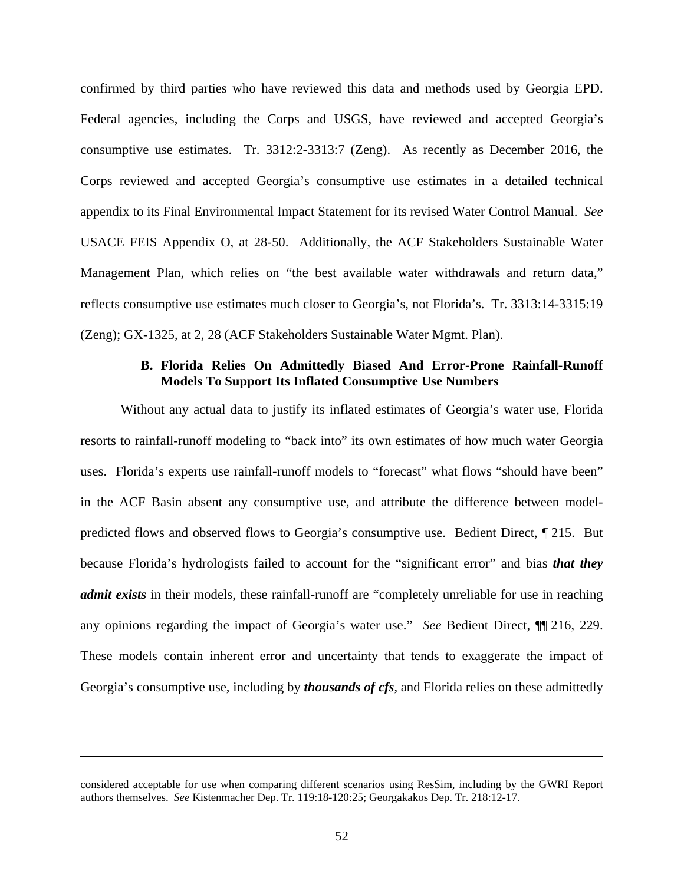confirmed by third parties who have reviewed this data and methods used by Georgia EPD. Federal agencies, including the Corps and USGS, have reviewed and accepted Georgia's consumptive use estimates. Tr. 3312:2-3313:7 (Zeng). As recently as December 2016, the Corps reviewed and accepted Georgia's consumptive use estimates in a detailed technical appendix to its Final Environmental Impact Statement for its revised Water Control Manual. *See*  USACE FEIS Appendix O, at 28-50. Additionally, the ACF Stakeholders Sustainable Water Management Plan, which relies on "the best available water withdrawals and return data," reflects consumptive use estimates much closer to Georgia's, not Florida's. Tr. 3313:14-3315:19 (Zeng); GX-1325, at 2, 28 (ACF Stakeholders Sustainable Water Mgmt. Plan).

#### **B. Florida Relies On Admittedly Biased And Error-Prone Rainfall-Runoff Models To Support Its Inflated Consumptive Use Numbers**

Without any actual data to justify its inflated estimates of Georgia's water use, Florida resorts to rainfall-runoff modeling to "back into" its own estimates of how much water Georgia uses. Florida's experts use rainfall-runoff models to "forecast" what flows "should have been" in the ACF Basin absent any consumptive use, and attribute the difference between modelpredicted flows and observed flows to Georgia's consumptive use. Bedient Direct, ¶ 215. But because Florida's hydrologists failed to account for the "significant error" and bias *that they admit exists* in their models, these rainfall-runoff are "completely unreliable for use in reaching any opinions regarding the impact of Georgia's water use." *See* Bedient Direct, ¶¶ 216, 229. These models contain inherent error and uncertainty that tends to exaggerate the impact of Georgia's consumptive use, including by *thousands of cfs*, and Florida relies on these admittedly

considered acceptable for use when comparing different scenarios using ResSim, including by the GWRI Report authors themselves. *See* Kistenmacher Dep. Tr. 119:18-120:25; Georgakakos Dep. Tr. 218:12-17.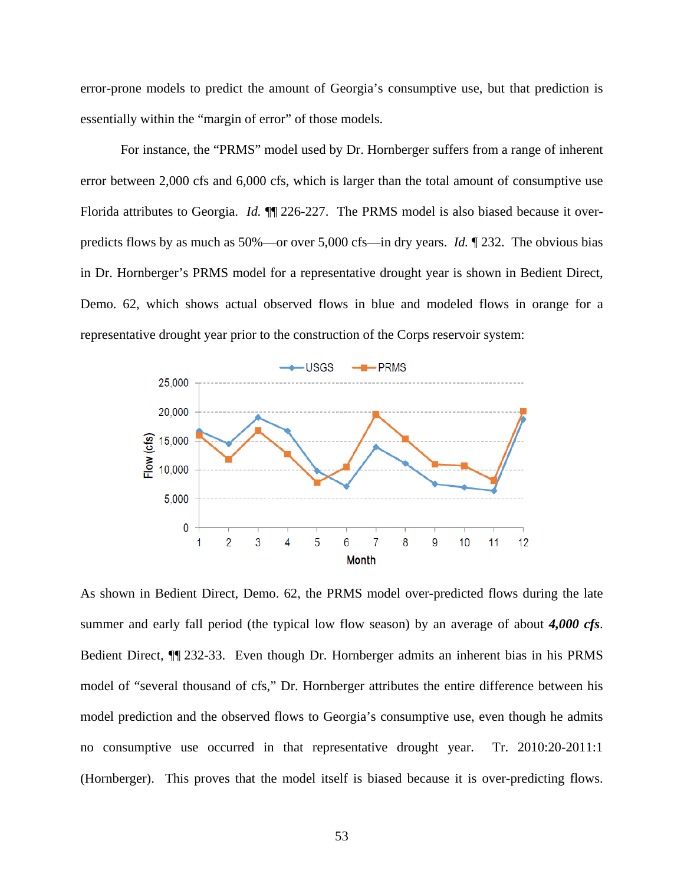error-prone models to predict the amount of Georgia's consumptive use, but that prediction is essentially within the "margin of error" of those models.

For instance, the "PRMS" model used by Dr. Hornberger suffers from a range of inherent error between 2,000 cfs and 6,000 cfs, which is larger than the total amount of consumptive use Florida attributes to Georgia. *Id.* ¶¶ 226-227. The PRMS model is also biased because it overpredicts flows by as much as 50%—or over 5,000 cfs—in dry years. *Id.* ¶ 232. The obvious bias in Dr. Hornberger's PRMS model for a representative drought year is shown in Bedient Direct, Demo. 62, which shows actual observed flows in blue and modeled flows in orange for a representative drought year prior to the construction of the Corps reservoir system:



As shown in Bedient Direct, Demo. 62, the PRMS model over-predicted flows during the late summer and early fall period (the typical low flow season) by an average of about *4,000 cfs*. Bedient Direct, ¶¶ 232-33. Even though Dr. Hornberger admits an inherent bias in his PRMS model of "several thousand of cfs," Dr. Hornberger attributes the entire difference between his model prediction and the observed flows to Georgia's consumptive use, even though he admits no consumptive use occurred in that representative drought year. Tr. 2010:20-2011:1 (Hornberger). This proves that the model itself is biased because it is over-predicting flows.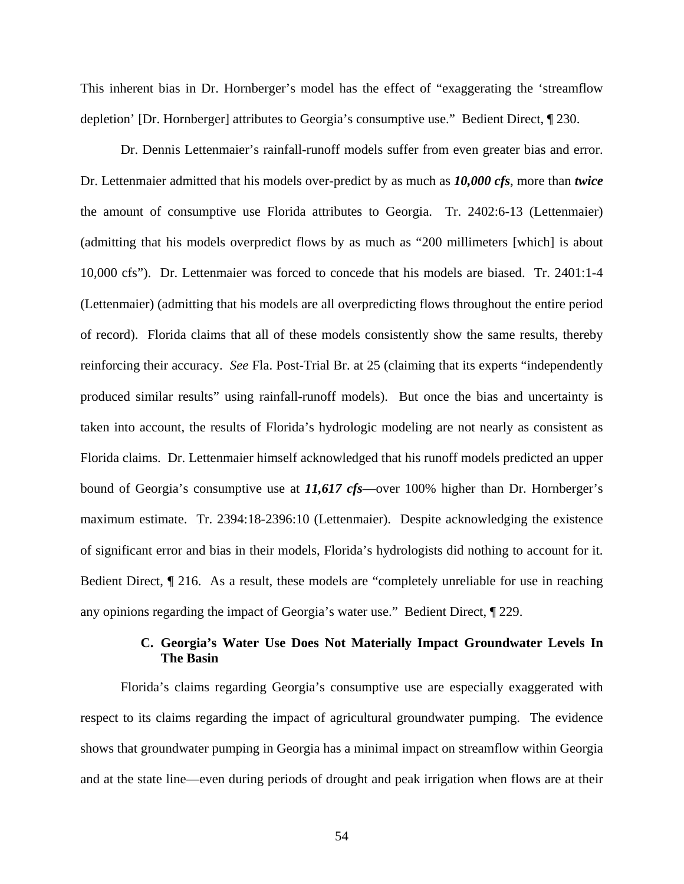This inherent bias in Dr. Hornberger's model has the effect of "exaggerating the 'streamflow depletion' [Dr. Hornberger] attributes to Georgia's consumptive use." Bedient Direct, ¶ 230.

Dr. Dennis Lettenmaier's rainfall-runoff models suffer from even greater bias and error. Dr. Lettenmaier admitted that his models over-predict by as much as *10,000 cfs*, more than *twice* the amount of consumptive use Florida attributes to Georgia. Tr. 2402:6-13 (Lettenmaier) (admitting that his models overpredict flows by as much as "200 millimeters [which] is about 10,000 cfs"). Dr. Lettenmaier was forced to concede that his models are biased. Tr. 2401:1-4 (Lettenmaier) (admitting that his models are all overpredicting flows throughout the entire period of record). Florida claims that all of these models consistently show the same results, thereby reinforcing their accuracy. *See* Fla. Post-Trial Br. at 25 (claiming that its experts "independently produced similar results" using rainfall-runoff models). But once the bias and uncertainty is taken into account, the results of Florida's hydrologic modeling are not nearly as consistent as Florida claims. Dr. Lettenmaier himself acknowledged that his runoff models predicted an upper bound of Georgia's consumptive use at *11,617 cfs*—over 100% higher than Dr. Hornberger's maximum estimate. Tr. 2394:18-2396:10 (Lettenmaier). Despite acknowledging the existence of significant error and bias in their models, Florida's hydrologists did nothing to account for it. Bedient Direct, ¶ 216. As a result, these models are "completely unreliable for use in reaching any opinions regarding the impact of Georgia's water use." Bedient Direct, ¶ 229.

# **C. Georgia's Water Use Does Not Materially Impact Groundwater Levels In The Basin**

Florida's claims regarding Georgia's consumptive use are especially exaggerated with respect to its claims regarding the impact of agricultural groundwater pumping. The evidence shows that groundwater pumping in Georgia has a minimal impact on streamflow within Georgia and at the state line—even during periods of drought and peak irrigation when flows are at their

54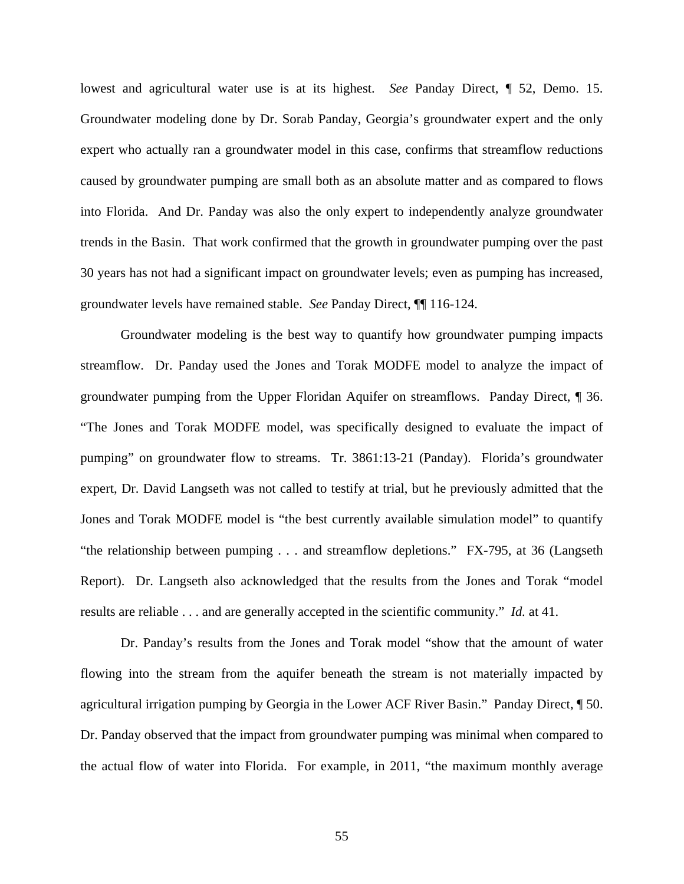lowest and agricultural water use is at its highest. *See* Panday Direct, ¶ 52, Demo. 15. Groundwater modeling done by Dr. Sorab Panday, Georgia's groundwater expert and the only expert who actually ran a groundwater model in this case, confirms that streamflow reductions caused by groundwater pumping are small both as an absolute matter and as compared to flows into Florida. And Dr. Panday was also the only expert to independently analyze groundwater trends in the Basin. That work confirmed that the growth in groundwater pumping over the past 30 years has not had a significant impact on groundwater levels; even as pumping has increased, groundwater levels have remained stable. *See* Panday Direct, ¶¶ 116-124.

Groundwater modeling is the best way to quantify how groundwater pumping impacts streamflow. Dr. Panday used the Jones and Torak MODFE model to analyze the impact of groundwater pumping from the Upper Floridan Aquifer on streamflows. Panday Direct, ¶ 36. "The Jones and Torak MODFE model, was specifically designed to evaluate the impact of pumping" on groundwater flow to streams. Tr. 3861:13-21 (Panday). Florida's groundwater expert, Dr. David Langseth was not called to testify at trial, but he previously admitted that the Jones and Torak MODFE model is "the best currently available simulation model" to quantify "the relationship between pumping . . . and streamflow depletions." FX-795, at 36 (Langseth Report). Dr. Langseth also acknowledged that the results from the Jones and Torak "model results are reliable . . . and are generally accepted in the scientific community." *Id.* at 41.

Dr. Panday's results from the Jones and Torak model "show that the amount of water flowing into the stream from the aquifer beneath the stream is not materially impacted by agricultural irrigation pumping by Georgia in the Lower ACF River Basin." Panday Direct, ¶ 50. Dr. Panday observed that the impact from groundwater pumping was minimal when compared to the actual flow of water into Florida. For example, in 2011, "the maximum monthly average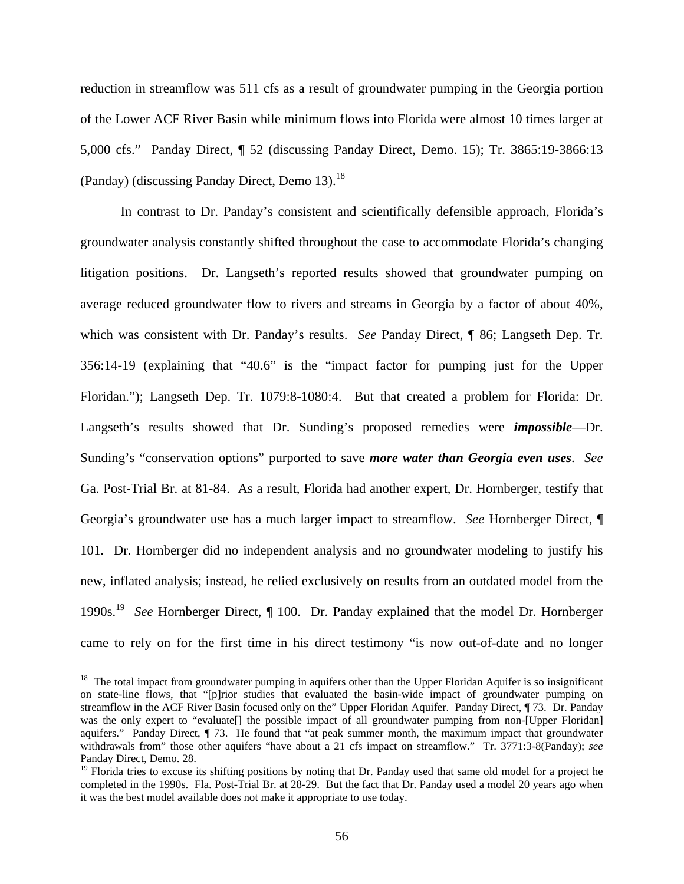reduction in streamflow was 511 cfs as a result of groundwater pumping in the Georgia portion of the Lower ACF River Basin while minimum flows into Florida were almost 10 times larger at 5,000 cfs." Panday Direct, ¶ 52 (discussing Panday Direct, Demo. 15); Tr. 3865:19-3866:13 (Panday) (discussing Panday Direct, Demo  $13$ ).<sup>18</sup>

In contrast to Dr. Panday's consistent and scientifically defensible approach, Florida's groundwater analysis constantly shifted throughout the case to accommodate Florida's changing litigation positions. Dr. Langseth's reported results showed that groundwater pumping on average reduced groundwater flow to rivers and streams in Georgia by a factor of about 40%, which was consistent with Dr. Panday's results. *See* Panday Direct, ¶ 86; Langseth Dep. Tr. 356:14-19 (explaining that "40.6" is the "impact factor for pumping just for the Upper Floridan."); Langseth Dep. Tr. 1079:8-1080:4. But that created a problem for Florida: Dr. Langseth's results showed that Dr. Sunding's proposed remedies were *impossible*—Dr. Sunding's "conservation options" purported to save *more water than Georgia even uses*. *See* Ga. Post-Trial Br. at 81-84. As a result, Florida had another expert, Dr. Hornberger, testify that Georgia's groundwater use has a much larger impact to streamflow. *See* Hornberger Direct, ¶ 101. Dr. Hornberger did no independent analysis and no groundwater modeling to justify his new, inflated analysis; instead, he relied exclusively on results from an outdated model from the 1990s.19 *See* Hornberger Direct, ¶ 100. Dr. Panday explained that the model Dr. Hornberger came to rely on for the first time in his direct testimony "is now out-of-date and no longer

1

 $18$  The total impact from groundwater pumping in aquifers other than the Upper Floridan Aquifer is so insignificant on state-line flows, that "[p]rior studies that evaluated the basin-wide impact of groundwater pumping on streamflow in the ACF River Basin focused only on the" Upper Floridan Aquifer. Panday Direct, ¶ 73. Dr. Panday was the only expert to "evaluate[] the possible impact of all groundwater pumping from non-[Upper Floridan] aquifers." Panday Direct, ¶ 73. He found that "at peak summer month, the maximum impact that groundwater withdrawals from" those other aquifers "have about a 21 cfs impact on streamflow." Tr. 3771:3-8(Panday); *see* Panday Direct, Demo. 28.

 $19$  Florida tries to excuse its shifting positions by noting that Dr. Panday used that same old model for a project he completed in the 1990s. Fla. Post-Trial Br. at 28-29. But the fact that Dr. Panday used a model 20 years ago when it was the best model available does not make it appropriate to use today.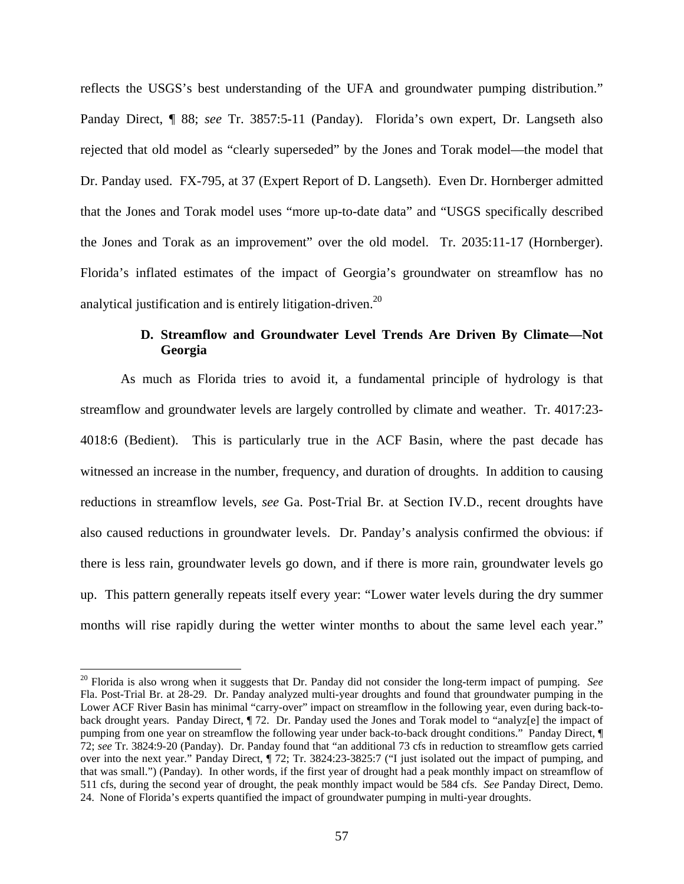reflects the USGS's best understanding of the UFA and groundwater pumping distribution." Panday Direct, ¶ 88; *see* Tr. 3857:5-11 (Panday). Florida's own expert, Dr. Langseth also rejected that old model as "clearly superseded" by the Jones and Torak model—the model that Dr. Panday used. FX-795, at 37 (Expert Report of D. Langseth). Even Dr. Hornberger admitted that the Jones and Torak model uses "more up-to-date data" and "USGS specifically described the Jones and Torak as an improvement" over the old model. Tr. 2035:11-17 (Hornberger). Florida's inflated estimates of the impact of Georgia's groundwater on streamflow has no analytical justification and is entirely litigation-driven.<sup>20</sup>

# **D. Streamflow and Groundwater Level Trends Are Driven By Climate—Not Georgia**

As much as Florida tries to avoid it, a fundamental principle of hydrology is that streamflow and groundwater levels are largely controlled by climate and weather. Tr. 4017:23- 4018:6 (Bedient). This is particularly true in the ACF Basin, where the past decade has witnessed an increase in the number, frequency, and duration of droughts. In addition to causing reductions in streamflow levels, *see* Ga. Post-Trial Br. at Section IV.D., recent droughts have also caused reductions in groundwater levels. Dr. Panday's analysis confirmed the obvious: if there is less rain, groundwater levels go down, and if there is more rain, groundwater levels go up. This pattern generally repeats itself every year: "Lower water levels during the dry summer months will rise rapidly during the wetter winter months to about the same level each year."

<sup>20</sup> Florida is also wrong when it suggests that Dr. Panday did not consider the long-term impact of pumping. *See* Fla. Post-Trial Br. at 28-29. Dr. Panday analyzed multi-year droughts and found that groundwater pumping in the Lower ACF River Basin has minimal "carry-over" impact on streamflow in the following year, even during back-toback drought years. Panday Direct, ¶ 72. Dr. Panday used the Jones and Torak model to "analyz[e] the impact of pumping from one year on streamflow the following year under back-to-back drought conditions." Panday Direct, ¶ 72; *see* Tr. 3824:9-20 (Panday). Dr. Panday found that "an additional 73 cfs in reduction to streamflow gets carried over into the next year." Panday Direct, ¶ 72; Tr. 3824:23-3825:7 ("I just isolated out the impact of pumping, and that was small.") (Panday). In other words, if the first year of drought had a peak monthly impact on streamflow of 511 cfs, during the second year of drought, the peak monthly impact would be 584 cfs. *See* Panday Direct, Demo. 24. None of Florida's experts quantified the impact of groundwater pumping in multi-year droughts.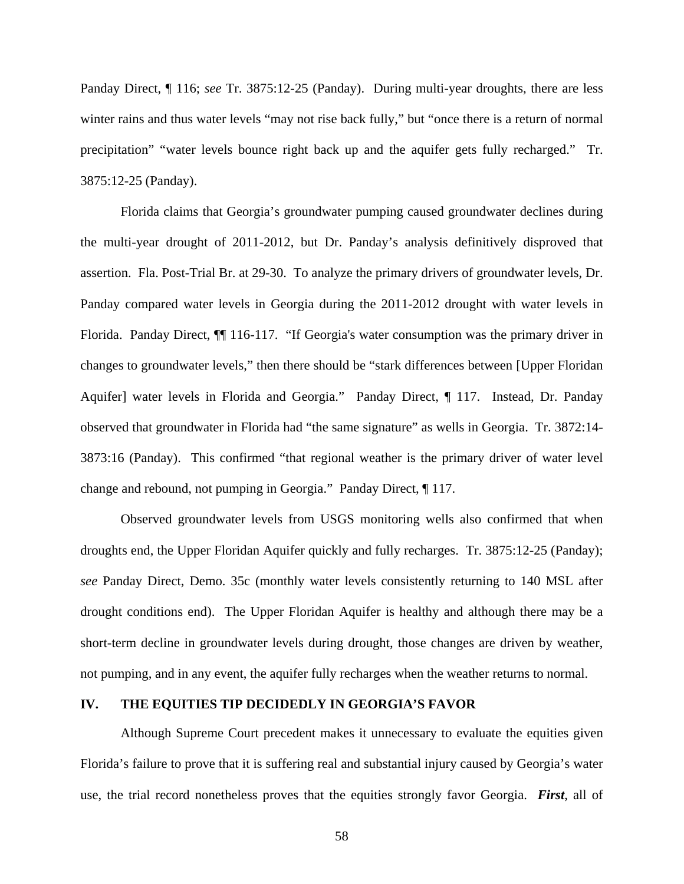Panday Direct, ¶ 116; *see* Tr. 3875:12-25 (Panday). During multi-year droughts, there are less winter rains and thus water levels "may not rise back fully," but "once there is a return of normal precipitation" "water levels bounce right back up and the aquifer gets fully recharged." Tr. 3875:12-25 (Panday).

Florida claims that Georgia's groundwater pumping caused groundwater declines during the multi-year drought of 2011-2012, but Dr. Panday's analysis definitively disproved that assertion. Fla. Post-Trial Br. at 29-30. To analyze the primary drivers of groundwater levels, Dr. Panday compared water levels in Georgia during the 2011-2012 drought with water levels in Florida. Panday Direct,  $\P$  116-117. "If Georgia's water consumption was the primary driver in changes to groundwater levels," then there should be "stark differences between [Upper Floridan Aquifer] water levels in Florida and Georgia." Panday Direct, ¶ 117. Instead, Dr. Panday observed that groundwater in Florida had "the same signature" as wells in Georgia. Tr. 3872:14- 3873:16 (Panday). This confirmed "that regional weather is the primary driver of water level change and rebound, not pumping in Georgia." Panday Direct, ¶ 117.

Observed groundwater levels from USGS monitoring wells also confirmed that when droughts end, the Upper Floridan Aquifer quickly and fully recharges. Tr. 3875:12-25 (Panday); *see* Panday Direct, Demo. 35c (monthly water levels consistently returning to 140 MSL after drought conditions end). The Upper Floridan Aquifer is healthy and although there may be a short-term decline in groundwater levels during drought, those changes are driven by weather, not pumping, and in any event, the aquifer fully recharges when the weather returns to normal.

#### **IV. THE EQUITIES TIP DECIDEDLY IN GEORGIA'S FAVOR**

Although Supreme Court precedent makes it unnecessary to evaluate the equities given Florida's failure to prove that it is suffering real and substantial injury caused by Georgia's water use, the trial record nonetheless proves that the equities strongly favor Georgia. *First*, all of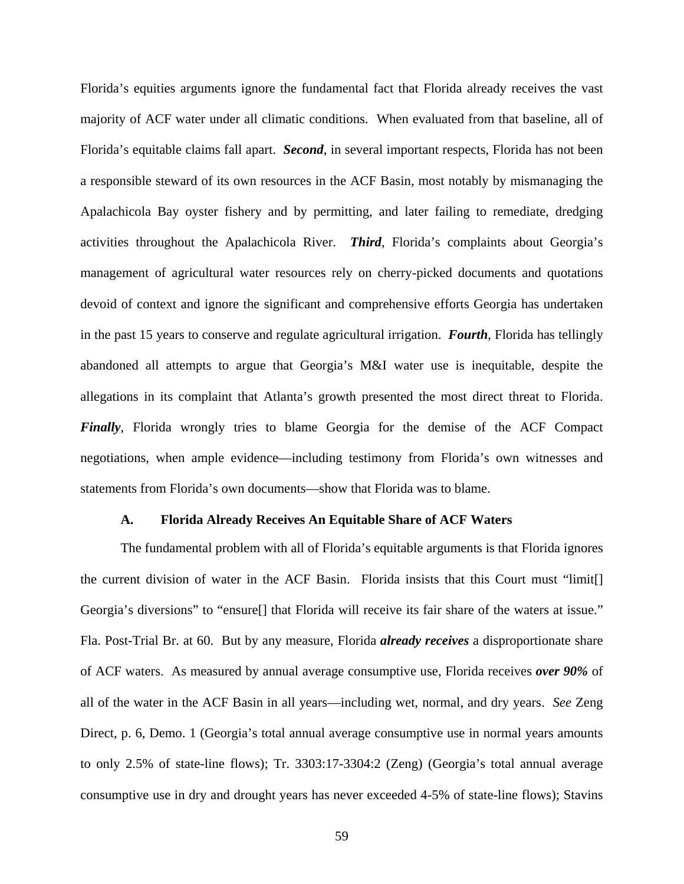Florida's equities arguments ignore the fundamental fact that Florida already receives the vast majority of ACF water under all climatic conditions. When evaluated from that baseline, all of Florida's equitable claims fall apart. *Second*, in several important respects, Florida has not been a responsible steward of its own resources in the ACF Basin, most notably by mismanaging the Apalachicola Bay oyster fishery and by permitting, and later failing to remediate, dredging activities throughout the Apalachicola River. *Third*, Florida's complaints about Georgia's management of agricultural water resources rely on cherry-picked documents and quotations devoid of context and ignore the significant and comprehensive efforts Georgia has undertaken in the past 15 years to conserve and regulate agricultural irrigation. *Fourth*, Florida has tellingly abandoned all attempts to argue that Georgia's M&I water use is inequitable, despite the allegations in its complaint that Atlanta's growth presented the most direct threat to Florida. *Finally*, Florida wrongly tries to blame Georgia for the demise of the ACF Compact negotiations, when ample evidence—including testimony from Florida's own witnesses and statements from Florida's own documents—show that Florida was to blame.

#### **A. Florida Already Receives An Equitable Share of ACF Waters**

The fundamental problem with all of Florida's equitable arguments is that Florida ignores the current division of water in the ACF Basin. Florida insists that this Court must "limit[] Georgia's diversions" to "ensure<sup>[]</sup> that Florida will receive its fair share of the waters at issue." Fla. Post-Trial Br. at 60. But by any measure, Florida *already receives* a disproportionate share of ACF waters. As measured by annual average consumptive use, Florida receives *over 90%* of all of the water in the ACF Basin in all years—including wet, normal, and dry years. *See* Zeng Direct, p. 6, Demo. 1 (Georgia's total annual average consumptive use in normal years amounts to only 2.5% of state-line flows); Tr. 3303:17-3304:2 (Zeng) (Georgia's total annual average consumptive use in dry and drought years has never exceeded 4-5% of state-line flows); Stavins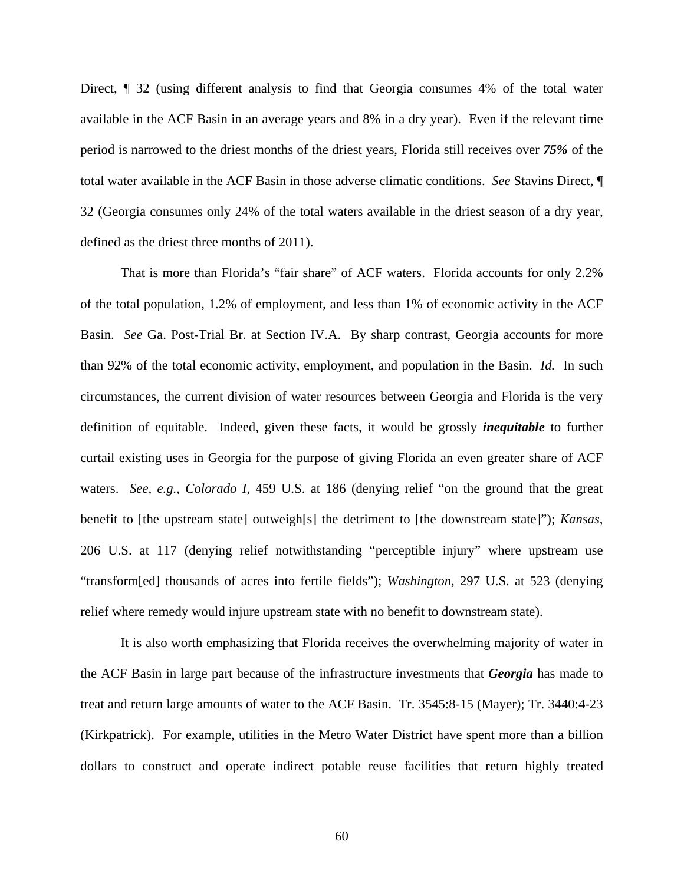Direct, ¶ 32 (using different analysis to find that Georgia consumes 4% of the total water available in the ACF Basin in an average years and 8% in a dry year). Even if the relevant time period is narrowed to the driest months of the driest years, Florida still receives over *75%* of the total water available in the ACF Basin in those adverse climatic conditions. *See* Stavins Direct, ¶ 32 (Georgia consumes only 24% of the total waters available in the driest season of a dry year, defined as the driest three months of 2011).

That is more than Florida's "fair share" of ACF waters. Florida accounts for only 2.2% of the total population, 1.2% of employment, and less than 1% of economic activity in the ACF Basin. *See* Ga. Post-Trial Br. at Section IV.A. By sharp contrast, Georgia accounts for more than 92% of the total economic activity, employment, and population in the Basin. *Id.* In such circumstances, the current division of water resources between Georgia and Florida is the very definition of equitable. Indeed, given these facts, it would be grossly *inequitable* to further curtail existing uses in Georgia for the purpose of giving Florida an even greater share of ACF waters. *See, e.g.*, *Colorado I*, 459 U.S. at 186 (denying relief "on the ground that the great benefit to [the upstream state] outweigh[s] the detriment to [the downstream state]"); *Kansas*, 206 U.S. at 117 (denying relief notwithstanding "perceptible injury" where upstream use "transform[ed] thousands of acres into fertile fields"); *Washington*, 297 U.S. at 523 (denying relief where remedy would injure upstream state with no benefit to downstream state).

It is also worth emphasizing that Florida receives the overwhelming majority of water in the ACF Basin in large part because of the infrastructure investments that *Georgia* has made to treat and return large amounts of water to the ACF Basin. Tr. 3545:8-15 (Mayer); Tr. 3440:4-23 (Kirkpatrick). For example, utilities in the Metro Water District have spent more than a billion dollars to construct and operate indirect potable reuse facilities that return highly treated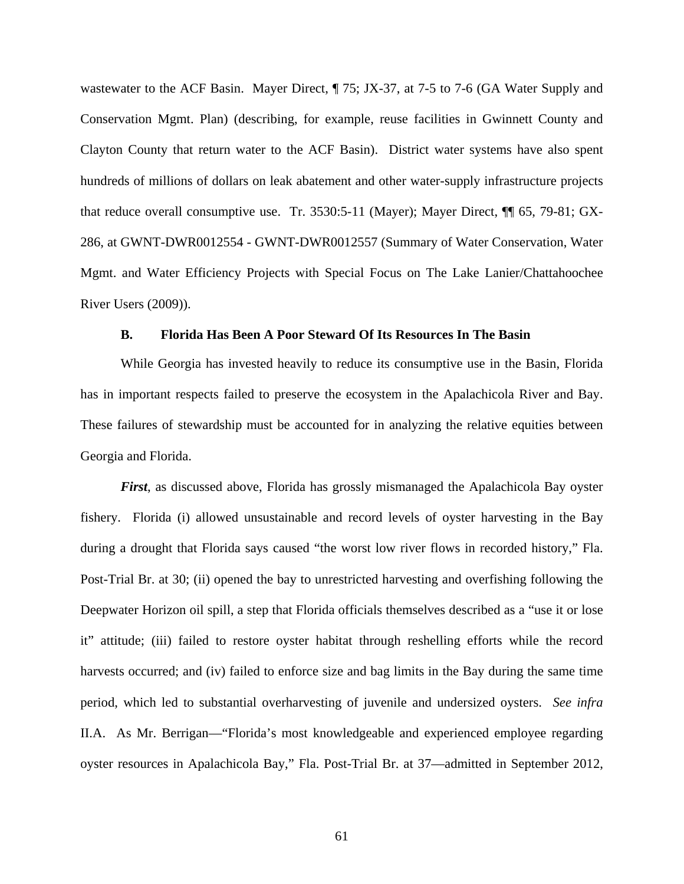wastewater to the ACF Basin. Mayer Direct,  $\P$  75; JX-37, at 7-5 to 7-6 (GA Water Supply and Conservation Mgmt. Plan) (describing, for example, reuse facilities in Gwinnett County and Clayton County that return water to the ACF Basin). District water systems have also spent hundreds of millions of dollars on leak abatement and other water-supply infrastructure projects that reduce overall consumptive use. Tr. 3530:5-11 (Mayer); Mayer Direct, ¶¶ 65, 79-81; GX-286, at GWNT-DWR0012554 - GWNT-DWR0012557 (Summary of Water Conservation, Water Mgmt. and Water Efficiency Projects with Special Focus on The Lake Lanier/Chattahoochee River Users (2009)).

#### **B. Florida Has Been A Poor Steward Of Its Resources In The Basin**

While Georgia has invested heavily to reduce its consumptive use in the Basin, Florida has in important respects failed to preserve the ecosystem in the Apalachicola River and Bay. These failures of stewardship must be accounted for in analyzing the relative equities between Georgia and Florida.

*First*, as discussed above, Florida has grossly mismanaged the Apalachicola Bay oyster fishery. Florida (i) allowed unsustainable and record levels of oyster harvesting in the Bay during a drought that Florida says caused "the worst low river flows in recorded history," Fla. Post-Trial Br. at 30; (ii) opened the bay to unrestricted harvesting and overfishing following the Deepwater Horizon oil spill, a step that Florida officials themselves described as a "use it or lose it" attitude; (iii) failed to restore oyster habitat through reshelling efforts while the record harvests occurred; and (iv) failed to enforce size and bag limits in the Bay during the same time period, which led to substantial overharvesting of juvenile and undersized oysters. *See infra* II.A. As Mr. Berrigan—"Florida's most knowledgeable and experienced employee regarding oyster resources in Apalachicola Bay," Fla. Post-Trial Br. at 37—admitted in September 2012,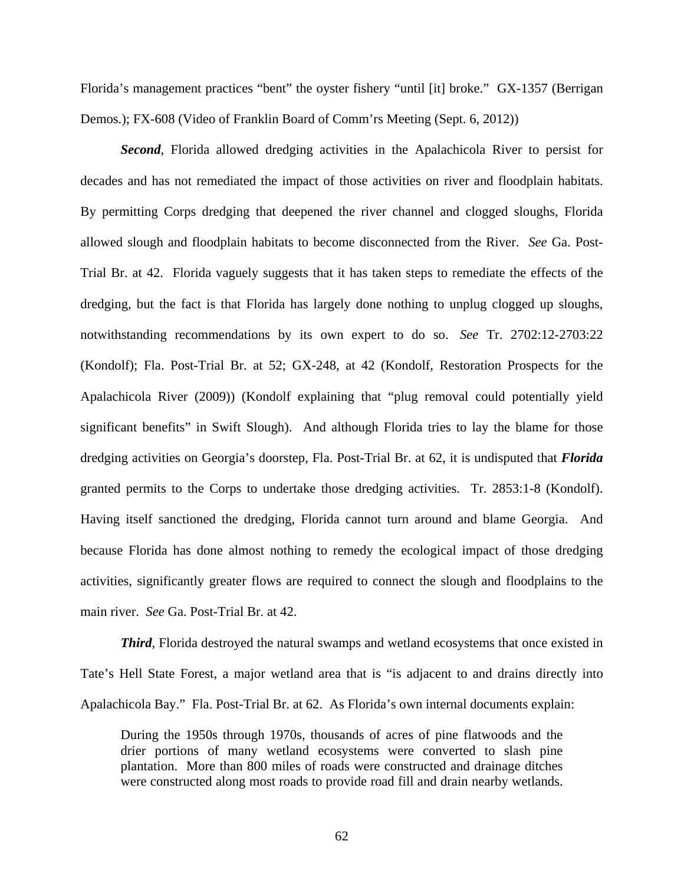Florida's management practices "bent" the oyster fishery "until [it] broke." GX-1357 (Berrigan Demos.); FX-608 (Video of Franklin Board of Comm'rs Meeting (Sept. 6, 2012))

*Second*, Florida allowed dredging activities in the Apalachicola River to persist for decades and has not remediated the impact of those activities on river and floodplain habitats. By permitting Corps dredging that deepened the river channel and clogged sloughs, Florida allowed slough and floodplain habitats to become disconnected from the River. *See* Ga. Post-Trial Br. at 42. Florida vaguely suggests that it has taken steps to remediate the effects of the dredging, but the fact is that Florida has largely done nothing to unplug clogged up sloughs, notwithstanding recommendations by its own expert to do so. *See* Tr. 2702:12-2703:22 (Kondolf); Fla. Post-Trial Br. at 52; GX-248, at 42 (Kondolf, Restoration Prospects for the Apalachicola River (2009)) (Kondolf explaining that "plug removal could potentially yield significant benefits" in Swift Slough). And although Florida tries to lay the blame for those dredging activities on Georgia's doorstep, Fla. Post-Trial Br. at 62, it is undisputed that *Florida* granted permits to the Corps to undertake those dredging activities. Tr. 2853:1-8 (Kondolf). Having itself sanctioned the dredging, Florida cannot turn around and blame Georgia. And because Florida has done almost nothing to remedy the ecological impact of those dredging activities, significantly greater flows are required to connect the slough and floodplains to the main river. *See* Ga. Post-Trial Br. at 42.

*Third*, Florida destroyed the natural swamps and wetland ecosystems that once existed in Tate's Hell State Forest, a major wetland area that is "is adjacent to and drains directly into Apalachicola Bay." Fla. Post-Trial Br. at 62. As Florida's own internal documents explain:

During the 1950s through 1970s, thousands of acres of pine flatwoods and the drier portions of many wetland ecosystems were converted to slash pine plantation. More than 800 miles of roads were constructed and drainage ditches were constructed along most roads to provide road fill and drain nearby wetlands.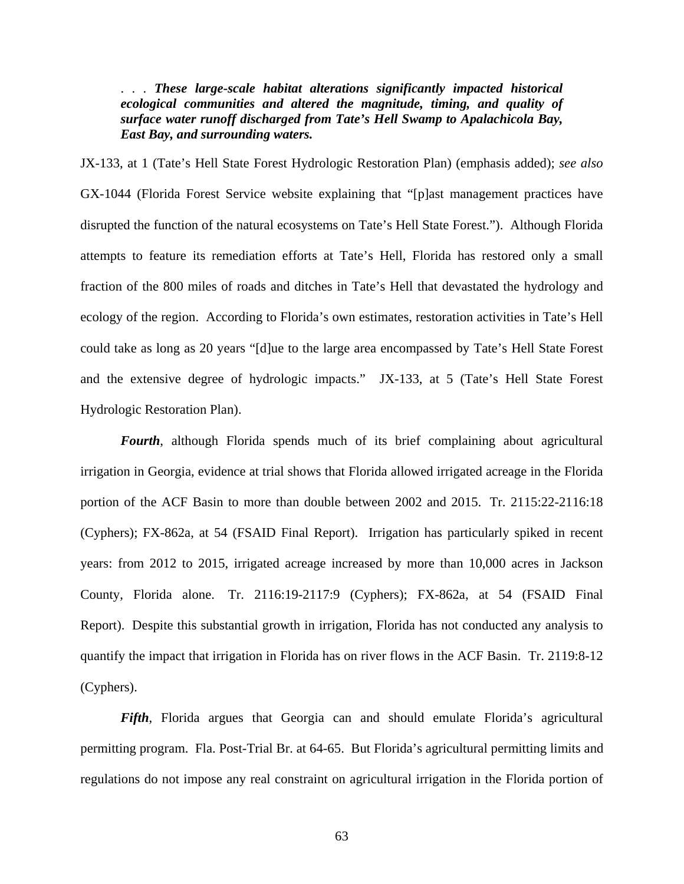. . . *These large-scale habitat alterations significantly impacted historical ecological communities and altered the magnitude, timing, and quality of surface water runoff discharged from Tate's Hell Swamp to Apalachicola Bay, East Bay, and surrounding waters.* 

JX-133, at 1 (Tate's Hell State Forest Hydrologic Restoration Plan) (emphasis added); *see also* GX-1044 (Florida Forest Service website explaining that "[p]ast management practices have disrupted the function of the natural ecosystems on Tate's Hell State Forest."). Although Florida attempts to feature its remediation efforts at Tate's Hell, Florida has restored only a small fraction of the 800 miles of roads and ditches in Tate's Hell that devastated the hydrology and ecology of the region. According to Florida's own estimates, restoration activities in Tate's Hell could take as long as 20 years "[d]ue to the large area encompassed by Tate's Hell State Forest and the extensive degree of hydrologic impacts." JX-133, at 5 (Tate's Hell State Forest Hydrologic Restoration Plan).

*Fourth*, although Florida spends much of its brief complaining about agricultural irrigation in Georgia, evidence at trial shows that Florida allowed irrigated acreage in the Florida portion of the ACF Basin to more than double between 2002 and 2015. Tr. 2115:22-2116:18 (Cyphers); FX-862a, at 54 (FSAID Final Report). Irrigation has particularly spiked in recent years: from 2012 to 2015, irrigated acreage increased by more than 10,000 acres in Jackson County, Florida alone. Tr. 2116:19-2117:9 (Cyphers); FX-862a, at 54 (FSAID Final Report). Despite this substantial growth in irrigation, Florida has not conducted any analysis to quantify the impact that irrigation in Florida has on river flows in the ACF Basin. Tr. 2119:8-12 (Cyphers).

*Fifth*, Florida argues that Georgia can and should emulate Florida's agricultural permitting program. Fla. Post-Trial Br. at 64-65. But Florida's agricultural permitting limits and regulations do not impose any real constraint on agricultural irrigation in the Florida portion of

63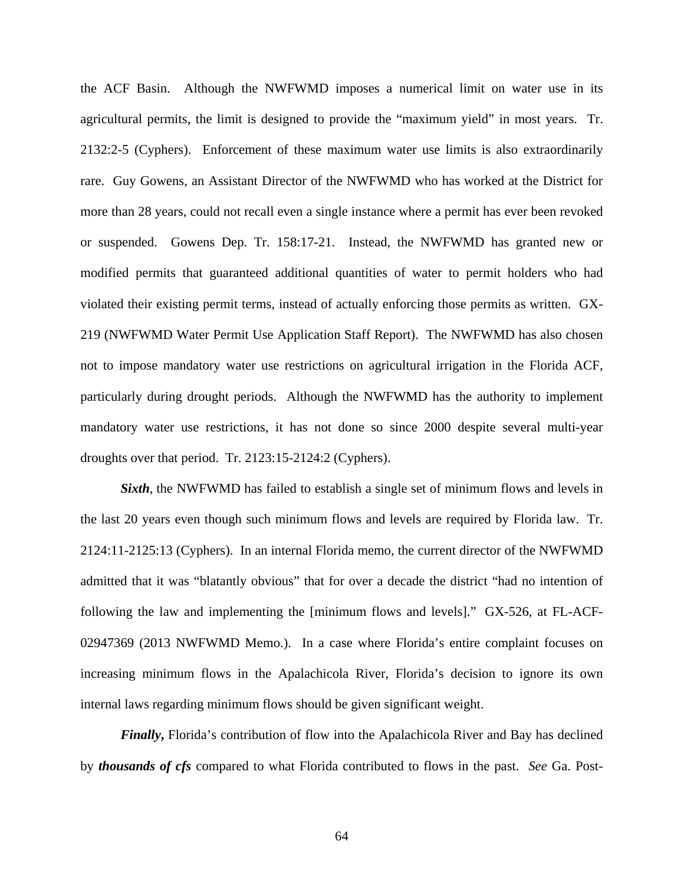the ACF Basin. Although the NWFWMD imposes a numerical limit on water use in its agricultural permits, the limit is designed to provide the "maximum yield" in most years. Tr. 2132:2-5 (Cyphers). Enforcement of these maximum water use limits is also extraordinarily rare. Guy Gowens, an Assistant Director of the NWFWMD who has worked at the District for more than 28 years, could not recall even a single instance where a permit has ever been revoked or suspended. Gowens Dep. Tr. 158:17-21. Instead, the NWFWMD has granted new or modified permits that guaranteed additional quantities of water to permit holders who had violated their existing permit terms, instead of actually enforcing those permits as written. GX-219 (NWFWMD Water Permit Use Application Staff Report). The NWFWMD has also chosen not to impose mandatory water use restrictions on agricultural irrigation in the Florida ACF, particularly during drought periods. Although the NWFWMD has the authority to implement mandatory water use restrictions, it has not done so since 2000 despite several multi-year droughts over that period. Tr. 2123:15-2124:2 (Cyphers).

*Sixth*, the NWFWMD has failed to establish a single set of minimum flows and levels in the last 20 years even though such minimum flows and levels are required by Florida law. Tr. 2124:11-2125:13 (Cyphers). In an internal Florida memo, the current director of the NWFWMD admitted that it was "blatantly obvious" that for over a decade the district "had no intention of following the law and implementing the [minimum flows and levels]." GX-526, at FL-ACF-02947369 (2013 NWFWMD Memo.). In a case where Florida's entire complaint focuses on increasing minimum flows in the Apalachicola River, Florida's decision to ignore its own internal laws regarding minimum flows should be given significant weight.

*Finally*, Florida's contribution of flow into the Apalachicola River and Bay has declined by *thousands of cfs* compared to what Florida contributed to flows in the past. *See* Ga. Post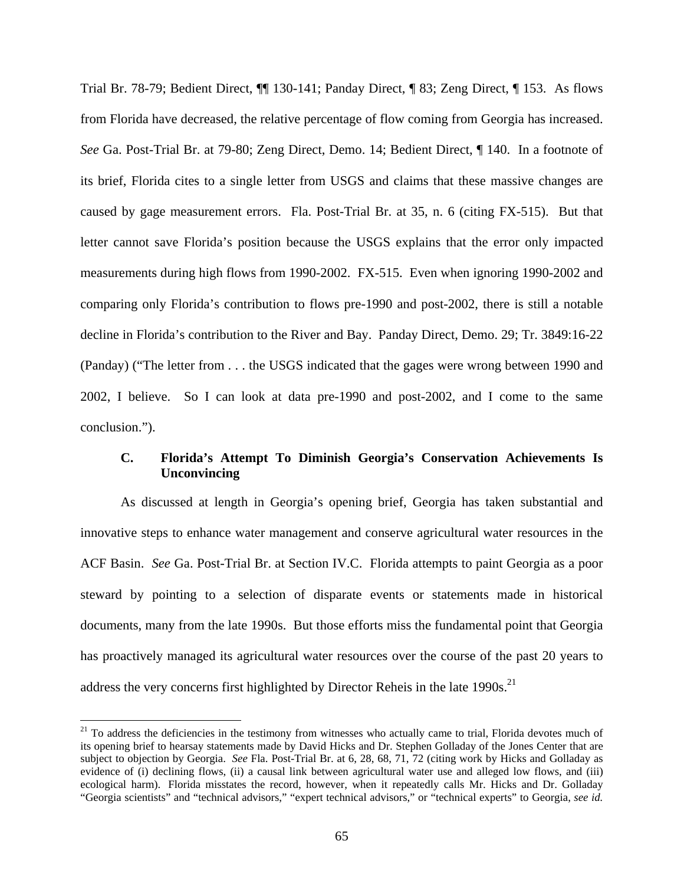Trial Br. 78-79; Bedient Direct, ¶¶ 130-141; Panday Direct, ¶ 83; Zeng Direct, ¶ 153. As flows from Florida have decreased, the relative percentage of flow coming from Georgia has increased. *See* Ga. Post-Trial Br. at 79-80; Zeng Direct, Demo. 14; Bedient Direct, ¶ 140. In a footnote of its brief, Florida cites to a single letter from USGS and claims that these massive changes are caused by gage measurement errors. Fla. Post-Trial Br. at 35, n. 6 (citing FX-515). But that letter cannot save Florida's position because the USGS explains that the error only impacted measurements during high flows from 1990-2002. FX-515. Even when ignoring 1990-2002 and comparing only Florida's contribution to flows pre-1990 and post-2002, there is still a notable decline in Florida's contribution to the River and Bay. Panday Direct, Demo. 29; Tr. 3849:16-22 (Panday) ("The letter from . . . the USGS indicated that the gages were wrong between 1990 and 2002, I believe. So I can look at data pre-1990 and post-2002, and I come to the same conclusion.").

### **C. Florida's Attempt To Diminish Georgia's Conservation Achievements Is Unconvincing**

As discussed at length in Georgia's opening brief, Georgia has taken substantial and innovative steps to enhance water management and conserve agricultural water resources in the ACF Basin. *See* Ga. Post-Trial Br. at Section IV.C. Florida attempts to paint Georgia as a poor steward by pointing to a selection of disparate events or statements made in historical documents, many from the late 1990s. But those efforts miss the fundamental point that Georgia has proactively managed its agricultural water resources over the course of the past 20 years to address the very concerns first highlighted by Director Reheis in the late 1990s.<sup>21</sup>

 $21$  To address the deficiencies in the testimony from witnesses who actually came to trial, Florida devotes much of its opening brief to hearsay statements made by David Hicks and Dr. Stephen Golladay of the Jones Center that are subject to objection by Georgia. *See* Fla. Post-Trial Br. at 6, 28, 68, 71, 72 (citing work by Hicks and Golladay as evidence of (i) declining flows, (ii) a causal link between agricultural water use and alleged low flows, and (iii) ecological harm). Florida misstates the record, however, when it repeatedly calls Mr. Hicks and Dr. Golladay "Georgia scientists" and "technical advisors," "expert technical advisors," or "technical experts" to Georgia, *see id.*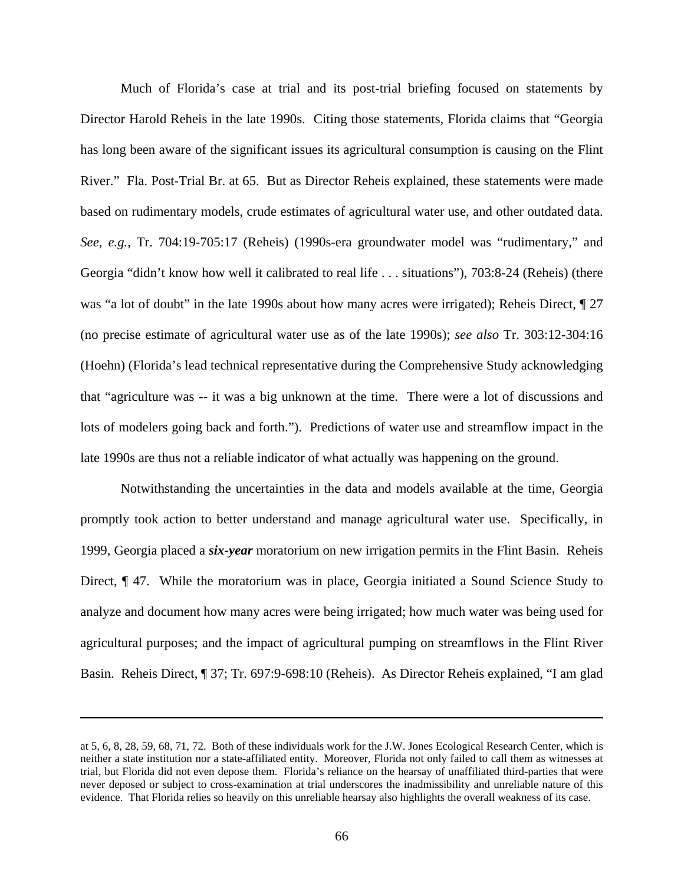Much of Florida's case at trial and its post-trial briefing focused on statements by Director Harold Reheis in the late 1990s. Citing those statements, Florida claims that "Georgia has long been aware of the significant issues its agricultural consumption is causing on the Flint River." Fla. Post-Trial Br. at 65. But as Director Reheis explained, these statements were made based on rudimentary models, crude estimates of agricultural water use, and other outdated data. *See, e.g.*, Tr. 704:19-705:17 (Reheis) (1990s-era groundwater model was "rudimentary," and Georgia "didn't know how well it calibrated to real life . . . situations"), 703:8-24 (Reheis) (there was "a lot of doubt" in the late 1990s about how many acres were irrigated); Reheis Direct,  $\P$  27 (no precise estimate of agricultural water use as of the late 1990s); *see also* Tr. 303:12-304:16 (Hoehn) (Florida's lead technical representative during the Comprehensive Study acknowledging that "agriculture was -- it was a big unknown at the time. There were a lot of discussions and lots of modelers going back and forth."). Predictions of water use and streamflow impact in the late 1990s are thus not a reliable indicator of what actually was happening on the ground.

Notwithstanding the uncertainties in the data and models available at the time, Georgia promptly took action to better understand and manage agricultural water use. Specifically, in 1999, Georgia placed a *six-year* moratorium on new irrigation permits in the Flint Basin. Reheis Direct, ¶ 47. While the moratorium was in place, Georgia initiated a Sound Science Study to analyze and document how many acres were being irrigated; how much water was being used for agricultural purposes; and the impact of agricultural pumping on streamflows in the Flint River Basin. Reheis Direct, ¶ 37; Tr. 697:9-698:10 (Reheis). As Director Reheis explained, "I am glad

at 5, 6, 8, 28, 59, 68, 71, 72. Both of these individuals work for the J.W. Jones Ecological Research Center, which is neither a state institution nor a state-affiliated entity. Moreover, Florida not only failed to call them as witnesses at trial, but Florida did not even depose them. Florida's reliance on the hearsay of unaffiliated third-parties that were never deposed or subject to cross-examination at trial underscores the inadmissibility and unreliable nature of this evidence. That Florida relies so heavily on this unreliable hearsay also highlights the overall weakness of its case.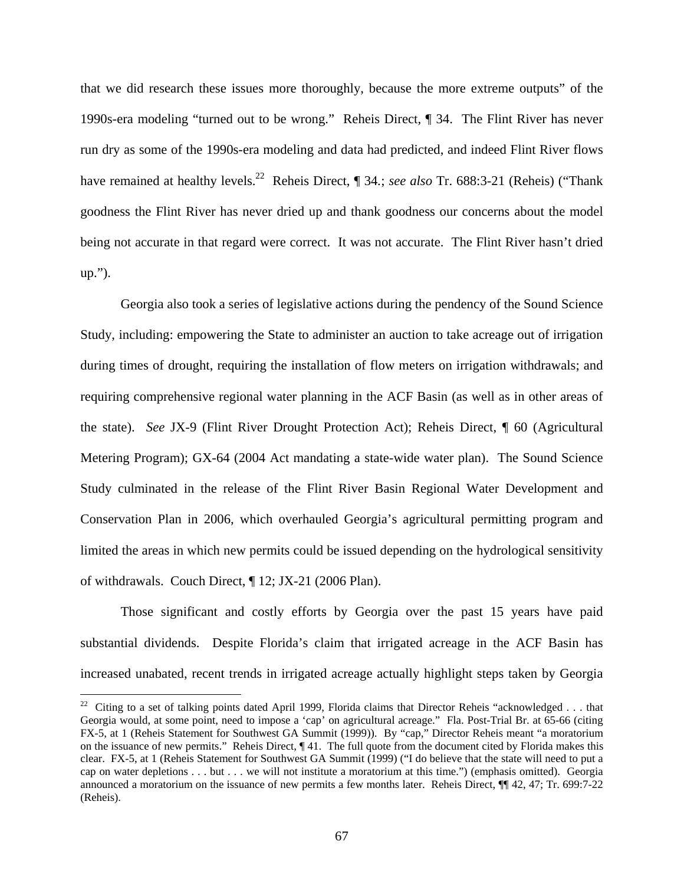that we did research these issues more thoroughly, because the more extreme outputs" of the 1990s-era modeling "turned out to be wrong." Reheis Direct, ¶ 34. The Flint River has never run dry as some of the 1990s-era modeling and data had predicted, and indeed Flint River flows have remained at healthy levels.<sup>22</sup> Reheis Direct, ¶ 34.; *see also* Tr. 688:3-21 (Reheis) ("Thank goodness the Flint River has never dried up and thank goodness our concerns about the model being not accurate in that regard were correct. It was not accurate. The Flint River hasn't dried up.").

Georgia also took a series of legislative actions during the pendency of the Sound Science Study, including: empowering the State to administer an auction to take acreage out of irrigation during times of drought, requiring the installation of flow meters on irrigation withdrawals; and requiring comprehensive regional water planning in the ACF Basin (as well as in other areas of the state). *See* JX-9 (Flint River Drought Protection Act); Reheis Direct, ¶ 60 (Agricultural Metering Program); GX-64 (2004 Act mandating a state-wide water plan). The Sound Science Study culminated in the release of the Flint River Basin Regional Water Development and Conservation Plan in 2006, which overhauled Georgia's agricultural permitting program and limited the areas in which new permits could be issued depending on the hydrological sensitivity of withdrawals. Couch Direct, ¶ 12; JX-21 (2006 Plan).

Those significant and costly efforts by Georgia over the past 15 years have paid substantial dividends. Despite Florida's claim that irrigated acreage in the ACF Basin has increased unabated, recent trends in irrigated acreage actually highlight steps taken by Georgia

<sup>&</sup>lt;sup>22</sup> Citing to a set of talking points dated April 1999, Florida claims that Director Reheis "acknowledged  $\dots$  that Georgia would, at some point, need to impose a 'cap' on agricultural acreage." Fla. Post-Trial Br. at 65-66 (citing FX-5, at 1 (Reheis Statement for Southwest GA Summit (1999)). By "cap," Director Reheis meant "a moratorium on the issuance of new permits." Reheis Direct, ¶ 41. The full quote from the document cited by Florida makes this clear. FX-5, at 1 (Reheis Statement for Southwest GA Summit (1999) ("I do believe that the state will need to put a cap on water depletions . . . but . . . we will not institute a moratorium at this time.") (emphasis omitted). Georgia announced a moratorium on the issuance of new permits a few months later. Reheis Direct, ¶¶ 42, 47; Tr. 699:7-22 (Reheis).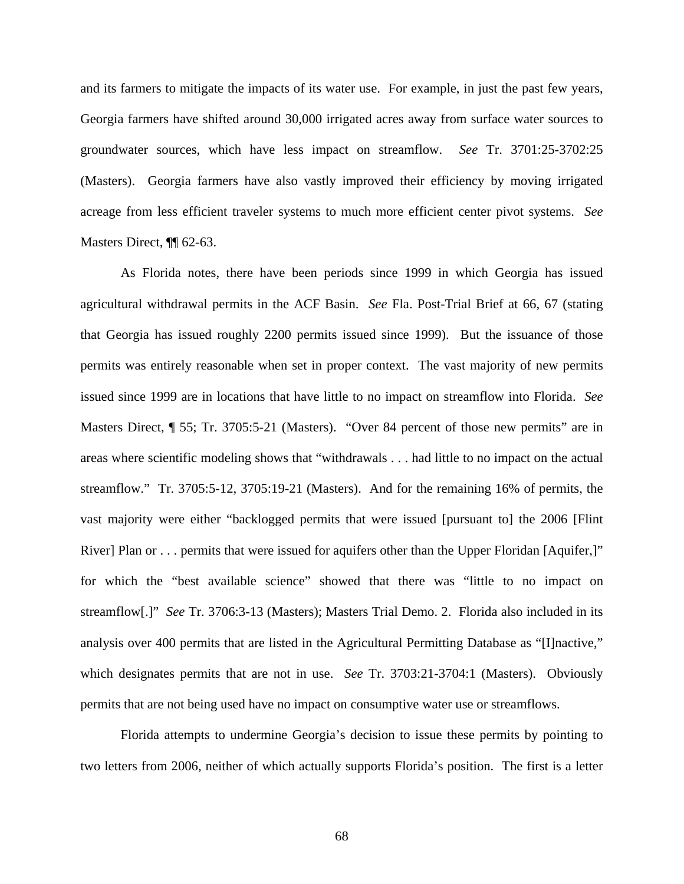and its farmers to mitigate the impacts of its water use. For example, in just the past few years, Georgia farmers have shifted around 30,000 irrigated acres away from surface water sources to groundwater sources, which have less impact on streamflow. *See* Tr. 3701:25-3702:25 (Masters). Georgia farmers have also vastly improved their efficiency by moving irrigated acreage from less efficient traveler systems to much more efficient center pivot systems. *See* Masters Direct, ¶[ 62-63.

As Florida notes, there have been periods since 1999 in which Georgia has issued agricultural withdrawal permits in the ACF Basin. *See* Fla. Post-Trial Brief at 66, 67 (stating that Georgia has issued roughly 2200 permits issued since 1999). But the issuance of those permits was entirely reasonable when set in proper context. The vast majority of new permits issued since 1999 are in locations that have little to no impact on streamflow into Florida. *See* Masters Direct,  $\sqrt{ }$  55; Tr. 3705:5-21 (Masters). "Over 84 percent of those new permits" are in areas where scientific modeling shows that "withdrawals . . . had little to no impact on the actual streamflow." Tr. 3705:5-12, 3705:19-21 (Masters). And for the remaining 16% of permits, the vast majority were either "backlogged permits that were issued [pursuant to] the 2006 [Flint River] Plan or . . . permits that were issued for aquifers other than the Upper Floridan [Aquifer,]" for which the "best available science" showed that there was "little to no impact on streamflow[.]" *See* Tr. 3706:3-13 (Masters); Masters Trial Demo. 2. Florida also included in its analysis over 400 permits that are listed in the Agricultural Permitting Database as "[I]nactive," which designates permits that are not in use. *See* Tr. 3703:21-3704:1 (Masters). Obviously permits that are not being used have no impact on consumptive water use or streamflows.

Florida attempts to undermine Georgia's decision to issue these permits by pointing to two letters from 2006, neither of which actually supports Florida's position. The first is a letter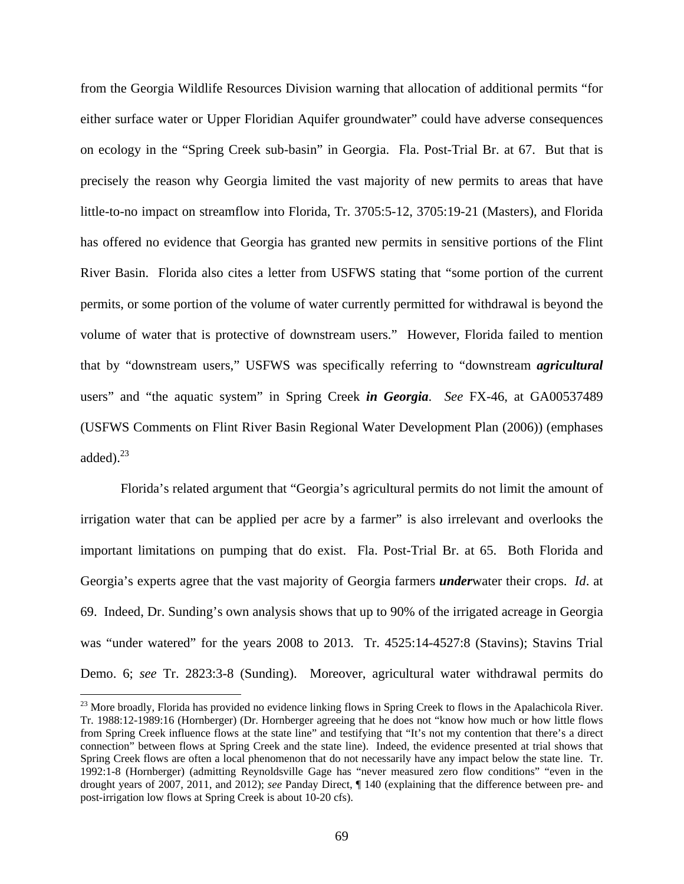from the Georgia Wildlife Resources Division warning that allocation of additional permits "for either surface water or Upper Floridian Aquifer groundwater" could have adverse consequences on ecology in the "Spring Creek sub-basin" in Georgia. Fla. Post-Trial Br. at 67. But that is precisely the reason why Georgia limited the vast majority of new permits to areas that have little-to-no impact on streamflow into Florida, Tr. 3705:5-12, 3705:19-21 (Masters), and Florida has offered no evidence that Georgia has granted new permits in sensitive portions of the Flint River Basin. Florida also cites a letter from USFWS stating that "some portion of the current permits, or some portion of the volume of water currently permitted for withdrawal is beyond the volume of water that is protective of downstream users." However, Florida failed to mention that by "downstream users," USFWS was specifically referring to "downstream *agricultural* users" and "the aquatic system" in Spring Creek *in Georgia*. *See* FX-46, at GA00537489 (USFWS Comments on Flint River Basin Regional Water Development Plan (2006)) (emphases added). $^{23}$ 

Florida's related argument that "Georgia's agricultural permits do not limit the amount of irrigation water that can be applied per acre by a farmer" is also irrelevant and overlooks the important limitations on pumping that do exist. Fla. Post-Trial Br. at 65. Both Florida and Georgia's experts agree that the vast majority of Georgia farmers *under*water their crops. *Id*. at 69. Indeed, Dr. Sunding's own analysis shows that up to 90% of the irrigated acreage in Georgia was "under watered" for the years 2008 to 2013. Tr. 4525:14-4527:8 (Stavins); Stavins Trial Demo. 6; *see* Tr. 2823:3-8 (Sunding). Moreover, agricultural water withdrawal permits do

1

<sup>&</sup>lt;sup>23</sup> More broadly, Florida has provided no evidence linking flows in Spring Creek to flows in the Apalachicola River. Tr. 1988:12-1989:16 (Hornberger) (Dr. Hornberger agreeing that he does not "know how much or how little flows from Spring Creek influence flows at the state line" and testifying that "It's not my contention that there's a direct connection" between flows at Spring Creek and the state line). Indeed, the evidence presented at trial shows that Spring Creek flows are often a local phenomenon that do not necessarily have any impact below the state line. Tr. 1992:1-8 (Hornberger) (admitting Reynoldsville Gage has "never measured zero flow conditions" "even in the drought years of 2007, 2011, and 2012); *see* Panday Direct, ¶ 140 (explaining that the difference between pre- and post-irrigation low flows at Spring Creek is about 10-20 cfs).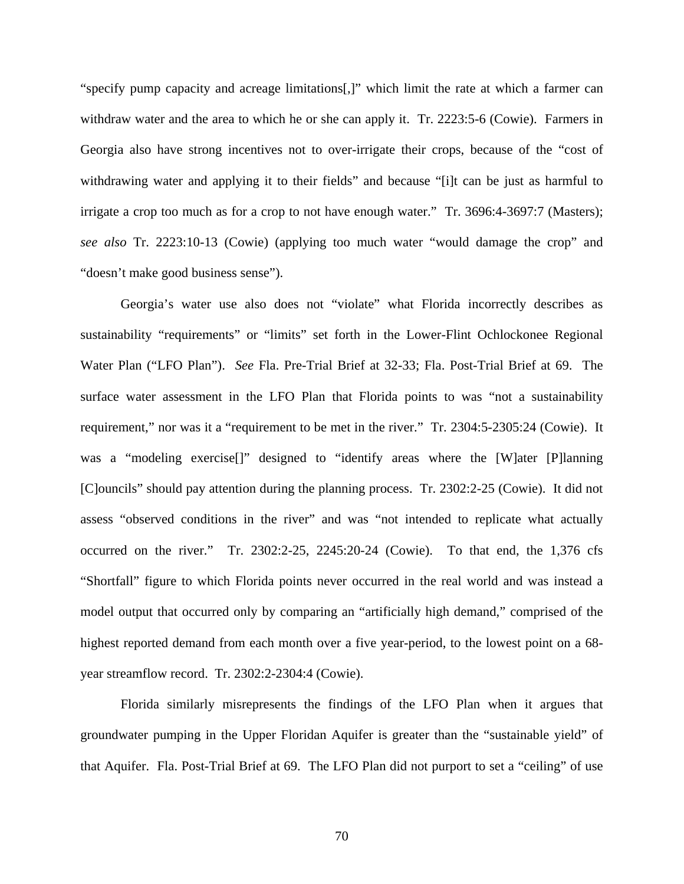"specify pump capacity and acreage limitations[,]" which limit the rate at which a farmer can withdraw water and the area to which he or she can apply it. Tr. 2223:5-6 (Cowie). Farmers in Georgia also have strong incentives not to over-irrigate their crops, because of the "cost of withdrawing water and applying it to their fields" and because "[i]t can be just as harmful to irrigate a crop too much as for a crop to not have enough water." Tr. 3696:4-3697:7 (Masters); *see also* Tr. 2223:10-13 (Cowie) (applying too much water "would damage the crop" and "doesn't make good business sense").

Georgia's water use also does not "violate" what Florida incorrectly describes as sustainability "requirements" or "limits" set forth in the Lower-Flint Ochlockonee Regional Water Plan ("LFO Plan"). *See* Fla. Pre-Trial Brief at 32-33; Fla. Post-Trial Brief at 69. The surface water assessment in the LFO Plan that Florida points to was "not a sustainability requirement," nor was it a "requirement to be met in the river." Tr. 2304:5-2305:24 (Cowie). It was a "modeling exercise<sup>[]"</sup> designed to "identify areas where the [W]ater [P]lanning [C]ouncils" should pay attention during the planning process. Tr. 2302:2-25 (Cowie). It did not assess "observed conditions in the river" and was "not intended to replicate what actually occurred on the river." Tr. 2302:2-25, 2245:20-24 (Cowie). To that end, the 1,376 cfs "Shortfall" figure to which Florida points never occurred in the real world and was instead a model output that occurred only by comparing an "artificially high demand," comprised of the highest reported demand from each month over a five year-period, to the lowest point on a 68 year streamflow record. Tr. 2302:2-2304:4 (Cowie).

Florida similarly misrepresents the findings of the LFO Plan when it argues that groundwater pumping in the Upper Floridan Aquifer is greater than the "sustainable yield" of that Aquifer. Fla. Post-Trial Brief at 69. The LFO Plan did not purport to set a "ceiling" of use

70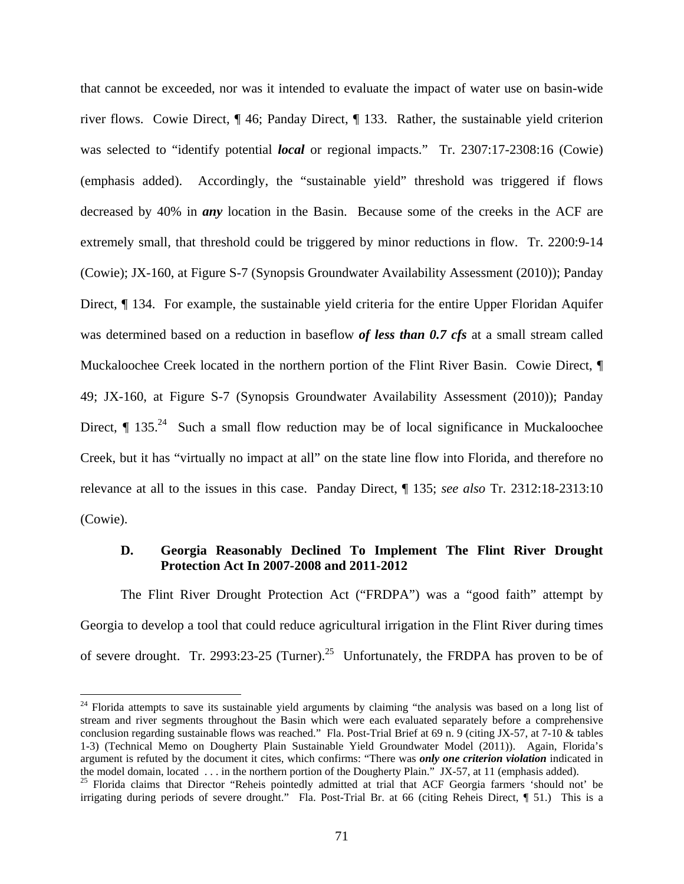that cannot be exceeded, nor was it intended to evaluate the impact of water use on basin-wide river flows. Cowie Direct, ¶ 46; Panday Direct, ¶ 133. Rather, the sustainable yield criterion was selected to "identify potential *local* or regional impacts." Tr. 2307:17-2308:16 (Cowie) (emphasis added). Accordingly, the "sustainable yield" threshold was triggered if flows decreased by 40% in *any* location in the Basin. Because some of the creeks in the ACF are extremely small, that threshold could be triggered by minor reductions in flow. Tr. 2200:9-14 (Cowie); JX-160, at Figure S-7 (Synopsis Groundwater Availability Assessment (2010)); Panday Direct, ¶ 134. For example, the sustainable yield criteria for the entire Upper Floridan Aquifer was determined based on a reduction in baseflow *of less than 0.7 cfs* at a small stream called Muckaloochee Creek located in the northern portion of the Flint River Basin. Cowie Direct, ¶ 49; JX-160, at Figure S-7 (Synopsis Groundwater Availability Assessment (2010)); Panday Direct,  $\P$  135<sup>24</sup> Such a small flow reduction may be of local significance in Muckaloochee Creek, but it has "virtually no impact at all" on the state line flow into Florida, and therefore no relevance at all to the issues in this case. Panday Direct, ¶ 135; *see also* Tr. 2312:18-2313:10 (Cowie).

### **D. Georgia Reasonably Declined To Implement The Flint River Drought Protection Act In 2007-2008 and 2011-2012**

The Flint River Drought Protection Act ("FRDPA") was a "good faith" attempt by Georgia to develop a tool that could reduce agricultural irrigation in the Flint River during times of severe drought. Tr. 2993:23-25 (Turner).<sup>25</sup> Unfortunately, the FRDPA has proven to be of

 $24$  Florida attempts to save its sustainable yield arguments by claiming "the analysis was based on a long list of stream and river segments throughout the Basin which were each evaluated separately before a comprehensive conclusion regarding sustainable flows was reached." Fla. Post-Trial Brief at 69 n. 9 (citing JX-57, at 7-10 & tables 1-3) (Technical Memo on Dougherty Plain Sustainable Yield Groundwater Model (2011)). Again, Florida's argument is refuted by the document it cites, which confirms: "There was *only one criterion violation* indicated in the model domain, located . . . in the northern portion of the Dougherty Plain." JX-57, at 11 (emphasis added).

<sup>&</sup>lt;sup>25</sup> Florida claims that Director "Reheis pointedly admitted at trial that ACF Georgia farmers 'should not' be irrigating during periods of severe drought." Fla. Post-Trial Br. at 66 (citing Reheis Direct, ¶ 51.) This is a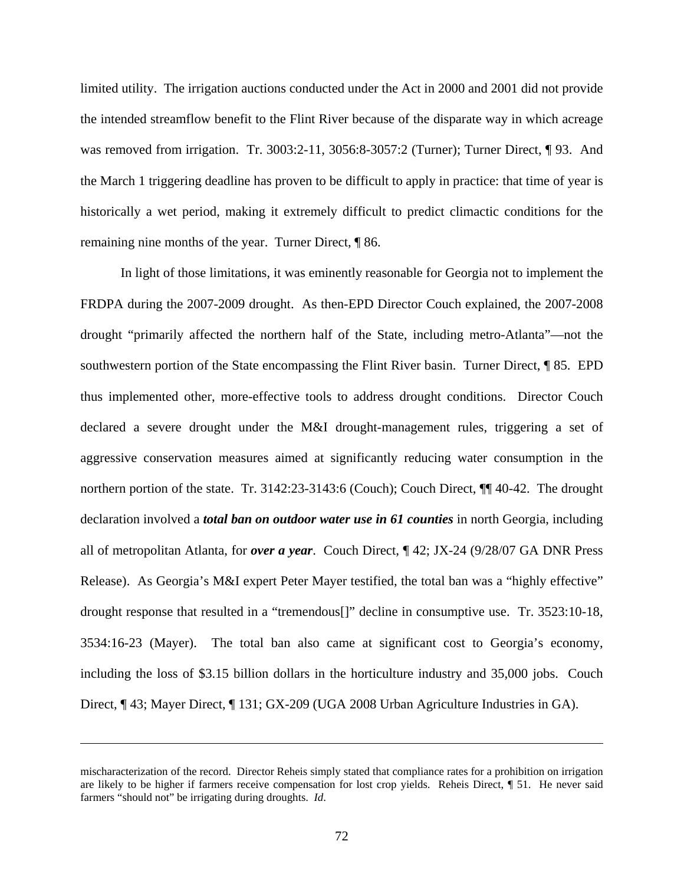limited utility. The irrigation auctions conducted under the Act in 2000 and 2001 did not provide the intended streamflow benefit to the Flint River because of the disparate way in which acreage was removed from irrigation. Tr. 3003:2-11, 3056:8-3057:2 (Turner); Turner Direct, ¶ 93. And the March 1 triggering deadline has proven to be difficult to apply in practice: that time of year is historically a wet period, making it extremely difficult to predict climactic conditions for the remaining nine months of the year. Turner Direct, ¶ 86.

In light of those limitations, it was eminently reasonable for Georgia not to implement the FRDPA during the 2007-2009 drought. As then-EPD Director Couch explained, the 2007-2008 drought "primarily affected the northern half of the State, including metro-Atlanta"—not the southwestern portion of the State encompassing the Flint River basin. Turner Direct, ¶ 85. EPD thus implemented other, more-effective tools to address drought conditions. Director Couch declared a severe drought under the M&I drought-management rules, triggering a set of aggressive conservation measures aimed at significantly reducing water consumption in the northern portion of the state. Tr. 3142:23-3143:6 (Couch); Couch Direct, ¶¶ 40-42. The drought declaration involved a *total ban on outdoor water use in 61 counties* in north Georgia, including all of metropolitan Atlanta, for *over a year*. Couch Direct, ¶ 42; JX-24 (9/28/07 GA DNR Press Release). As Georgia's M&I expert Peter Mayer testified, the total ban was a "highly effective" drought response that resulted in a "tremendous[]" decline in consumptive use. Tr. 3523:10-18, 3534:16-23 (Mayer). The total ban also came at significant cost to Georgia's economy, including the loss of \$3.15 billion dollars in the horticulture industry and 35,000 jobs. Couch Direct, ¶ 43; Mayer Direct, ¶ 131; GX-209 (UGA 2008 Urban Agriculture Industries in GA).

mischaracterization of the record. Director Reheis simply stated that compliance rates for a prohibition on irrigation are likely to be higher if farmers receive compensation for lost crop yields. Reheis Direct, ¶ 51. He never said farmers "should not" be irrigating during droughts. *Id*.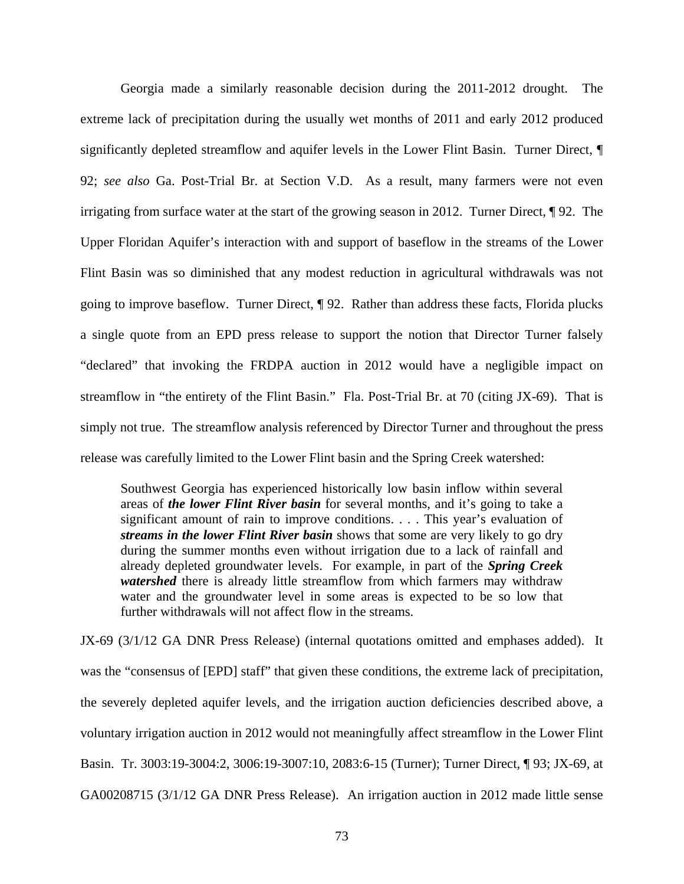Georgia made a similarly reasonable decision during the 2011-2012 drought. The extreme lack of precipitation during the usually wet months of 2011 and early 2012 produced significantly depleted streamflow and aquifer levels in the Lower Flint Basin. Turner Direct, ¶ 92; *see also* Ga. Post-Trial Br. at Section V.D. As a result, many farmers were not even irrigating from surface water at the start of the growing season in 2012. Turner Direct, ¶ 92. The Upper Floridan Aquifer's interaction with and support of baseflow in the streams of the Lower Flint Basin was so diminished that any modest reduction in agricultural withdrawals was not going to improve baseflow. Turner Direct, ¶ 92. Rather than address these facts, Florida plucks a single quote from an EPD press release to support the notion that Director Turner falsely "declared" that invoking the FRDPA auction in 2012 would have a negligible impact on streamflow in "the entirety of the Flint Basin." Fla. Post-Trial Br. at 70 (citing JX-69). That is simply not true. The streamflow analysis referenced by Director Turner and throughout the press release was carefully limited to the Lower Flint basin and the Spring Creek watershed:

Southwest Georgia has experienced historically low basin inflow within several areas of *the lower Flint River basin* for several months, and it's going to take a significant amount of rain to improve conditions. . . . This year's evaluation of *streams in the lower Flint River basin* shows that some are very likely to go dry during the summer months even without irrigation due to a lack of rainfall and already depleted groundwater levels. For example, in part of the *Spring Creek watershed* there is already little streamflow from which farmers may withdraw water and the groundwater level in some areas is expected to be so low that further withdrawals will not affect flow in the streams.

JX-69 (3/1/12 GA DNR Press Release) (internal quotations omitted and emphases added). It was the "consensus of [EPD] staff" that given these conditions, the extreme lack of precipitation, the severely depleted aquifer levels, and the irrigation auction deficiencies described above, a voluntary irrigation auction in 2012 would not meaningfully affect streamflow in the Lower Flint Basin. Tr. 3003:19-3004:2, 3006:19-3007:10, 2083:6-15 (Turner); Turner Direct, ¶ 93; JX-69, at GA00208715 (3/1/12 GA DNR Press Release). An irrigation auction in 2012 made little sense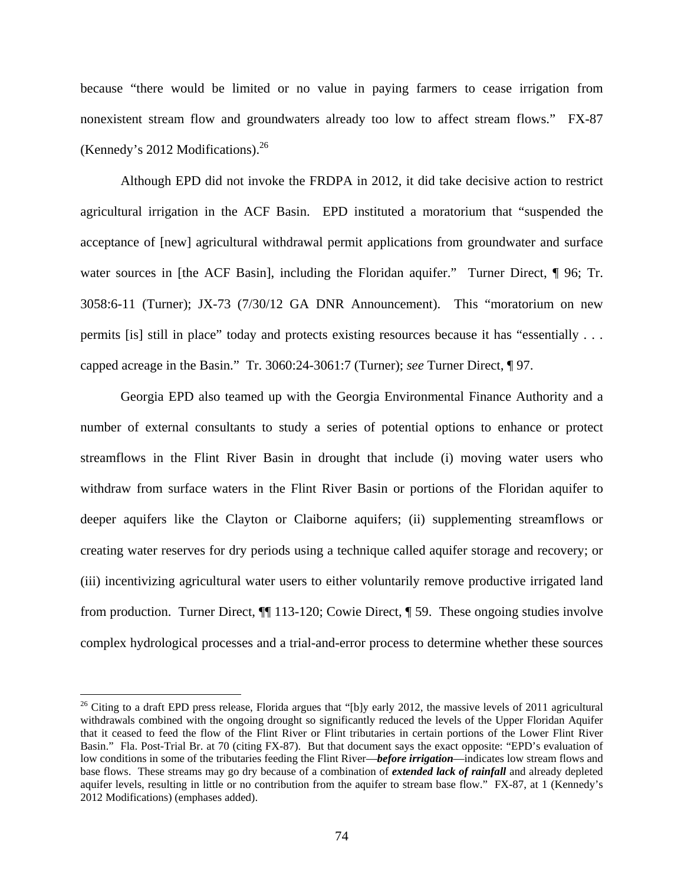because "there would be limited or no value in paying farmers to cease irrigation from nonexistent stream flow and groundwaters already too low to affect stream flows." FX-87 (Kennedy's 2012 Modifications). $^{26}$ 

Although EPD did not invoke the FRDPA in 2012, it did take decisive action to restrict agricultural irrigation in the ACF Basin. EPD instituted a moratorium that "suspended the acceptance of [new] agricultural withdrawal permit applications from groundwater and surface water sources in [the ACF Basin], including the Floridan aquifer." Turner Direct, ¶ 96; Tr. 3058:6-11 (Turner); JX-73 (7/30/12 GA DNR Announcement). This "moratorium on new permits [is] still in place" today and protects existing resources because it has "essentially . . . capped acreage in the Basin." Tr. 3060:24-3061:7 (Turner); *see* Turner Direct, ¶ 97.

Georgia EPD also teamed up with the Georgia Environmental Finance Authority and a number of external consultants to study a series of potential options to enhance or protect streamflows in the Flint River Basin in drought that include (i) moving water users who withdraw from surface waters in the Flint River Basin or portions of the Floridan aquifer to deeper aquifers like the Clayton or Claiborne aquifers; (ii) supplementing streamflows or creating water reserves for dry periods using a technique called aquifer storage and recovery; or (iii) incentivizing agricultural water users to either voluntarily remove productive irrigated land from production. Turner Direct, ¶¶ 113-120; Cowie Direct, ¶ 59. These ongoing studies involve complex hydrological processes and a trial-and-error process to determine whether these sources

 $26$  Citing to a draft EPD press release, Florida argues that "[b]y early 2012, the massive levels of 2011 agricultural withdrawals combined with the ongoing drought so significantly reduced the levels of the Upper Floridan Aquifer that it ceased to feed the flow of the Flint River or Flint tributaries in certain portions of the Lower Flint River Basin." Fla. Post-Trial Br. at 70 (citing FX-87). But that document says the exact opposite: "EPD's evaluation of low conditions in some of the tributaries feeding the Flint River—*before irrigation*—indicates low stream flows and base flows. These streams may go dry because of a combination of *extended lack of rainfall* and already depleted aquifer levels, resulting in little or no contribution from the aquifer to stream base flow." FX-87, at 1 (Kennedy's 2012 Modifications) (emphases added).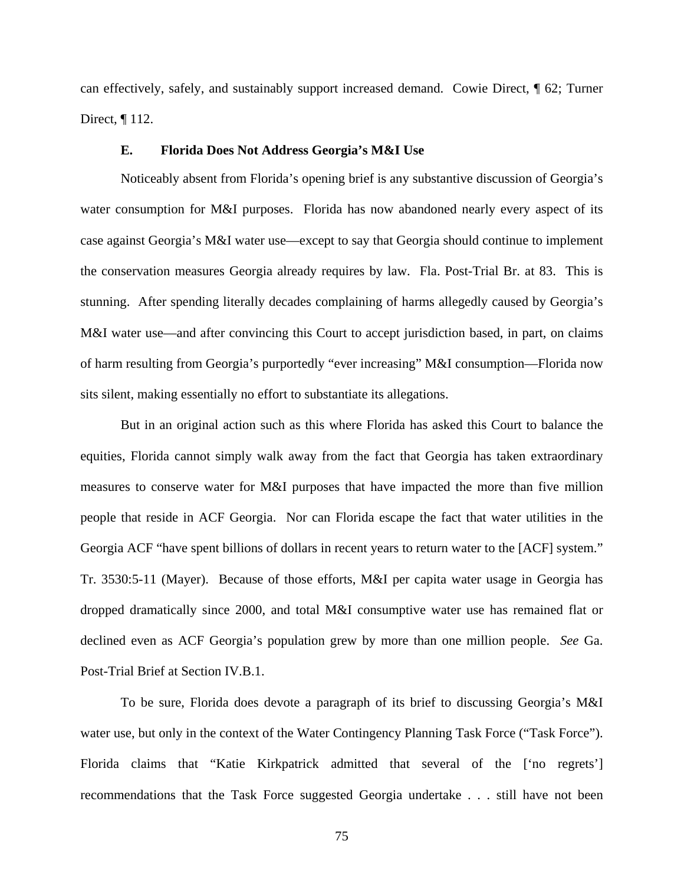can effectively, safely, and sustainably support increased demand. Cowie Direct, ¶ 62; Turner Direct, ¶ 112.

### **E. Florida Does Not Address Georgia's M&I Use**

Noticeably absent from Florida's opening brief is any substantive discussion of Georgia's water consumption for M&I purposes. Florida has now abandoned nearly every aspect of its case against Georgia's M&I water use—except to say that Georgia should continue to implement the conservation measures Georgia already requires by law. Fla. Post-Trial Br. at 83. This is stunning. After spending literally decades complaining of harms allegedly caused by Georgia's M&I water use—and after convincing this Court to accept jurisdiction based, in part, on claims of harm resulting from Georgia's purportedly "ever increasing" M&I consumption—Florida now sits silent, making essentially no effort to substantiate its allegations.

But in an original action such as this where Florida has asked this Court to balance the equities, Florida cannot simply walk away from the fact that Georgia has taken extraordinary measures to conserve water for M&I purposes that have impacted the more than five million people that reside in ACF Georgia. Nor can Florida escape the fact that water utilities in the Georgia ACF "have spent billions of dollars in recent years to return water to the [ACF] system." Tr. 3530:5-11 (Mayer). Because of those efforts, M&I per capita water usage in Georgia has dropped dramatically since 2000, and total M&I consumptive water use has remained flat or declined even as ACF Georgia's population grew by more than one million people. *See* Ga. Post-Trial Brief at Section IV.B.1.

To be sure, Florida does devote a paragraph of its brief to discussing Georgia's M&I water use, but only in the context of the Water Contingency Planning Task Force ("Task Force"). Florida claims that "Katie Kirkpatrick admitted that several of the ['no regrets'] recommendations that the Task Force suggested Georgia undertake . . . still have not been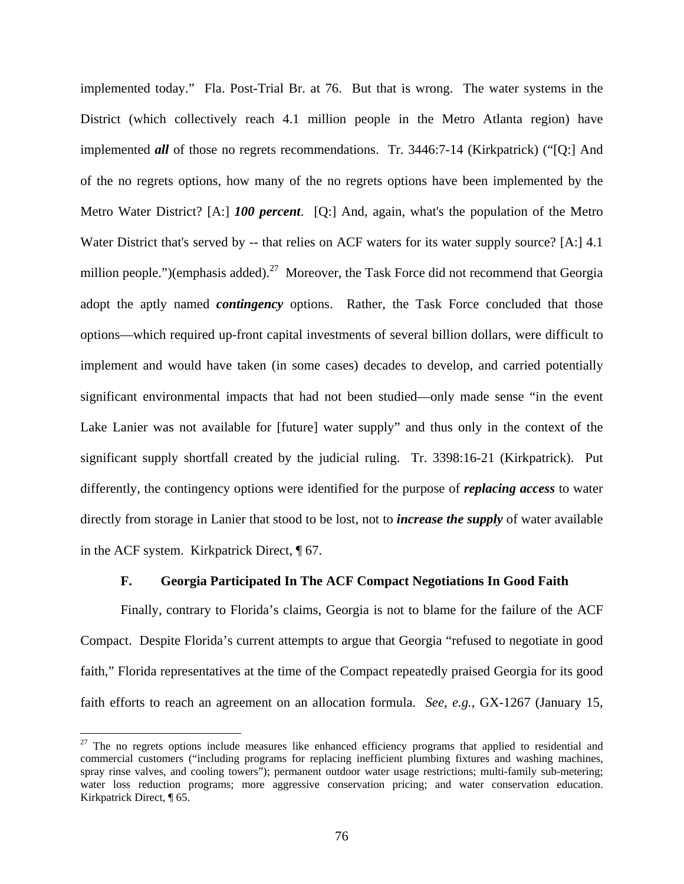implemented today." Fla. Post-Trial Br. at 76. But that is wrong. The water systems in the District (which collectively reach 4.1 million people in the Metro Atlanta region) have implemented *all* of those no regrets recommendations. Tr. 3446:7-14 (Kirkpatrick) ("[Q:] And of the no regrets options, how many of the no regrets options have been implemented by the Metro Water District? [A:] *100 percent*. [Q:] And, again, what's the population of the Metro Water District that's served by -- that relies on ACF waters for its water supply source? [A:] 4.1 million people.")(emphasis added).<sup>27</sup> Moreover, the Task Force did not recommend that Georgia adopt the aptly named *contingency* options. Rather, the Task Force concluded that those options—which required up-front capital investments of several billion dollars, were difficult to implement and would have taken (in some cases) decades to develop, and carried potentially significant environmental impacts that had not been studied—only made sense "in the event Lake Lanier was not available for [future] water supply" and thus only in the context of the significant supply shortfall created by the judicial ruling. Tr. 3398:16-21 (Kirkpatrick). Put differently, the contingency options were identified for the purpose of *replacing access* to water directly from storage in Lanier that stood to be lost, not to *increase the supply* of water available in the ACF system. Kirkpatrick Direct, ¶ 67.

### **F. Georgia Participated In The ACF Compact Negotiations In Good Faith**

Finally, contrary to Florida's claims, Georgia is not to blame for the failure of the ACF Compact. Despite Florida's current attempts to argue that Georgia "refused to negotiate in good faith," Florida representatives at the time of the Compact repeatedly praised Georgia for its good faith efforts to reach an agreement on an allocation formula. *See, e.g.*, GX-1267 (January 15,

 $27$  The no regrets options include measures like enhanced efficiency programs that applied to residential and commercial customers ("including programs for replacing inefficient plumbing fixtures and washing machines, spray rinse valves, and cooling towers"); permanent outdoor water usage restrictions; multi-family sub-metering; water loss reduction programs; more aggressive conservation pricing; and water conservation education. Kirkpatrick Direct, ¶ 65.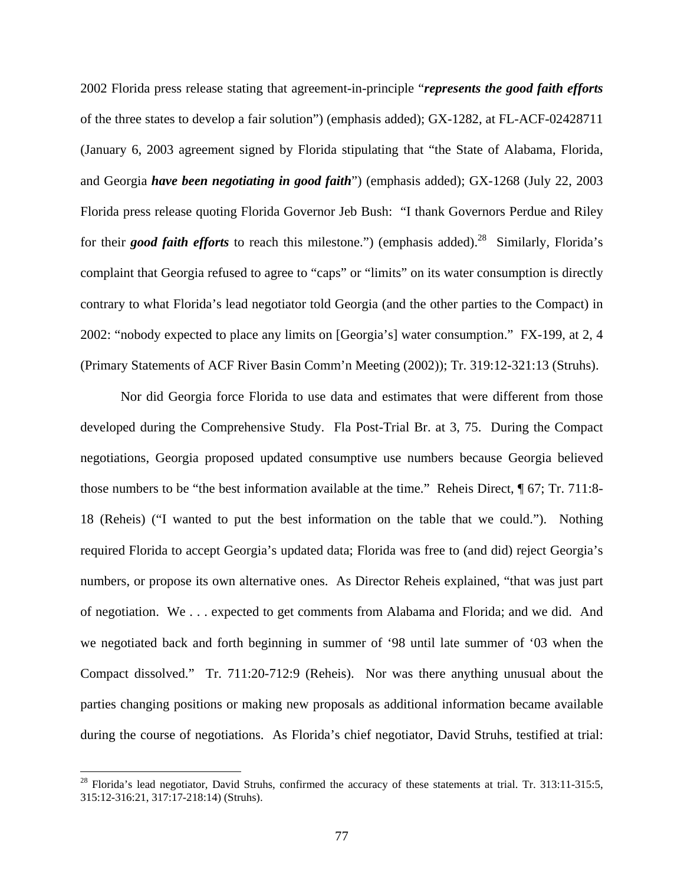2002 Florida press release stating that agreement-in-principle "*represents the good faith efforts* of the three states to develop a fair solution") (emphasis added); GX-1282, at FL-ACF-02428711 (January 6, 2003 agreement signed by Florida stipulating that "the State of Alabama, Florida, and Georgia *have been negotiating in good faith*") (emphasis added); GX-1268 (July 22, 2003 Florida press release quoting Florida Governor Jeb Bush: "I thank Governors Perdue and Riley for their *good faith efforts* to reach this milestone.") (emphasis added).<sup>28</sup> Similarly, Florida's complaint that Georgia refused to agree to "caps" or "limits" on its water consumption is directly contrary to what Florida's lead negotiator told Georgia (and the other parties to the Compact) in 2002: "nobody expected to place any limits on [Georgia's] water consumption." FX-199, at 2, 4 (Primary Statements of ACF River Basin Comm'n Meeting (2002)); Tr. 319:12-321:13 (Struhs).

Nor did Georgia force Florida to use data and estimates that were different from those developed during the Comprehensive Study. Fla Post-Trial Br. at 3, 75. During the Compact negotiations, Georgia proposed updated consumptive use numbers because Georgia believed those numbers to be "the best information available at the time." Reheis Direct, ¶ 67; Tr. 711:8- 18 (Reheis) ("I wanted to put the best information on the table that we could."). Nothing required Florida to accept Georgia's updated data; Florida was free to (and did) reject Georgia's numbers, or propose its own alternative ones. As Director Reheis explained, "that was just part of negotiation. We . . . expected to get comments from Alabama and Florida; and we did. And we negotiated back and forth beginning in summer of '98 until late summer of '03 when the Compact dissolved." Tr. 711:20-712:9 (Reheis). Nor was there anything unusual about the parties changing positions or making new proposals as additional information became available during the course of negotiations. As Florida's chief negotiator, David Struhs, testified at trial:

 $28$  Florida's lead negotiator, David Struhs, confirmed the accuracy of these statements at trial. Tr. 313:11-315:5, 315:12-316:21, 317:17-218:14) (Struhs).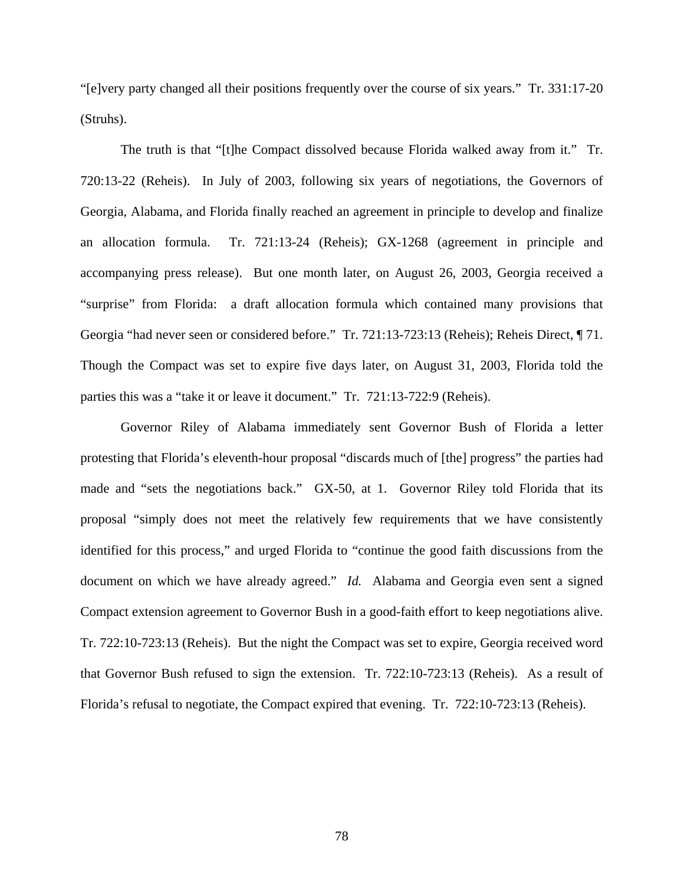"[e]very party changed all their positions frequently over the course of six years." Tr. 331:17-20 (Struhs).

The truth is that "[t]he Compact dissolved because Florida walked away from it." Tr. 720:13-22 (Reheis). In July of 2003, following six years of negotiations, the Governors of Georgia, Alabama, and Florida finally reached an agreement in principle to develop and finalize an allocation formula. Tr. 721:13-24 (Reheis); GX-1268 (agreement in principle and accompanying press release). But one month later, on August 26, 2003, Georgia received a "surprise" from Florida: a draft allocation formula which contained many provisions that Georgia "had never seen or considered before." Tr. 721:13-723:13 (Reheis); Reheis Direct, ¶ 71. Though the Compact was set to expire five days later, on August 31, 2003, Florida told the parties this was a "take it or leave it document." Tr. 721:13-722:9 (Reheis).

Governor Riley of Alabama immediately sent Governor Bush of Florida a letter protesting that Florida's eleventh-hour proposal "discards much of [the] progress" the parties had made and "sets the negotiations back." GX-50, at 1. Governor Riley told Florida that its proposal "simply does not meet the relatively few requirements that we have consistently identified for this process," and urged Florida to "continue the good faith discussions from the document on which we have already agreed." *Id.* Alabama and Georgia even sent a signed Compact extension agreement to Governor Bush in a good-faith effort to keep negotiations alive. Tr. 722:10-723:13 (Reheis). But the night the Compact was set to expire, Georgia received word that Governor Bush refused to sign the extension. Tr. 722:10-723:13 (Reheis). As a result of Florida's refusal to negotiate, the Compact expired that evening. Tr. 722:10-723:13 (Reheis).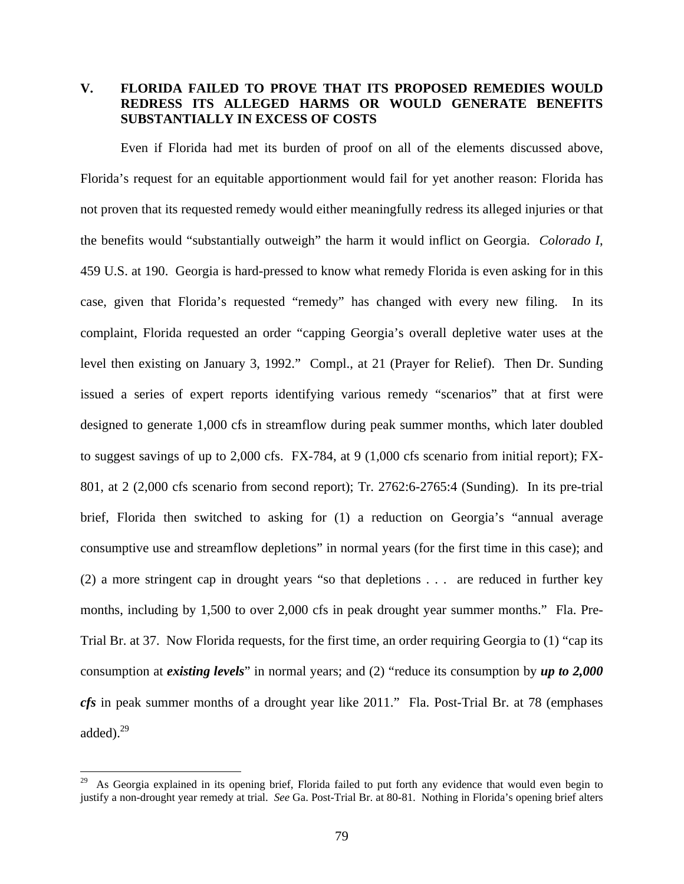# **V. FLORIDA FAILED TO PROVE THAT ITS PROPOSED REMEDIES WOULD REDRESS ITS ALLEGED HARMS OR WOULD GENERATE BENEFITS SUBSTANTIALLY IN EXCESS OF COSTS**

Even if Florida had met its burden of proof on all of the elements discussed above, Florida's request for an equitable apportionment would fail for yet another reason: Florida has not proven that its requested remedy would either meaningfully redress its alleged injuries or that the benefits would "substantially outweigh" the harm it would inflict on Georgia. *Colorado I*, 459 U.S. at 190. Georgia is hard-pressed to know what remedy Florida is even asking for in this case, given that Florida's requested "remedy" has changed with every new filing. In its complaint, Florida requested an order "capping Georgia's overall depletive water uses at the level then existing on January 3, 1992." Compl., at 21 (Prayer for Relief). Then Dr. Sunding issued a series of expert reports identifying various remedy "scenarios" that at first were designed to generate 1,000 cfs in streamflow during peak summer months, which later doubled to suggest savings of up to 2,000 cfs. FX-784, at 9 (1,000 cfs scenario from initial report); FX-801, at 2 (2,000 cfs scenario from second report); Tr. 2762:6-2765:4 (Sunding). In its pre-trial brief, Florida then switched to asking for (1) a reduction on Georgia's "annual average consumptive use and streamflow depletions" in normal years (for the first time in this case); and (2) a more stringent cap in drought years "so that depletions . . . are reduced in further key months, including by 1,500 to over 2,000 cfs in peak drought year summer months." Fla. Pre-Trial Br. at 37. Now Florida requests, for the first time, an order requiring Georgia to (1) "cap its consumption at *existing levels*" in normal years; and (2) "reduce its consumption by *up to 2,000 cfs* in peak summer months of a drought year like 2011." Fla. Post-Trial Br. at 78 (emphases added).29

 $29\,$ As Georgia explained in its opening brief, Florida failed to put forth any evidence that would even begin to justify a non-drought year remedy at trial. *See* Ga. Post-Trial Br. at 80-81. Nothing in Florida's opening brief alters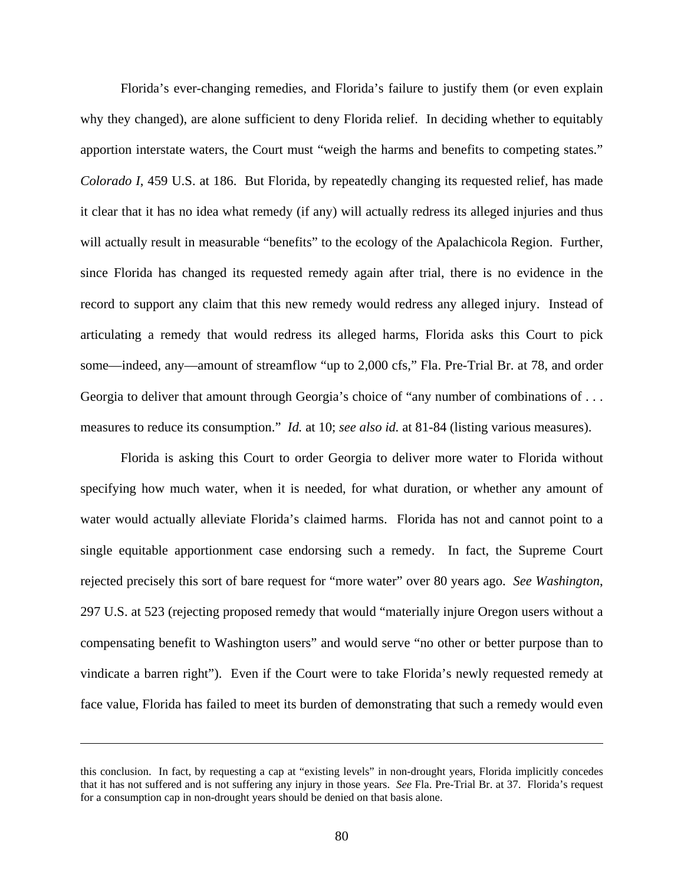Florida's ever-changing remedies, and Florida's failure to justify them (or even explain why they changed), are alone sufficient to deny Florida relief. In deciding whether to equitably apportion interstate waters, the Court must "weigh the harms and benefits to competing states." *Colorado I*, 459 U.S. at 186. But Florida, by repeatedly changing its requested relief, has made it clear that it has no idea what remedy (if any) will actually redress its alleged injuries and thus will actually result in measurable "benefits" to the ecology of the Apalachicola Region. Further, since Florida has changed its requested remedy again after trial, there is no evidence in the record to support any claim that this new remedy would redress any alleged injury. Instead of articulating a remedy that would redress its alleged harms, Florida asks this Court to pick some—indeed, any—amount of streamflow "up to 2,000 cfs," Fla. Pre-Trial Br. at 78, and order Georgia to deliver that amount through Georgia's choice of "any number of combinations of . . . measures to reduce its consumption." *Id.* at 10; *see also id.* at 81-84 (listing various measures).

Florida is asking this Court to order Georgia to deliver more water to Florida without specifying how much water, when it is needed, for what duration, or whether any amount of water would actually alleviate Florida's claimed harms. Florida has not and cannot point to a single equitable apportionment case endorsing such a remedy. In fact, the Supreme Court rejected precisely this sort of bare request for "more water" over 80 years ago. *See Washington*, 297 U.S. at 523 (rejecting proposed remedy that would "materially injure Oregon users without a compensating benefit to Washington users" and would serve "no other or better purpose than to vindicate a barren right"). Even if the Court were to take Florida's newly requested remedy at face value, Florida has failed to meet its burden of demonstrating that such a remedy would even

this conclusion. In fact, by requesting a cap at "existing levels" in non-drought years, Florida implicitly concedes that it has not suffered and is not suffering any injury in those years. *See* Fla. Pre-Trial Br. at 37. Florida's request for a consumption cap in non-drought years should be denied on that basis alone.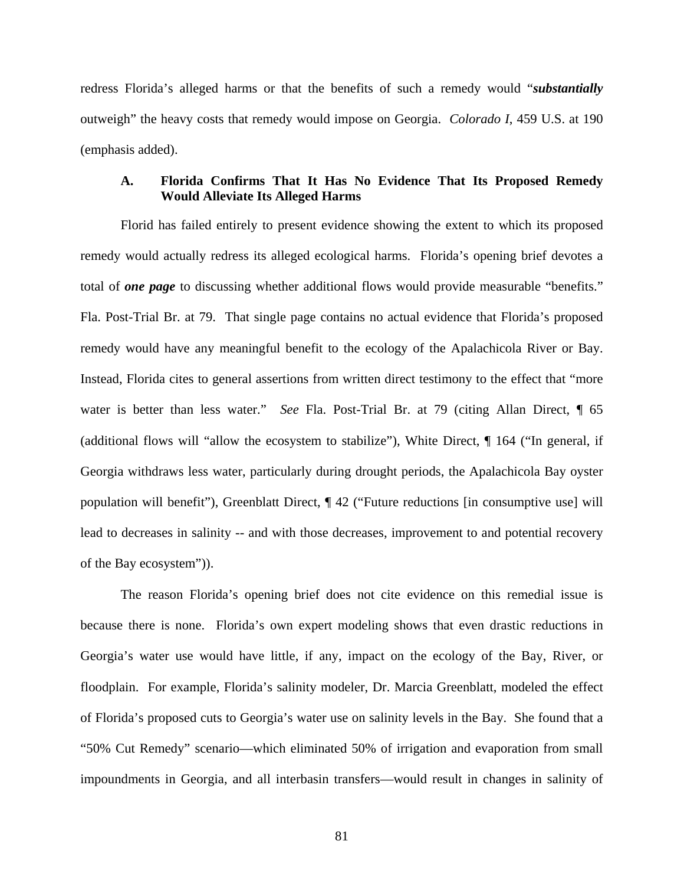redress Florida's alleged harms or that the benefits of such a remedy would "*substantially* outweigh" the heavy costs that remedy would impose on Georgia. *Colorado I*, 459 U.S. at 190 (emphasis added).

### **A. Florida Confirms That It Has No Evidence That Its Proposed Remedy Would Alleviate Its Alleged Harms**

Florid has failed entirely to present evidence showing the extent to which its proposed remedy would actually redress its alleged ecological harms. Florida's opening brief devotes a total of *one page* to discussing whether additional flows would provide measurable "benefits." Fla. Post-Trial Br. at 79. That single page contains no actual evidence that Florida's proposed remedy would have any meaningful benefit to the ecology of the Apalachicola River or Bay. Instead, Florida cites to general assertions from written direct testimony to the effect that "more water is better than less water." *See* Fla. Post-Trial Br. at 79 (citing Allan Direct, ¶ 65 (additional flows will "allow the ecosystem to stabilize"), White Direct, ¶ 164 ("In general, if Georgia withdraws less water, particularly during drought periods, the Apalachicola Bay oyster population will benefit"), Greenblatt Direct, ¶ 42 ("Future reductions [in consumptive use] will lead to decreases in salinity -- and with those decreases, improvement to and potential recovery of the Bay ecosystem")).

The reason Florida's opening brief does not cite evidence on this remedial issue is because there is none. Florida's own expert modeling shows that even drastic reductions in Georgia's water use would have little, if any, impact on the ecology of the Bay, River, or floodplain. For example, Florida's salinity modeler, Dr. Marcia Greenblatt, modeled the effect of Florida's proposed cuts to Georgia's water use on salinity levels in the Bay. She found that a "50% Cut Remedy" scenario—which eliminated 50% of irrigation and evaporation from small impoundments in Georgia, and all interbasin transfers—would result in changes in salinity of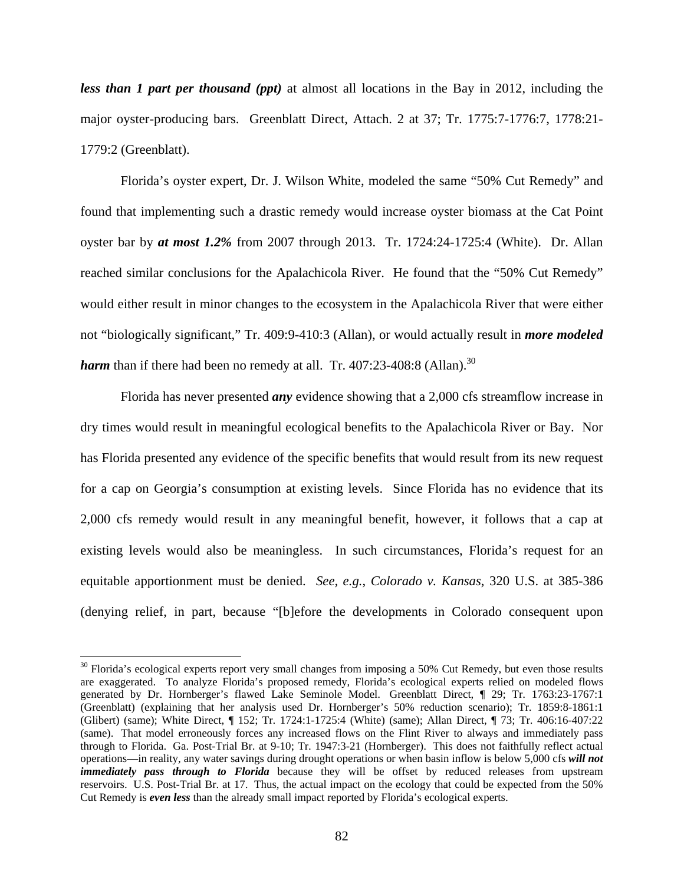*less than 1 part per thousand (ppt)* at almost all locations in the Bay in 2012, including the major oyster-producing bars. Greenblatt Direct, Attach. 2 at 37; Tr. 1775:7-1776:7, 1778:21- 1779:2 (Greenblatt).

Florida's oyster expert, Dr. J. Wilson White, modeled the same "50% Cut Remedy" and found that implementing such a drastic remedy would increase oyster biomass at the Cat Point oyster bar by *at most 1.2%* from 2007 through 2013. Tr. 1724:24-1725:4 (White). Dr. Allan reached similar conclusions for the Apalachicola River. He found that the "50% Cut Remedy" would either result in minor changes to the ecosystem in the Apalachicola River that were either not "biologically significant," Tr. 409:9-410:3 (Allan), or would actually result in *more modeled harm* than if there had been no remedy at all. Tr.  $407:23-408:8$  (Allan).<sup>30</sup>

Florida has never presented *any* evidence showing that a 2,000 cfs streamflow increase in dry times would result in meaningful ecological benefits to the Apalachicola River or Bay. Nor has Florida presented any evidence of the specific benefits that would result from its new request for a cap on Georgia's consumption at existing levels. Since Florida has no evidence that its 2,000 cfs remedy would result in any meaningful benefit, however, it follows that a cap at existing levels would also be meaningless. In such circumstances, Florida's request for an equitable apportionment must be denied. *See, e.g.*, *Colorado v. Kansas*, 320 U.S. at 385-386 (denying relief, in part, because "[b]efore the developments in Colorado consequent upon

1

 $30$  Florida's ecological experts report very small changes from imposing a 50% Cut Remedy, but even those results are exaggerated. To analyze Florida's proposed remedy, Florida's ecological experts relied on modeled flows generated by Dr. Hornberger's flawed Lake Seminole Model. Greenblatt Direct, ¶ 29; Tr. 1763:23-1767:1 (Greenblatt) (explaining that her analysis used Dr. Hornberger's 50% reduction scenario); Tr. 1859:8-1861:1 (Glibert) (same); White Direct, ¶ 152; Tr. 1724:1-1725:4 (White) (same); Allan Direct, ¶ 73; Tr. 406:16-407:22 (same). That model erroneously forces any increased flows on the Flint River to always and immediately pass through to Florida. Ga. Post-Trial Br. at 9-10; Tr. 1947:3-21 (Hornberger). This does not faithfully reflect actual operations—in reality, any water savings during drought operations or when basin inflow is below 5,000 cfs *will not immediately pass through to Florida* because they will be offset by reduced releases from upstream reservoirs. U.S. Post-Trial Br. at 17. Thus, the actual impact on the ecology that could be expected from the 50% Cut Remedy is *even less* than the already small impact reported by Florida's ecological experts.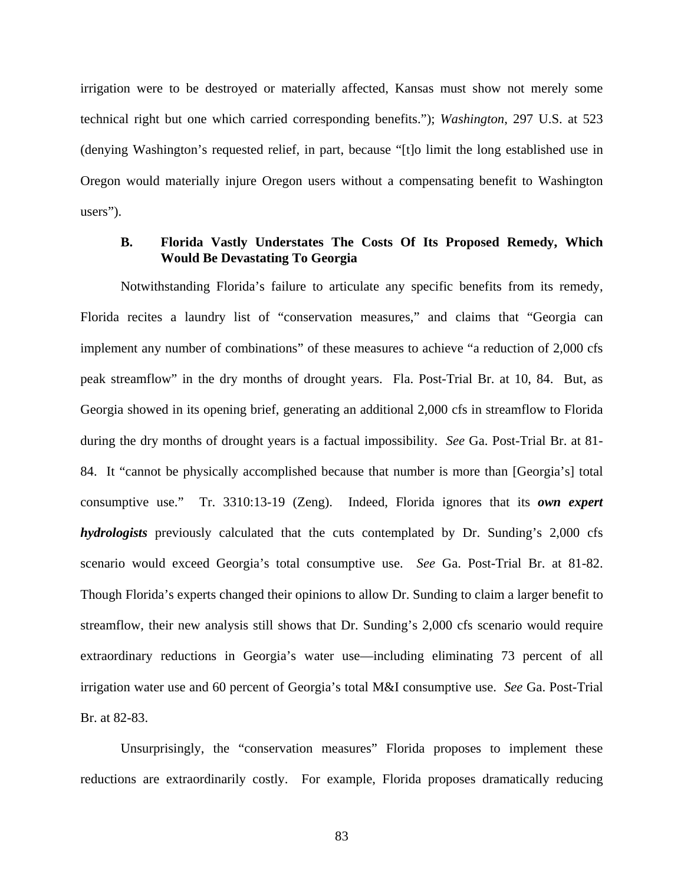irrigation were to be destroyed or materially affected, Kansas must show not merely some technical right but one which carried corresponding benefits."); *Washington*, 297 U.S. at 523 (denying Washington's requested relief, in part, because "[t]o limit the long established use in Oregon would materially injure Oregon users without a compensating benefit to Washington users").

### **B. Florida Vastly Understates The Costs Of Its Proposed Remedy, Which Would Be Devastating To Georgia**

Notwithstanding Florida's failure to articulate any specific benefits from its remedy, Florida recites a laundry list of "conservation measures," and claims that "Georgia can implement any number of combinations" of these measures to achieve "a reduction of 2,000 cfs peak streamflow" in the dry months of drought years. Fla. Post-Trial Br. at 10, 84. But, as Georgia showed in its opening brief, generating an additional 2,000 cfs in streamflow to Florida during the dry months of drought years is a factual impossibility. *See* Ga. Post-Trial Br. at 81- 84. It "cannot be physically accomplished because that number is more than [Georgia's] total consumptive use." Tr. 3310:13-19 (Zeng). Indeed, Florida ignores that its *own expert hydrologists* previously calculated that the cuts contemplated by Dr. Sunding's 2,000 cfs scenario would exceed Georgia's total consumptive use. *See* Ga. Post-Trial Br. at 81-82. Though Florida's experts changed their opinions to allow Dr. Sunding to claim a larger benefit to streamflow, their new analysis still shows that Dr. Sunding's 2,000 cfs scenario would require extraordinary reductions in Georgia's water use—including eliminating 73 percent of all irrigation water use and 60 percent of Georgia's total M&I consumptive use. *See* Ga. Post-Trial Br. at 82-83.

Unsurprisingly, the "conservation measures" Florida proposes to implement these reductions are extraordinarily costly. For example, Florida proposes dramatically reducing

83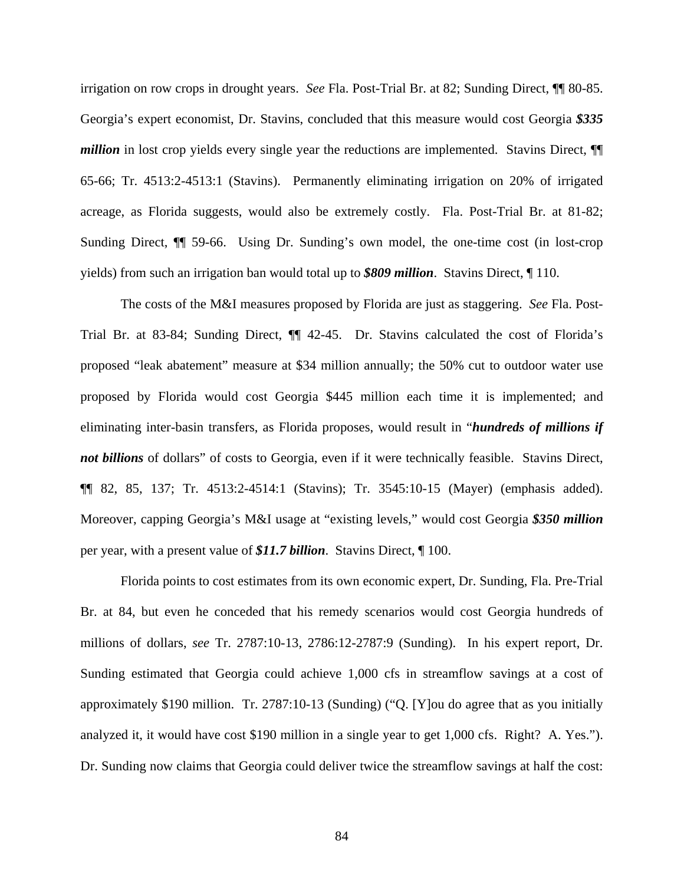irrigation on row crops in drought years. *See* Fla. Post-Trial Br. at 82; Sunding Direct, ¶¶ 80-85. Georgia's expert economist, Dr. Stavins, concluded that this measure would cost Georgia *\$335 million* in lost crop yields every single year the reductions are implemented. Stavins Direct,  $\P$ 65-66; Tr. 4513:2-4513:1 (Stavins). Permanently eliminating irrigation on 20% of irrigated acreage, as Florida suggests, would also be extremely costly. Fla. Post-Trial Br. at 81-82; Sunding Direct, ¶¶ 59-66. Using Dr. Sunding's own model, the one-time cost (in lost-crop yields) from such an irrigation ban would total up to *\$809 million*. Stavins Direct, ¶ 110.

The costs of the M&I measures proposed by Florida are just as staggering. *See* Fla. Post-Trial Br. at 83-84; Sunding Direct, ¶¶ 42-45. Dr. Stavins calculated the cost of Florida's proposed "leak abatement" measure at \$34 million annually; the 50% cut to outdoor water use proposed by Florida would cost Georgia \$445 million each time it is implemented; and eliminating inter-basin transfers, as Florida proposes, would result in "*hundreds of millions if not billions* of dollars" of costs to Georgia, even if it were technically feasible. Stavins Direct, ¶¶ 82, 85, 137; Tr. 4513:2-4514:1 (Stavins); Tr. 3545:10-15 (Mayer) (emphasis added). Moreover, capping Georgia's M&I usage at "existing levels," would cost Georgia *\$350 million* per year, with a present value of *\$11.7 billion*. Stavins Direct, ¶ 100.

Florida points to cost estimates from its own economic expert, Dr. Sunding, Fla. Pre-Trial Br. at 84, but even he conceded that his remedy scenarios would cost Georgia hundreds of millions of dollars, *see* Tr. 2787:10-13, 2786:12-2787:9 (Sunding). In his expert report, Dr. Sunding estimated that Georgia could achieve 1,000 cfs in streamflow savings at a cost of approximately \$190 million. Tr. 2787:10-13 (Sunding) ("Q. [Y]ou do agree that as you initially analyzed it, it would have cost \$190 million in a single year to get 1,000 cfs. Right? A. Yes."). Dr. Sunding now claims that Georgia could deliver twice the streamflow savings at half the cost: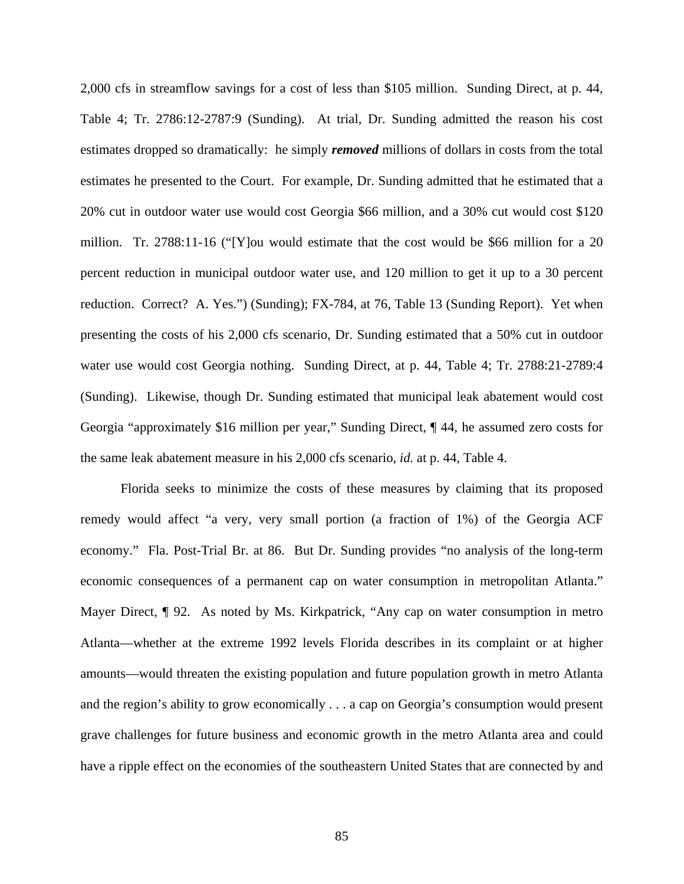2,000 cfs in streamflow savings for a cost of less than \$105 million. Sunding Direct, at p. 44, Table 4; Tr. 2786:12-2787:9 (Sunding). At trial, Dr. Sunding admitted the reason his cost estimates dropped so dramatically: he simply *removed* millions of dollars in costs from the total estimates he presented to the Court. For example, Dr. Sunding admitted that he estimated that a 20% cut in outdoor water use would cost Georgia \$66 million, and a 30% cut would cost \$120 million. Tr. 2788:11-16 ("[Y]ou would estimate that the cost would be \$66 million for a 20 percent reduction in municipal outdoor water use, and 120 million to get it up to a 30 percent reduction. Correct? A. Yes.") (Sunding); FX-784, at 76, Table 13 (Sunding Report). Yet when presenting the costs of his 2,000 cfs scenario, Dr. Sunding estimated that a 50% cut in outdoor water use would cost Georgia nothing. Sunding Direct, at p. 44, Table 4; Tr. 2788:21-2789:4 (Sunding). Likewise, though Dr. Sunding estimated that municipal leak abatement would cost Georgia "approximately \$16 million per year," Sunding Direct, ¶ 44, he assumed zero costs for the same leak abatement measure in his 2,000 cfs scenario, *id.* at p. 44, Table 4.

Florida seeks to minimize the costs of these measures by claiming that its proposed remedy would affect "a very, very small portion (a fraction of 1%) of the Georgia ACF economy." Fla. Post-Trial Br. at 86. But Dr. Sunding provides "no analysis of the long-term economic consequences of a permanent cap on water consumption in metropolitan Atlanta." Mayer Direct,  $\P$  92. As noted by Ms. Kirkpatrick, "Any cap on water consumption in metro Atlanta—whether at the extreme 1992 levels Florida describes in its complaint or at higher amounts—would threaten the existing population and future population growth in metro Atlanta and the region's ability to grow economically . . . a cap on Georgia's consumption would present grave challenges for future business and economic growth in the metro Atlanta area and could have a ripple effect on the economies of the southeastern United States that are connected by and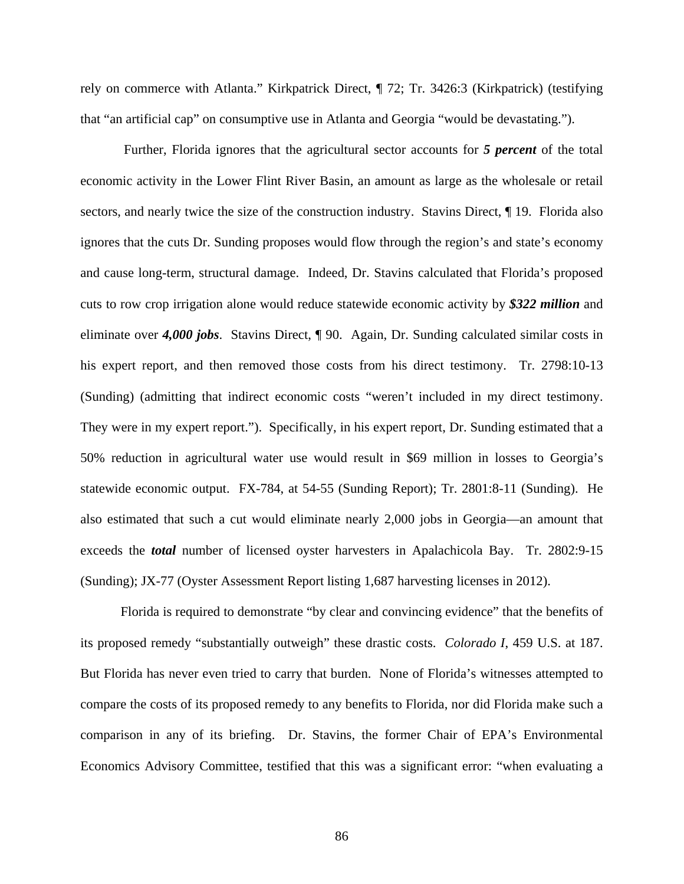rely on commerce with Atlanta." Kirkpatrick Direct, ¶ 72; Tr. 3426:3 (Kirkpatrick) (testifying that "an artificial cap" on consumptive use in Atlanta and Georgia "would be devastating.").

 Further, Florida ignores that the agricultural sector accounts for *5 percent* of the total economic activity in the Lower Flint River Basin, an amount as large as the wholesale or retail sectors, and nearly twice the size of the construction industry. Stavins Direct,  $\P$  19. Florida also ignores that the cuts Dr. Sunding proposes would flow through the region's and state's economy and cause long-term, structural damage. Indeed, Dr. Stavins calculated that Florida's proposed cuts to row crop irrigation alone would reduce statewide economic activity by *\$322 million* and eliminate over *4,000 jobs*. Stavins Direct, ¶ 90. Again, Dr. Sunding calculated similar costs in his expert report, and then removed those costs from his direct testimony. Tr. 2798:10-13 (Sunding) (admitting that indirect economic costs "weren't included in my direct testimony. They were in my expert report."). Specifically, in his expert report, Dr. Sunding estimated that a 50% reduction in agricultural water use would result in \$69 million in losses to Georgia's statewide economic output. FX-784, at 54-55 (Sunding Report); Tr. 2801:8-11 (Sunding). He also estimated that such a cut would eliminate nearly 2,000 jobs in Georgia—an amount that exceeds the *total* number of licensed oyster harvesters in Apalachicola Bay. Tr. 2802:9-15 (Sunding); JX-77 (Oyster Assessment Report listing 1,687 harvesting licenses in 2012).

Florida is required to demonstrate "by clear and convincing evidence" that the benefits of its proposed remedy "substantially outweigh" these drastic costs. *Colorado I*, 459 U.S. at 187. But Florida has never even tried to carry that burden. None of Florida's witnesses attempted to compare the costs of its proposed remedy to any benefits to Florida, nor did Florida make such a comparison in any of its briefing. Dr. Stavins, the former Chair of EPA's Environmental Economics Advisory Committee, testified that this was a significant error: "when evaluating a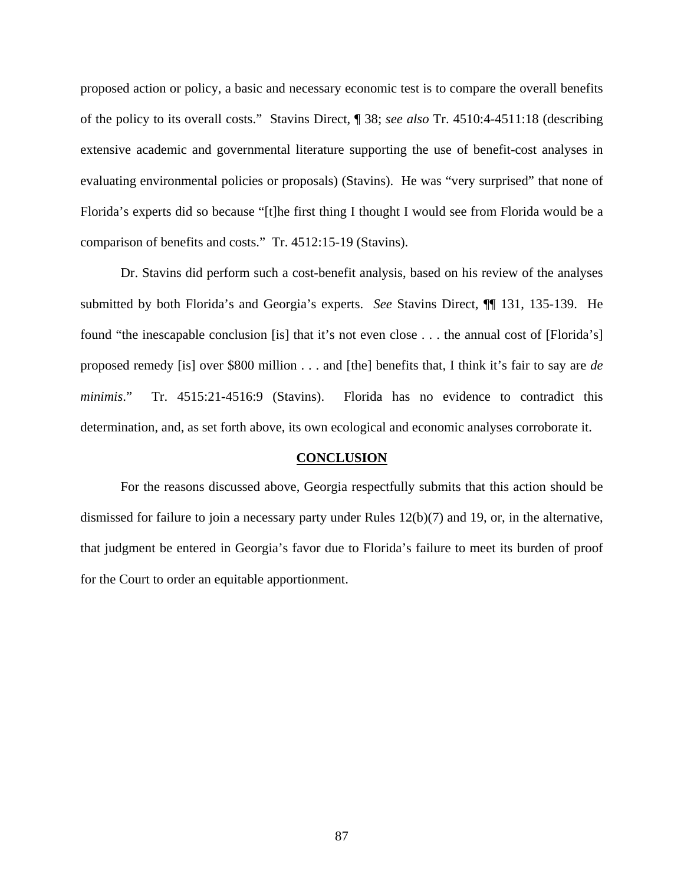proposed action or policy, a basic and necessary economic test is to compare the overall benefits of the policy to its overall costs." Stavins Direct, ¶ 38; *see also* Tr. 4510:4-4511:18 (describing extensive academic and governmental literature supporting the use of benefit-cost analyses in evaluating environmental policies or proposals) (Stavins). He was "very surprised" that none of Florida's experts did so because "[t]he first thing I thought I would see from Florida would be a comparison of benefits and costs." Tr. 4512:15-19 (Stavins).

Dr. Stavins did perform such a cost-benefit analysis, based on his review of the analyses submitted by both Florida's and Georgia's experts. *See* Stavins Direct, ¶¶ 131, 135-139. He found "the inescapable conclusion [is] that it's not even close . . . the annual cost of [Florida's] proposed remedy [is] over \$800 million . . . and [the] benefits that, I think it's fair to say are *de minimis*." Tr. 4515:21-4516:9 (Stavins). Florida has no evidence to contradict this determination, and, as set forth above, its own ecological and economic analyses corroborate it.

#### **CONCLUSION**

For the reasons discussed above, Georgia respectfully submits that this action should be dismissed for failure to join a necessary party under Rules 12(b)(7) and 19, or, in the alternative, that judgment be entered in Georgia's favor due to Florida's failure to meet its burden of proof for the Court to order an equitable apportionment.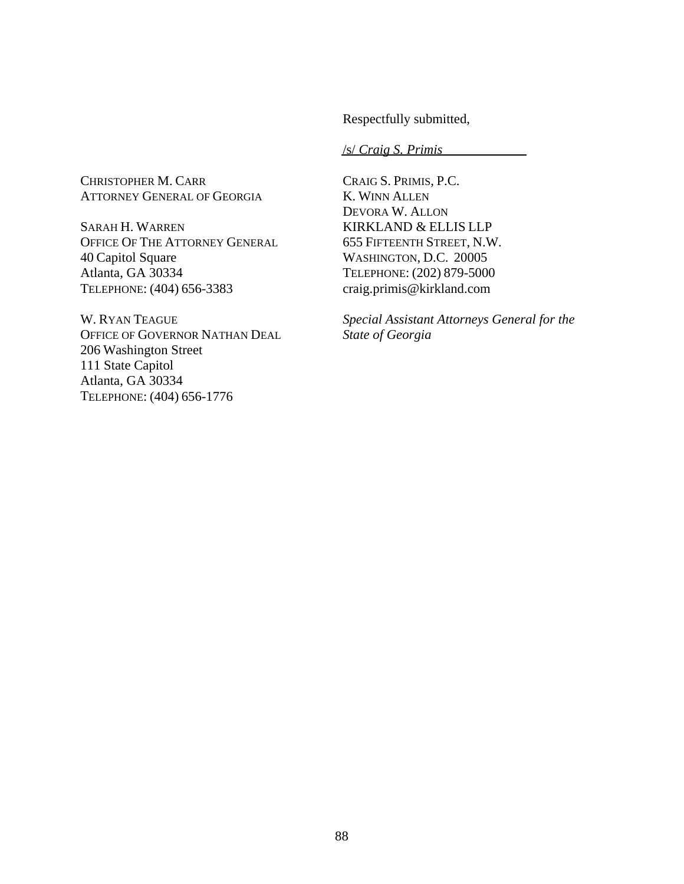Respectfully submitted,

/s/ *Craig S. Primis* 

CHRISTOPHER M. CARR ATTORNEY GENERAL OF GEORGIA

SARAH H. WARREN OFFICE OF THE ATTORNEY GENERAL 40 Capitol Square Atlanta, GA 30334 TELEPHONE: (404) 656-3383

W. RYAN TEAGUE OFFICE OF GOVERNOR NATHAN DEAL 206 Washington Street 111 State Capitol Atlanta, GA 30334 TELEPHONE: (404) 656-1776

CRAIG S. PRIMIS, P.C. K. WINN ALLEN DEVORA W. ALLON KIRKLAND & ELLIS LLP 655 FIFTEENTH STREET, N.W. WASHINGTON, D.C. 20005 TELEPHONE: (202) 879-5000 craig.primis@kirkland.com

*Special Assistant Attorneys General for the State of Georgia*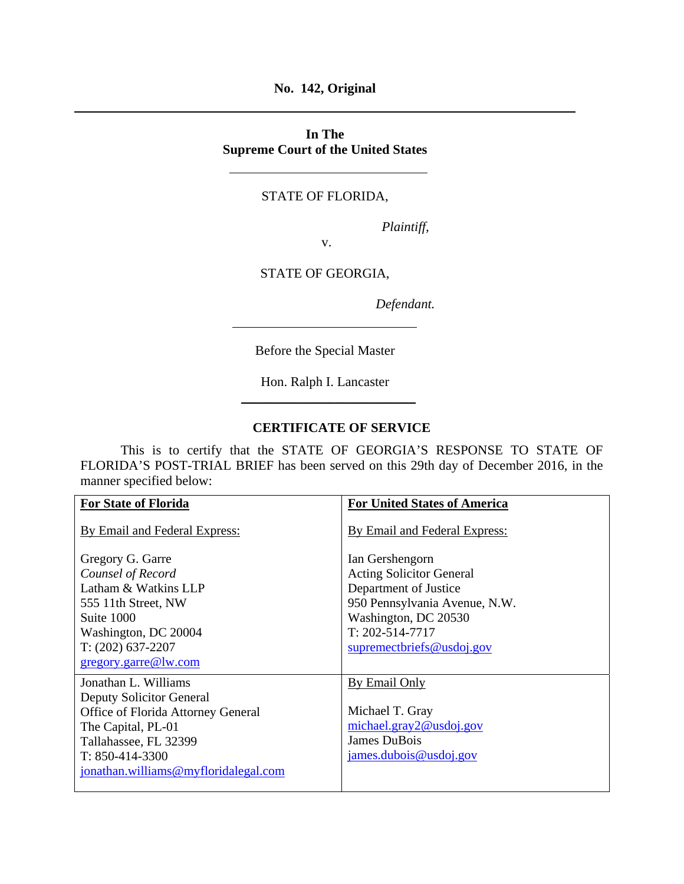**No. 142, Original** 

## **In The Supreme Court of the United States**

# STATE OF FLORIDA,

*Plaintiff,* 

STATE OF GEORGIA,

v.

*Defendant.* 

Before the Special Master

Hon. Ralph I. Lancaster \_\_\_\_\_\_\_\_\_\_\_\_\_\_\_\_\_\_\_\_\_\_\_\_\_\_

#### **CERTIFICATE OF SERVICE**

 This is to certify that the STATE OF GEORGIA'S RESPONSE TO STATE OF FLORIDA'S POST-TRIAL BRIEF has been served on this 29th day of December 2016, in the manner specified below:

| <b>For United States of America</b> |
|-------------------------------------|
| By Email and Federal Express:       |
| Ian Gershengorn                     |
| <b>Acting Solicitor General</b>     |
| Department of Justice               |
| 950 Pennsylvania Avenue, N.W.       |
| Washington, DC 20530                |
| $T: 202 - 514 - 7717$               |
| supremectbriefs@usdoj.gov           |
|                                     |
| <b>By Email Only</b>                |
|                                     |
| Michael T. Gray                     |
| michael.gray2@usdoj.gov             |
| James DuBois                        |
| james.dubois@usdoj.gov              |
|                                     |
|                                     |